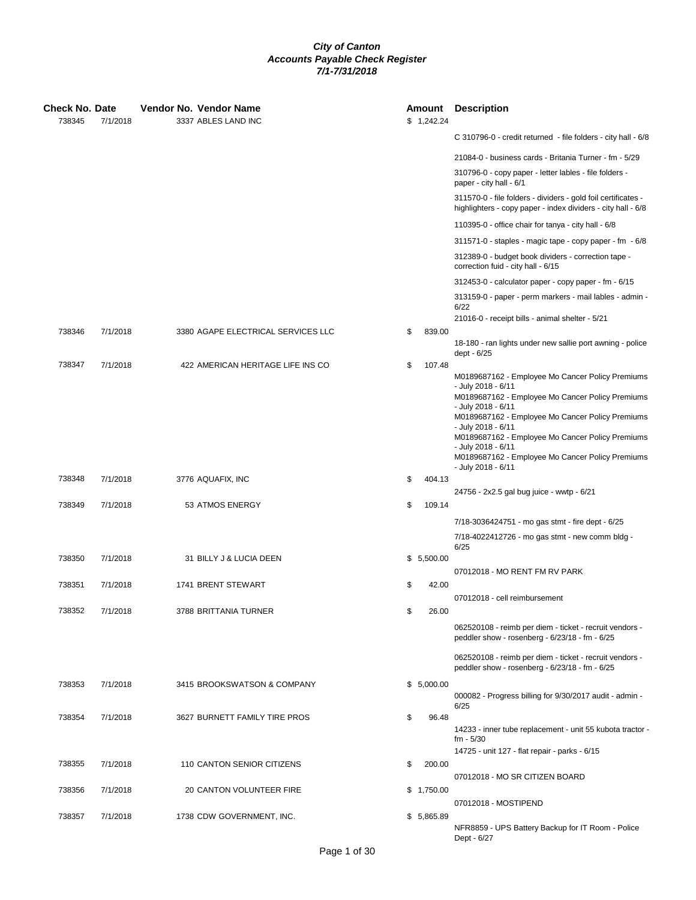| Check No. Date<br>738345 | 7/1/2018 | Vendor No. Vendor Name<br>3337 ABLES LAND INC | Amount<br>\$1,242.24 | <b>Description</b>                                                                                                            |
|--------------------------|----------|-----------------------------------------------|----------------------|-------------------------------------------------------------------------------------------------------------------------------|
|                          |          |                                               |                      | C 310796-0 - credit returned - file folders - city hall - 6/8                                                                 |
|                          |          |                                               |                      | 21084-0 - business cards - Britania Turner - fm - 5/29                                                                        |
|                          |          |                                               |                      | 310796-0 - copy paper - letter lables - file folders -<br>paper - city hall - 6/1                                             |
|                          |          |                                               |                      | 311570-0 - file folders - dividers - gold foil certificates -<br>highlighters - copy paper - index dividers - city hall - 6/8 |
|                          |          |                                               |                      | 110395-0 - office chair for tanya - city hall - 6/8                                                                           |
|                          |          |                                               |                      | 311571-0 - staples - magic tape - copy paper - fm - 6/8                                                                       |
|                          |          |                                               |                      | 312389-0 - budget book dividers - correction tape -<br>correction fuid - city hall - 6/15                                     |
|                          |          |                                               |                      | 312453-0 - calculator paper - copy paper - fm - 6/15                                                                          |
|                          |          |                                               |                      | 313159-0 - paper - perm markers - mail lables - admin -<br>6/22                                                               |
| 738346                   | 7/1/2018 | 3380 AGAPE ELECTRICAL SERVICES LLC            | 839.00               | 21016-0 - receipt bills - animal shelter - 5/21                                                                               |
|                          |          |                                               | \$                   | 18-180 - ran lights under new sallie port awning - police<br>dept - 6/25                                                      |
| 738347                   | 7/1/2018 | 422 AMERICAN HERITAGE LIFE INS CO             | \$<br>107.48         |                                                                                                                               |
|                          |          |                                               |                      | M0189687162 - Employee Mo Cancer Policy Premiums<br>- July 2018 - 6/11<br>M0189687162 - Employee Mo Cancer Policy Premiums    |
|                          |          |                                               |                      | - July 2018 - 6/11<br>M0189687162 - Employee Mo Cancer Policy Premiums                                                        |
|                          |          |                                               |                      | - July 2018 - 6/11<br>M0189687162 - Employee Mo Cancer Policy Premiums                                                        |
|                          |          |                                               |                      | - July 2018 - 6/11<br>M0189687162 - Employee Mo Cancer Policy Premiums                                                        |
| 738348                   | 7/1/2018 | 3776 AQUAFIX, INC                             | \$<br>404.13         | - July 2018 - 6/11                                                                                                            |
|                          |          |                                               |                      | 24756 - 2x2.5 gal bug juice - wwtp - 6/21                                                                                     |
| 738349                   | 7/1/2018 | 53 ATMOS ENERGY                               | \$<br>109.14         |                                                                                                                               |
|                          |          |                                               |                      | 7/18-3036424751 - mo gas stmt - fire dept - 6/25                                                                              |
|                          |          |                                               |                      | 7/18-4022412726 - mo gas stmt - new comm bldg -<br>6/25                                                                       |
| 738350                   | 7/1/2018 | 31 BILLY J & LUCIA DEEN                       | \$5,500.00           | 07012018 - MO RENT FM RV PARK                                                                                                 |
| 738351                   | 7/1/2018 | 1741 BRENT STEWART                            | \$<br>42.00          |                                                                                                                               |
|                          |          |                                               |                      | 07012018 - cell reimbursement                                                                                                 |
| 738352                   | 7/1/2018 | 3788 BRITTANIA TURNER                         | \$<br>26.00          |                                                                                                                               |
|                          |          |                                               |                      | 062520108 - reimb per diem - ticket - recruit vendors -<br>peddler show - rosenberg - 6/23/18 - fm - 6/25                     |
|                          |          |                                               |                      | 062520108 - reimb per diem - ticket - recruit vendors -<br>peddler show - rosenberg - 6/23/18 - fm - 6/25                     |
| 738353                   | 7/1/2018 | 3415 BROOKSWATSON & COMPANY                   | \$5,000.00           | 000082 - Progress billing for 9/30/2017 audit - admin -                                                                       |
| 738354                   | 7/1/2018 | 3627 BURNETT FAMILY TIRE PROS                 | \$<br>96.48          | 6/25                                                                                                                          |
|                          |          |                                               |                      | 14233 - inner tube replacement - unit 55 kubota tractor -<br>$fm - 5/30$                                                      |
|                          |          |                                               |                      | 14725 - unit 127 - flat repair - parks - 6/15                                                                                 |
| 738355                   | 7/1/2018 | 110 CANTON SENIOR CITIZENS                    | \$<br>200.00         | 07012018 - MO SR CITIZEN BOARD                                                                                                |
| 738356                   | 7/1/2018 | 20 CANTON VOLUNTEER FIRE                      | \$1,750.00           |                                                                                                                               |
|                          |          |                                               |                      | 07012018 - MOSTIPEND                                                                                                          |
| 738357                   | 7/1/2018 | 1738 CDW GOVERNMENT, INC.                     | \$5,865.89           | NFR8859 - UPS Battery Backup for IT Room - Police<br>Dept - 6/27                                                              |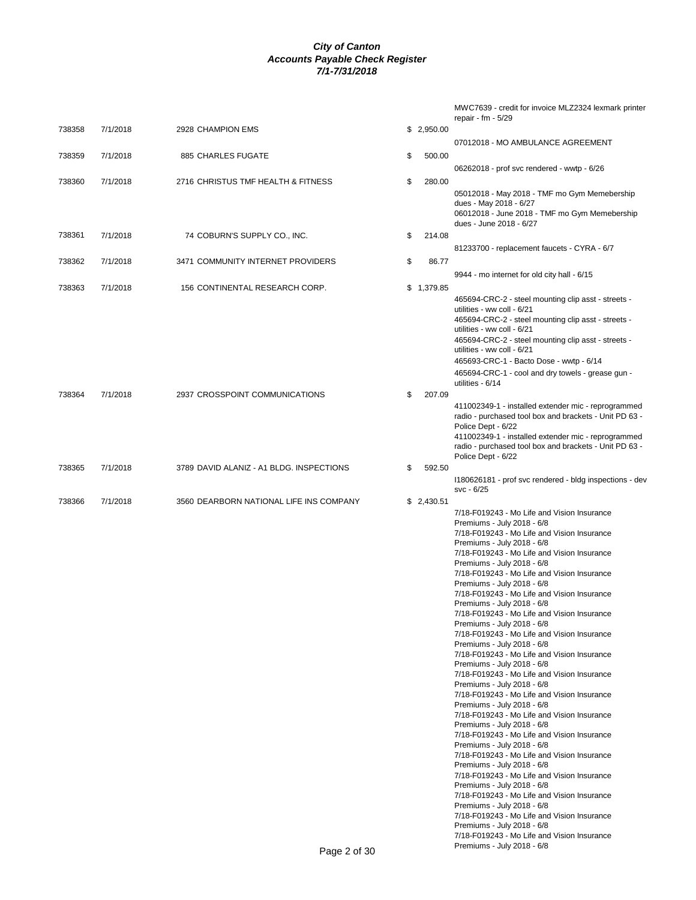|        |          |                                          |              |            | MWC7639 - credit for invoice MLZ2324 lexmark printer<br>repair - fm - $5/29$      |
|--------|----------|------------------------------------------|--------------|------------|-----------------------------------------------------------------------------------|
| 738358 | 7/1/2018 | 2928 CHAMPION EMS                        |              | \$2,950.00 |                                                                                   |
| 738359 | 7/1/2018 | 885 CHARLES FUGATE                       | \$           | 500.00     | 07012018 - MO AMBULANCE AGREEMENT                                                 |
|        |          |                                          |              |            | 06262018 - prof svc rendered - wwtp - 6/26                                        |
| 738360 | 7/1/2018 | 2716 CHRISTUS TMF HEALTH & FITNESS       | \$           | 280.00     |                                                                                   |
|        |          |                                          |              |            | 05012018 - May 2018 - TMF mo Gym Memebership<br>dues - May 2018 - 6/27            |
|        |          |                                          |              |            | 06012018 - June 2018 - TMF mo Gym Memebership                                     |
| 738361 | 7/1/2018 | 74 COBURN'S SUPPLY CO., INC.             | \$           | 214.08     | dues - June 2018 - 6/27                                                           |
|        |          |                                          |              |            | 81233700 - replacement faucets - CYRA - 6/7                                       |
| 738362 | 7/1/2018 | 3471 COMMUNITY INTERNET PROVIDERS        | \$           | 86.77      |                                                                                   |
| 738363 | 7/1/2018 | 156 CONTINENTAL RESEARCH CORP.           |              | \$1,379.85 | 9944 - mo internet for old city hall - 6/15                                       |
|        |          |                                          |              |            | 465694-CRC-2 - steel mounting clip asst - streets -                               |
|        |          |                                          |              |            | utilities - ww coll - 6/21<br>465694-CRC-2 - steel mounting clip asst - streets - |
|        |          |                                          |              |            | utilities - ww coll - 6/21                                                        |
|        |          |                                          |              |            | 465694-CRC-2 - steel mounting clip asst - streets -<br>utilities - ww coll - 6/21 |
|        |          |                                          |              |            | 465693-CRC-1 - Bacto Dose - wwtp - 6/14                                           |
|        |          |                                          |              |            | 465694-CRC-1 - cool and dry towels - grease gun -<br>utilities - 6/14             |
| 738364 | 7/1/2018 | 2937 CROSSPOINT COMMUNICATIONS           | \$           | 207.09     | 411002349-1 - installed extender mic - reprogrammed                               |
|        |          |                                          |              |            | radio - purchased tool box and brackets - Unit PD 63 -                            |
|        |          |                                          |              |            | Police Dept - 6/22<br>411002349-1 - installed extender mic - reprogrammed         |
|        |          |                                          |              |            | radio - purchased tool box and brackets - Unit PD 63 -<br>Police Dept - 6/22      |
| 738365 | 7/1/2018 | 3789 DAVID ALANIZ - A1 BLDG. INSPECTIONS | \$           | 592.50     |                                                                                   |
|        |          |                                          |              |            | 1180626181 - prof svc rendered - bldg inspections - dev<br>svc - 6/25             |
| 738366 | 7/1/2018 | 3560 DEARBORN NATIONAL LIFE INS COMPANY  |              | \$2,430.51 |                                                                                   |
|        |          |                                          |              |            | 7/18-F019243 - Mo Life and Vision Insurance<br>Premiums - July 2018 - 6/8         |
|        |          |                                          |              |            | 7/18-F019243 - Mo Life and Vision Insurance                                       |
|        |          |                                          |              |            | Premiums - July 2018 - 6/8<br>7/18-F019243 - Mo Life and Vision Insurance         |
|        |          |                                          |              |            | Premiums - July 2018 - 6/8<br>7/18-F019243 - Mo Life and Vision Insurance         |
|        |          |                                          |              |            | Premiums - July 2018 - 6/8                                                        |
|        |          |                                          |              |            | 7/18-F019243 - Mo Life and Vision Insurance<br>Premiums - July 2018 - 6/8         |
|        |          |                                          |              |            | 7/18-F019243 - Mo Life and Vision Insurance<br>Premiums - July 2018 - 6/8         |
|        |          |                                          |              |            | 7/18-F019243 - Mo Life and Vision Insurance                                       |
|        |          |                                          |              |            | Premiums - July 2018 - 6/8<br>7/18-F019243 - Mo Life and Vision Insurance         |
|        |          |                                          |              |            | Premiums - July 2018 - 6/8<br>7/18-F019243 - Mo Life and Vision Insurance         |
|        |          |                                          |              |            | Premiums - July 2018 - 6/8                                                        |
|        |          |                                          |              |            | 7/18-F019243 - Mo Life and Vision Insurance<br>Premiums - July 2018 - 6/8         |
|        |          |                                          |              |            | 7/18-F019243 - Mo Life and Vision Insurance<br>Premiums - July 2018 - 6/8         |
|        |          |                                          |              |            | 7/18-F019243 - Mo Life and Vision Insurance                                       |
|        |          |                                          |              |            | Premiums - July 2018 - 6/8<br>7/18-F019243 - Mo Life and Vision Insurance         |
|        |          |                                          |              |            | Premiums - July 2018 - 6/8<br>7/18-F019243 - Mo Life and Vision Insurance         |
|        |          |                                          |              |            | Premiums - July 2018 - 6/8                                                        |
|        |          |                                          |              |            | 7/18-F019243 - Mo Life and Vision Insurance<br>Premiums - July 2018 - 6/8         |
|        |          |                                          |              |            | 7/18-F019243 - Mo Life and Vision Insurance<br>Premiums - July 2018 - 6/8         |
|        |          |                                          |              |            | 7/18-F019243 - Mo Life and Vision Insurance                                       |
|        |          |                                          | Page 2 of 30 |            | Premiums - July 2018 - 6/8                                                        |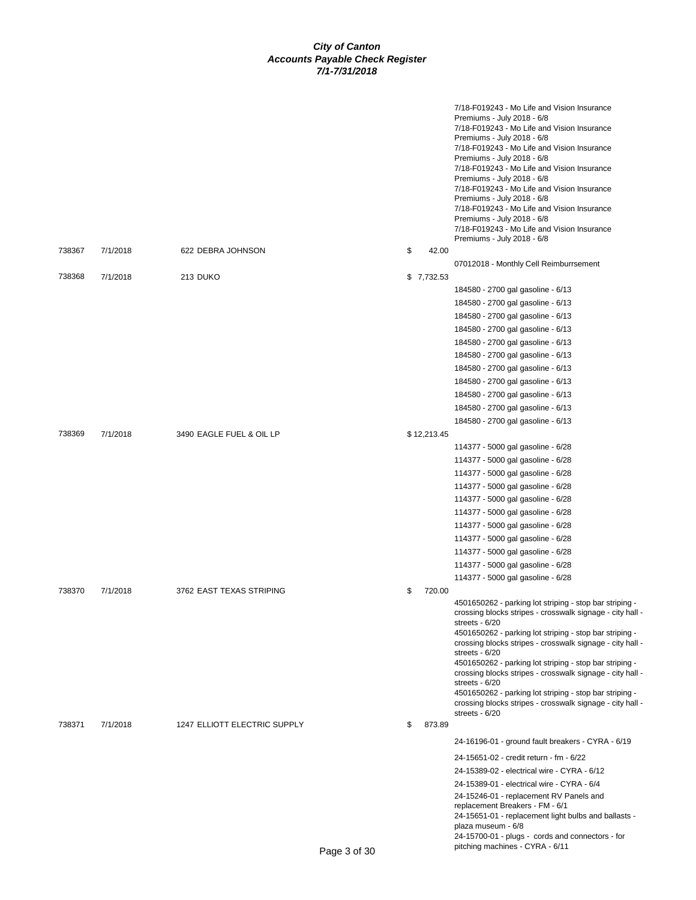|        |          |                              |              | 7/18-F019243 - Mo Life and Vision Insurance<br>Premiums - July 2018 - 6/8<br>7/18-F019243 - Mo Life and Vision Insurance<br>Premiums - July 2018 - 6/8<br>7/18-F019243 - Mo Life and Vision Insurance<br>Premiums - July 2018 - 6/8<br>7/18-F019243 - Mo Life and Vision Insurance<br>Premiums - July 2018 - 6/8<br>7/18-F019243 - Mo Life and Vision Insurance<br>Premiums - July 2018 - 6/8<br>7/18-F019243 - Mo Life and Vision Insurance<br>Premiums - July 2018 - 6/8<br>7/18-F019243 - Mo Life and Vision Insurance<br>Premiums - July 2018 - 6/8 |
|--------|----------|------------------------------|--------------|---------------------------------------------------------------------------------------------------------------------------------------------------------------------------------------------------------------------------------------------------------------------------------------------------------------------------------------------------------------------------------------------------------------------------------------------------------------------------------------------------------------------------------------------------------|
| 738367 | 7/1/2018 | 622 DEBRA JOHNSON            | \$<br>42.00  |                                                                                                                                                                                                                                                                                                                                                                                                                                                                                                                                                         |
|        |          |                              |              | 07012018 - Monthly Cell Reimburrsement                                                                                                                                                                                                                                                                                                                                                                                                                                                                                                                  |
| 738368 | 7/1/2018 | 213 DUKO                     | \$7,732.53   |                                                                                                                                                                                                                                                                                                                                                                                                                                                                                                                                                         |
|        |          |                              |              | 184580 - 2700 gal gasoline - 6/13                                                                                                                                                                                                                                                                                                                                                                                                                                                                                                                       |
|        |          |                              |              | 184580 - 2700 gal gasoline - 6/13                                                                                                                                                                                                                                                                                                                                                                                                                                                                                                                       |
|        |          |                              |              | 184580 - 2700 gal gasoline - 6/13                                                                                                                                                                                                                                                                                                                                                                                                                                                                                                                       |
|        |          |                              |              | 184580 - 2700 gal gasoline - 6/13                                                                                                                                                                                                                                                                                                                                                                                                                                                                                                                       |
|        |          |                              |              | 184580 - 2700 gal gasoline - 6/13                                                                                                                                                                                                                                                                                                                                                                                                                                                                                                                       |
|        |          |                              |              | 184580 - 2700 gal gasoline - 6/13                                                                                                                                                                                                                                                                                                                                                                                                                                                                                                                       |
|        |          |                              |              | 184580 - 2700 gal gasoline - 6/13                                                                                                                                                                                                                                                                                                                                                                                                                                                                                                                       |
|        |          |                              |              | 184580 - 2700 gal gasoline - 6/13                                                                                                                                                                                                                                                                                                                                                                                                                                                                                                                       |
|        |          |                              |              | 184580 - 2700 gal gasoline - 6/13                                                                                                                                                                                                                                                                                                                                                                                                                                                                                                                       |
|        |          |                              |              | 184580 - 2700 gal gasoline - 6/13                                                                                                                                                                                                                                                                                                                                                                                                                                                                                                                       |
|        |          |                              |              | 184580 - 2700 gal gasoline - 6/13                                                                                                                                                                                                                                                                                                                                                                                                                                                                                                                       |
| 738369 | 7/1/2018 | 3490 EAGLE FUEL & OIL LP     | \$12,213.45  |                                                                                                                                                                                                                                                                                                                                                                                                                                                                                                                                                         |
|        |          |                              |              | 114377 - 5000 gal gasoline - 6/28                                                                                                                                                                                                                                                                                                                                                                                                                                                                                                                       |
|        |          |                              |              | 114377 - 5000 gal gasoline - 6/28                                                                                                                                                                                                                                                                                                                                                                                                                                                                                                                       |
|        |          |                              |              | 114377 - 5000 gal gasoline - 6/28                                                                                                                                                                                                                                                                                                                                                                                                                                                                                                                       |
|        |          |                              |              | 114377 - 5000 gal gasoline - 6/28                                                                                                                                                                                                                                                                                                                                                                                                                                                                                                                       |
|        |          |                              |              | 114377 - 5000 gal gasoline - 6/28<br>114377 - 5000 gal gasoline - 6/28                                                                                                                                                                                                                                                                                                                                                                                                                                                                                  |
|        |          |                              |              | 114377 - 5000 gal gasoline - 6/28                                                                                                                                                                                                                                                                                                                                                                                                                                                                                                                       |
|        |          |                              |              | 114377 - 5000 gal gasoline - 6/28                                                                                                                                                                                                                                                                                                                                                                                                                                                                                                                       |
|        |          |                              |              | 114377 - 5000 gal gasoline - 6/28                                                                                                                                                                                                                                                                                                                                                                                                                                                                                                                       |
|        |          |                              |              | 114377 - 5000 gal gasoline - 6/28                                                                                                                                                                                                                                                                                                                                                                                                                                                                                                                       |
|        |          |                              |              | 114377 - 5000 gal gasoline - 6/28                                                                                                                                                                                                                                                                                                                                                                                                                                                                                                                       |
| 738370 | 7/1/2018 | 3762 EAST TEXAS STRIPING     | \$<br>720.00 |                                                                                                                                                                                                                                                                                                                                                                                                                                                                                                                                                         |
|        |          |                              |              | 4501650262 - parking lot striping - stop bar striping -<br>crossing blocks stripes - crosswalk signage - city hall -<br>streets - 6/20<br>4501650262 - parking lot striping - stop bar striping -<br>crossing blocks stripes - crosswalk signage - city hall -<br>streets - 6/20                                                                                                                                                                                                                                                                        |
|        |          |                              |              | 4501650262 - parking lot striping - stop bar striping -<br>crossing blocks stripes - crosswalk signage - city hall -<br>streets - 6/20                                                                                                                                                                                                                                                                                                                                                                                                                  |
| 738371 | 7/1/2018 | 1247 ELLIOTT ELECTRIC SUPPLY | \$<br>873.89 | 4501650262 - parking lot striping - stop bar striping -<br>crossing blocks stripes - crosswalk signage - city hall -<br>streets - 6/20                                                                                                                                                                                                                                                                                                                                                                                                                  |
|        |          |                              |              | 24-16196-01 - ground fault breakers - CYRA - 6/19                                                                                                                                                                                                                                                                                                                                                                                                                                                                                                       |
|        |          |                              |              | 24-15651-02 - credit return - fm - 6/22                                                                                                                                                                                                                                                                                                                                                                                                                                                                                                                 |
|        |          |                              |              | 24-15389-02 - electrical wire - CYRA - 6/12                                                                                                                                                                                                                                                                                                                                                                                                                                                                                                             |
|        |          |                              |              | 24-15389-01 - electrical wire - CYRA - 6/4                                                                                                                                                                                                                                                                                                                                                                                                                                                                                                              |
|        |          |                              |              | 24-15246-01 - replacement RV Panels and<br>replacement Breakers - FM - 6/1<br>24-15651-01 - replacement light bulbs and ballasts -                                                                                                                                                                                                                                                                                                                                                                                                                      |
|        |          |                              |              | plaza museum - 6/8<br>24-15700-01 - plugs - cords and connectors - for                                                                                                                                                                                                                                                                                                                                                                                                                                                                                  |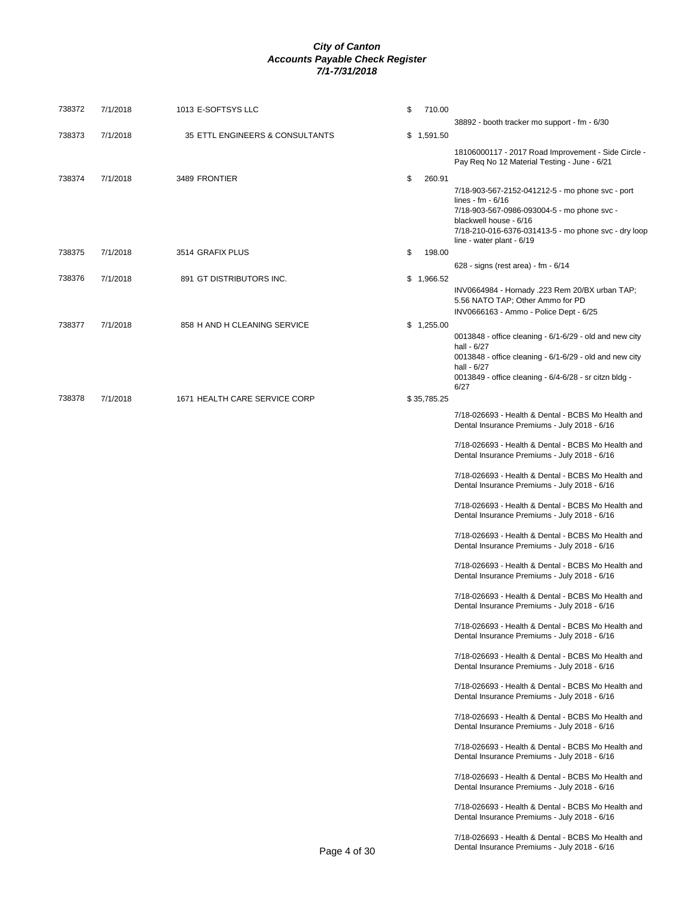| 738372 | 7/1/2018 | 1013 E-SOFTSYS LLC              | \$<br>710.00 | 38892 - booth tracker mo support - fm - 6/30                                                                                                                                                                                         |
|--------|----------|---------------------------------|--------------|--------------------------------------------------------------------------------------------------------------------------------------------------------------------------------------------------------------------------------------|
| 738373 | 7/1/2018 | 35 ETTL ENGINEERS & CONSULTANTS | \$1,591.50   |                                                                                                                                                                                                                                      |
|        |          |                                 |              | 18106000117 - 2017 Road Improvement - Side Circle -<br>Pay Req No 12 Material Testing - June - 6/21                                                                                                                                  |
| 738374 | 7/1/2018 | 3489 FRONTIER                   | \$<br>260.91 | 7/18-903-567-2152-041212-5 - mo phone svc - port<br>lines - fm $-6/16$<br>7/18-903-567-0986-093004-5 - mo phone svc -<br>blackwell house - 6/16<br>7/18-210-016-6376-031413-5 - mo phone svc - dry loop<br>line - water plant - 6/19 |
| 738375 | 7/1/2018 | 3514 GRAFIX PLUS                | 198.00<br>\$ | 628 - signs (rest area) - fm - 6/14                                                                                                                                                                                                  |
| 738376 | 7/1/2018 | 891 GT DISTRIBUTORS INC.        | \$1,966.52   | INV0664984 - Hornady .223 Rem 20/BX urban TAP;<br>5.56 NATO TAP; Other Ammo for PD<br>INV0666163 - Ammo - Police Dept - 6/25                                                                                                         |
| 738377 | 7/1/2018 | 858 H AND H CLEANING SERVICE    | \$1,255.00   | 0013848 - office cleaning - $6/1 - 6/29$ - old and new city<br>hall - 6/27<br>0013848 - office cleaning - 6/1-6/29 - old and new city<br>hall - 6/27<br>0013849 - office cleaning - 6/4-6/28 - sr citzn bldg -<br>6/27               |
| 738378 | 7/1/2018 | 1671 HEALTH CARE SERVICE CORP   | \$35,785.25  | 7/18-026693 - Health & Dental - BCBS Mo Health and<br>Dental Insurance Premiums - July 2018 - 6/16                                                                                                                                   |
|        |          |                                 |              | 7/18-026693 - Health & Dental - BCBS Mo Health and<br>Dental Insurance Premiums - July 2018 - 6/16                                                                                                                                   |
|        |          |                                 |              | 7/18-026693 - Health & Dental - BCBS Mo Health and<br>Dental Insurance Premiums - July 2018 - 6/16                                                                                                                                   |
|        |          |                                 |              | 7/18-026693 - Health & Dental - BCBS Mo Health and<br>Dental Insurance Premiums - July 2018 - 6/16                                                                                                                                   |
|        |          |                                 |              | 7/18-026693 - Health & Dental - BCBS Mo Health and<br>Dental Insurance Premiums - July 2018 - 6/16                                                                                                                                   |
|        |          |                                 |              | 7/18-026693 - Health & Dental - BCBS Mo Health and<br>Dental Insurance Premiums - July 2018 - 6/16                                                                                                                                   |
|        |          |                                 |              | 7/18-026693 - Health & Dental - BCBS Mo Health and<br>Dental Insurance Premiums - July 2018 - 6/16                                                                                                                                   |
|        |          |                                 |              | 7/18-026693 - Health & Dental - BCBS Mo Health and<br>Dental Insurance Premiums - July 2018 - 6/16                                                                                                                                   |
|        |          |                                 |              | 7/18-026693 - Health & Dental - BCBS Mo Health and<br>Dental Insurance Premiums - July 2018 - 6/16                                                                                                                                   |
|        |          |                                 |              | 7/18-026693 - Health & Dental - BCBS Mo Health and<br>Dental Insurance Premiums - July 2018 - 6/16                                                                                                                                   |
|        |          |                                 |              | 7/18-026693 - Health & Dental - BCBS Mo Health and<br>Dental Insurance Premiums - July 2018 - 6/16                                                                                                                                   |
|        |          |                                 |              | 7/18-026693 - Health & Dental - BCBS Mo Health and<br>Dental Insurance Premiums - July 2018 - 6/16                                                                                                                                   |
|        |          |                                 |              | 7/18-026693 - Health & Dental - BCBS Mo Health and<br>Dental Insurance Premiums - July 2018 - 6/16                                                                                                                                   |
|        |          |                                 |              | 7/18-026693 - Health & Dental - BCBS Mo Health and<br>Dental Insurance Premiums - July 2018 - 6/16                                                                                                                                   |
|        |          |                                 |              | 7/18-026693 - Health & Dental - BCBS Mo Health and                                                                                                                                                                                   |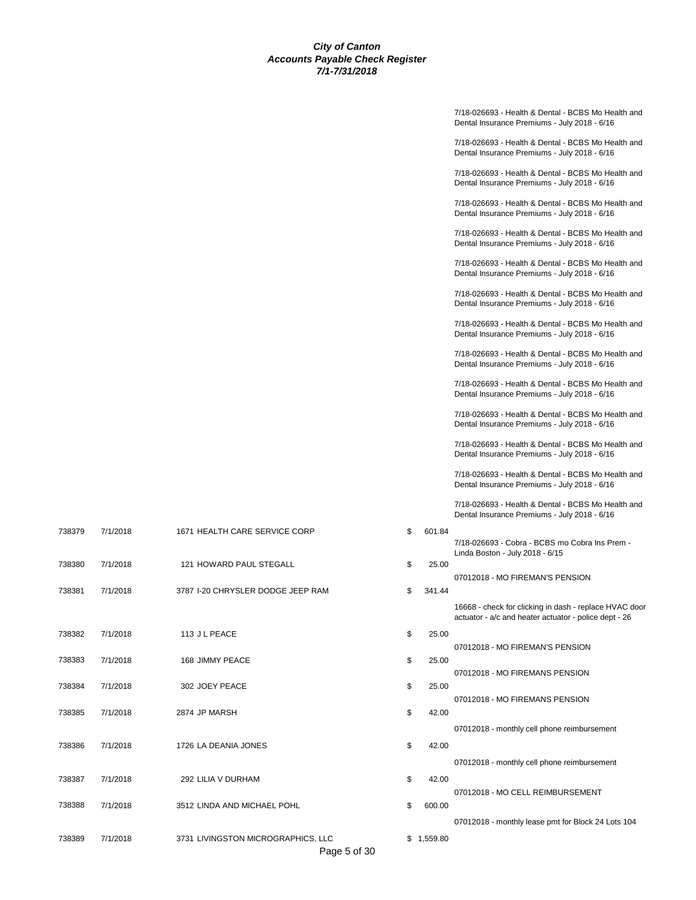|        |          |                                    |              | 7/18-026693 - Health & Dental - BCBS Mo Health and<br>Dental Insurance Premiums - July 2018 - 6/16              |
|--------|----------|------------------------------------|--------------|-----------------------------------------------------------------------------------------------------------------|
|        |          |                                    |              | 7/18-026693 - Health & Dental - BCBS Mo Health and<br>Dental Insurance Premiums - July 2018 - 6/16              |
|        |          |                                    |              | 7/18-026693 - Health & Dental - BCBS Mo Health and<br>Dental Insurance Premiums - July 2018 - 6/16              |
|        |          |                                    |              | 7/18-026693 - Health & Dental - BCBS Mo Health and<br>Dental Insurance Premiums - July 2018 - 6/16              |
|        |          |                                    |              | 7/18-026693 - Health & Dental - BCBS Mo Health and<br>Dental Insurance Premiums - July 2018 - 6/16              |
|        |          |                                    |              | 7/18-026693 - Health & Dental - BCBS Mo Health and<br>Dental Insurance Premiums - July 2018 - 6/16              |
|        |          |                                    |              | 7/18-026693 - Health & Dental - BCBS Mo Health and<br>Dental Insurance Premiums - July 2018 - 6/16              |
|        |          |                                    |              | 7/18-026693 - Health & Dental - BCBS Mo Health and<br>Dental Insurance Premiums - July 2018 - 6/16              |
|        |          |                                    |              | 7/18-026693 - Health & Dental - BCBS Mo Health and<br>Dental Insurance Premiums - July 2018 - 6/16              |
|        |          |                                    |              | 7/18-026693 - Health & Dental - BCBS Mo Health and<br>Dental Insurance Premiums - July 2018 - 6/16              |
|        |          |                                    |              | 7/18-026693 - Health & Dental - BCBS Mo Health and<br>Dental Insurance Premiums - July 2018 - 6/16              |
|        |          |                                    |              | 7/18-026693 - Health & Dental - BCBS Mo Health and<br>Dental Insurance Premiums - July 2018 - 6/16              |
|        |          |                                    |              | 7/18-026693 - Health & Dental - BCBS Mo Health and<br>Dental Insurance Premiums - July 2018 - 6/16              |
|        |          |                                    |              | 7/18-026693 - Health & Dental - BCBS Mo Health and<br>Dental Insurance Premiums - July 2018 - 6/16              |
| 738379 | 7/1/2018 | 1671 HEALTH CARE SERVICE CORP      | \$<br>601.84 | 7/18-026693 - Cobra - BCBS mo Cobra Ins Prem -<br>Linda Boston - July 2018 - 6/15                               |
| 738380 | 7/1/2018 | 121 HOWARD PAUL STEGALL            | \$<br>25.00  | 07012018 - MO FIREMAN'S PENSION                                                                                 |
| 738381 | 7/1/2018 | 3787 I-20 CHRYSLER DODGE JEEP RAM  | \$<br>341.44 |                                                                                                                 |
|        |          |                                    |              | 16668 - check for clicking in dash - replace HVAC door<br>actuator - a/c and heater actuator - police dept - 26 |
| 738382 | 7/1/2018 | 113 JL PEACE                       | \$<br>25.00  | 07012018 - MO FIREMAN'S PENSION                                                                                 |
| 738383 | 7/1/2018 | 168 JIMMY PEACE                    | \$<br>25.00  |                                                                                                                 |
|        |          |                                    |              | 07012018 - MO FIREMANS PENSION                                                                                  |
| 738384 | 7/1/2018 | 302 JOEY PEACE                     | \$<br>25.00  | 07012018 - MO FIREMANS PENSION                                                                                  |
| 738385 | 7/1/2018 | 2874 JP MARSH                      | \$<br>42.00  |                                                                                                                 |
|        |          |                                    |              | 07012018 - monthly cell phone reimbursement                                                                     |
| 738386 | 7/1/2018 | 1726 LA DEANIA JONES               | \$<br>42.00  |                                                                                                                 |
|        |          |                                    |              | 07012018 - monthly cell phone reimbursement                                                                     |
| 738387 | 7/1/2018 | 292 LILIA V DURHAM                 | \$<br>42.00  | 07012018 - MO CELL REIMBURSEMENT                                                                                |
| 738388 | 7/1/2018 | 3512 LINDA AND MICHAEL POHL        | \$<br>600.00 |                                                                                                                 |
|        |          |                                    |              | 07012018 - monthly lease pmt for Block 24 Lots 104                                                              |
| 738389 | 7/1/2018 | 3731 LIVINGSTON MICROGRAPHICS, LLC | \$1,559.80   |                                                                                                                 |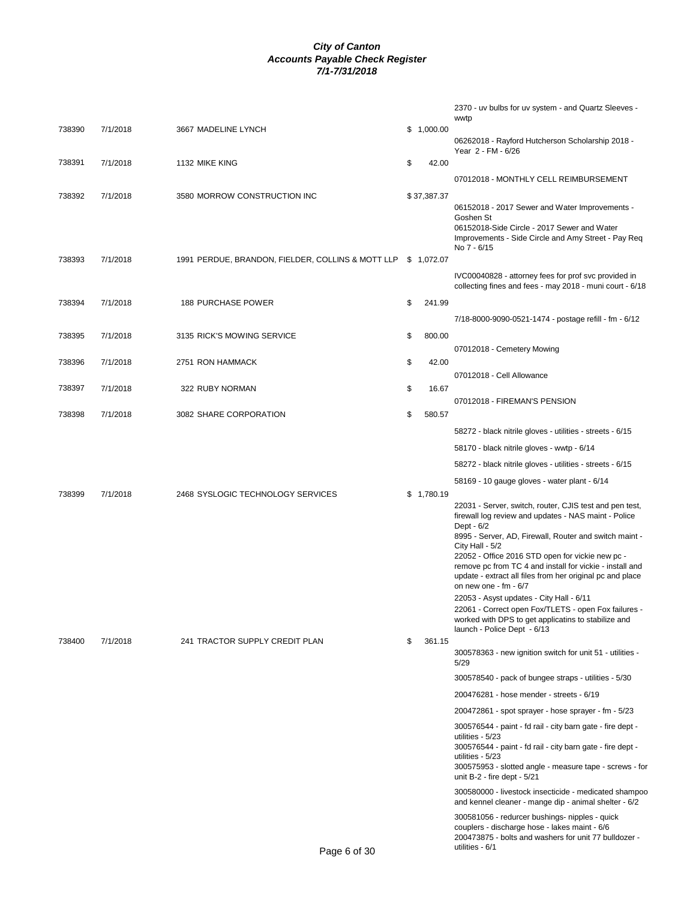|        |          |                                                   |              | 2370 - uv bulbs for uv system - and Quartz Sleeves -<br>wwtp                                                                                                                                                                                                                                                                                                                                                                                                                                                                                                                                                 |
|--------|----------|---------------------------------------------------|--------------|--------------------------------------------------------------------------------------------------------------------------------------------------------------------------------------------------------------------------------------------------------------------------------------------------------------------------------------------------------------------------------------------------------------------------------------------------------------------------------------------------------------------------------------------------------------------------------------------------------------|
| 738390 | 7/1/2018 | 3667 MADELINE LYNCH                               | \$1,000.00   | 06262018 - Rayford Hutcherson Scholarship 2018 -                                                                                                                                                                                                                                                                                                                                                                                                                                                                                                                                                             |
| 738391 | 7/1/2018 | 1132 MIKE KING                                    | \$<br>42.00  | Year 2 - FM - 6/26                                                                                                                                                                                                                                                                                                                                                                                                                                                                                                                                                                                           |
|        |          |                                                   |              | 07012018 - MONTHLY CELL REIMBURSEMENT                                                                                                                                                                                                                                                                                                                                                                                                                                                                                                                                                                        |
| 738392 | 7/1/2018 | 3580 MORROW CONSTRUCTION INC                      | \$37,387.37  |                                                                                                                                                                                                                                                                                                                                                                                                                                                                                                                                                                                                              |
|        |          |                                                   |              | 06152018 - 2017 Sewer and Water Improvements -<br>Goshen St<br>06152018-Side Circle - 2017 Sewer and Water<br>Improvements - Side Circle and Amy Street - Pay Req<br>No 7 - 6/15                                                                                                                                                                                                                                                                                                                                                                                                                             |
| 738393 | 7/1/2018 | 1991 PERDUE, BRANDON, FIELDER, COLLINS & MOTT LLP | \$1,072.07   |                                                                                                                                                                                                                                                                                                                                                                                                                                                                                                                                                                                                              |
|        |          |                                                   |              | IVC00040828 - attorney fees for prof svc provided in<br>collecting fines and fees - may 2018 - muni court - 6/18                                                                                                                                                                                                                                                                                                                                                                                                                                                                                             |
| 738394 | 7/1/2018 | 188 PURCHASE POWER                                | \$<br>241.99 |                                                                                                                                                                                                                                                                                                                                                                                                                                                                                                                                                                                                              |
|        |          |                                                   |              | 7/18-8000-9090-0521-1474 - postage refill - fm - 6/12                                                                                                                                                                                                                                                                                                                                                                                                                                                                                                                                                        |
| 738395 | 7/1/2018 | 3135 RICK'S MOWING SERVICE                        | \$<br>800.00 |                                                                                                                                                                                                                                                                                                                                                                                                                                                                                                                                                                                                              |
| 738396 | 7/1/2018 | 2751 RON HAMMACK                                  | \$<br>42.00  | 07012018 - Cemetery Mowing                                                                                                                                                                                                                                                                                                                                                                                                                                                                                                                                                                                   |
|        |          |                                                   |              | 07012018 - Cell Allowance                                                                                                                                                                                                                                                                                                                                                                                                                                                                                                                                                                                    |
| 738397 | 7/1/2018 | 322 RUBY NORMAN                                   | \$<br>16.67  |                                                                                                                                                                                                                                                                                                                                                                                                                                                                                                                                                                                                              |
| 738398 | 7/1/2018 | 3082 SHARE CORPORATION                            | \$<br>580.57 | 07012018 - FIREMAN'S PENSION                                                                                                                                                                                                                                                                                                                                                                                                                                                                                                                                                                                 |
|        |          |                                                   |              | 58272 - black nitrile gloves - utilities - streets - 6/15                                                                                                                                                                                                                                                                                                                                                                                                                                                                                                                                                    |
|        |          |                                                   |              | 58170 - black nitrile gloves - wwtp - 6/14                                                                                                                                                                                                                                                                                                                                                                                                                                                                                                                                                                   |
|        |          |                                                   |              | 58272 - black nitrile gloves - utilities - streets - 6/15                                                                                                                                                                                                                                                                                                                                                                                                                                                                                                                                                    |
|        |          |                                                   |              | 58169 - 10 gauge gloves - water plant - 6/14                                                                                                                                                                                                                                                                                                                                                                                                                                                                                                                                                                 |
| 738399 | 7/1/2018 | 2468 SYSLOGIC TECHNOLOGY SERVICES                 | \$1,780.19   | 22031 - Server, switch, router, CJIS test and pen test,<br>firewall log review and updates - NAS maint - Police<br>Dept - 6/2<br>8995 - Server, AD, Firewall, Router and switch maint -<br>City Hall - 5/2<br>22052 - Office 2016 STD open for vickie new pc -<br>remove pc from TC 4 and install for vickie - install and<br>update - extract all files from her original pc and place<br>on new one - $fm - 6/7$<br>22053 - Asyst updates - City Hall - 6/11<br>22061 - Correct open Fox/TLETS - open Fox failures -<br>worked with DPS to get applicatins to stabilize and<br>launch - Police Dept - 6/13 |
| 738400 | 7/1/2018 | 241 TRACTOR SUPPLY CREDIT PLAN                    | \$<br>361.15 | 300578363 - new ignition switch for unit 51 - utilities -                                                                                                                                                                                                                                                                                                                                                                                                                                                                                                                                                    |
|        |          |                                                   |              | 5/29                                                                                                                                                                                                                                                                                                                                                                                                                                                                                                                                                                                                         |
|        |          |                                                   |              | 300578540 - pack of bungee straps - utilities - 5/30                                                                                                                                                                                                                                                                                                                                                                                                                                                                                                                                                         |
|        |          |                                                   |              | 200476281 - hose mender - streets - 6/19<br>200472861 - spot sprayer - hose sprayer - fm - 5/23                                                                                                                                                                                                                                                                                                                                                                                                                                                                                                              |
|        |          |                                                   |              | 300576544 - paint - fd rail - city barn gate - fire dept -                                                                                                                                                                                                                                                                                                                                                                                                                                                                                                                                                   |
|        |          |                                                   |              | utilities - 5/23<br>300576544 - paint - fd rail - city barn gate - fire dept -<br>utilities - 5/23<br>300575953 - slotted angle - measure tape - screws - for<br>unit $B-2$ - fire dept - $5/21$                                                                                                                                                                                                                                                                                                                                                                                                             |
|        |          |                                                   |              | 300580000 - livestock insecticide - medicated shampoo<br>and kennel cleaner - mange dip - animal shelter - 6/2                                                                                                                                                                                                                                                                                                                                                                                                                                                                                               |
|        |          | Page 6 of 30                                      |              | 300581056 - redurcer bushings- nipples - quick<br>couplers - discharge hose - lakes maint - 6/6<br>200473875 - bolts and washers for unit 77 bulldozer -<br>utilities - 6/1                                                                                                                                                                                                                                                                                                                                                                                                                                  |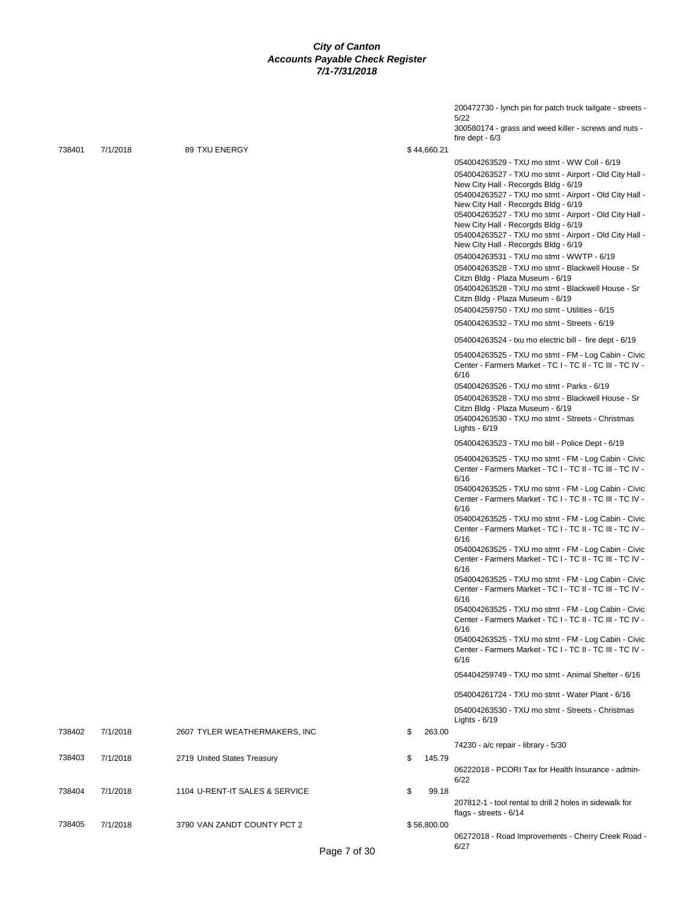|        |          |                                |              | 200472730 - lynch pin for patch truck tailgate - streets -                                                       |
|--------|----------|--------------------------------|--------------|------------------------------------------------------------------------------------------------------------------|
|        |          |                                |              | 5/22<br>300580174 - grass and weed killer - screws and nuts -<br>fire dept $-6/3$                                |
| 738401 | 7/1/2018 | 89 TXU ENERGY                  | \$44,660.21  |                                                                                                                  |
|        |          |                                |              | 054004263529 - TXU mo stmt - WW Coll - 6/19                                                                      |
|        |          |                                |              | 054004263527 - TXU mo stmt - Airport - Old City Hall -                                                           |
|        |          |                                |              | New City Hall - Recorgds Bldg - 6/19                                                                             |
|        |          |                                |              | 054004263527 - TXU mo stmt - Airport - Old City Hall -                                                           |
|        |          |                                |              | New City Hall - Recorgds Bldg - 6/19                                                                             |
|        |          |                                |              | 054004263527 - TXU mo stmt - Airport - Old City Hall -                                                           |
|        |          |                                |              | New City Hall - Recorgds Bldg - 6/19                                                                             |
|        |          |                                |              | 054004263527 - TXU mo stmt - Airport - Old City Hall -                                                           |
|        |          |                                |              | New City Hall - Recorgds Bldg - 6/19                                                                             |
|        |          |                                |              | 054004263531 - TXU mo stmt - WWTP - 6/19                                                                         |
|        |          |                                |              | 054004263528 - TXU mo stmt - Blackwell House - Sr                                                                |
|        |          |                                |              | Citzn Bldg - Plaza Museum - 6/19                                                                                 |
|        |          |                                |              | 054004263528 - TXU mo stmt - Blackwell House - Sr<br>Citzn Bldg - Plaza Museum - 6/19                            |
|        |          |                                |              |                                                                                                                  |
|        |          |                                |              | 054004259750 - TXU mo stmt - Utilities - 6/15                                                                    |
|        |          |                                |              | 054004263532 - TXU mo stmt - Streets - 6/19                                                                      |
|        |          |                                |              | 054004263524 - txu mo electric bill - fire dept - 6/19                                                           |
|        |          |                                |              | 054004263525 - TXU mo stmt - FM - Log Cabin - Civic                                                              |
|        |          |                                |              | Center - Farmers Market - TC I - TC II - TC III - TC IV -                                                        |
|        |          |                                |              | 6/16                                                                                                             |
|        |          |                                |              | 054004263526 - TXU mo stmt - Parks - 6/19                                                                        |
|        |          |                                |              | 054004263528 - TXU mo stmt - Blackwell House - Sr<br>Citzn Bldg - Plaza Museum - 6/19                            |
|        |          |                                |              | 054004263530 - TXU mo stmt - Streets - Christmas                                                                 |
|        |          |                                |              | Lights - $6/19$                                                                                                  |
|        |          |                                |              | 054004263523 - TXU mo bill - Police Dept - 6/19                                                                  |
|        |          |                                |              | 054004263525 - TXU mo stmt - FM - Log Cabin - Civic                                                              |
|        |          |                                |              | Center - Farmers Market - TC I - TC II - TC III - TC IV -<br>6/16                                                |
|        |          |                                |              | 054004263525 - TXU mo stmt - FM - Log Cabin - Civic<br>Center - Farmers Market - TC I - TC II - TC III - TC IV - |
|        |          |                                |              | 6/16                                                                                                             |
|        |          |                                |              | 054004263525 - TXU mo stmt - FM - Log Cabin - Civic                                                              |
|        |          |                                |              | Center - Farmers Market - TC I - TC II - TC III - TC IV -                                                        |
|        |          |                                |              | 6/16                                                                                                             |
|        |          |                                |              | 054004263525 - TXU mo stmt - FM - Log Cabin - Civic<br>Center - Farmers Market - TC I - TC II - TC III - TC IV - |
|        |          |                                |              | 6/16                                                                                                             |
|        |          |                                |              | 054004263525 - TXU mo stmt - FM - Log Cabin - Civic                                                              |
|        |          |                                |              | Center - Farmers Market - TC I - TC II - TC III - TC IV -                                                        |
|        |          |                                |              | 6/16                                                                                                             |
|        |          |                                |              | 054004263525 - TXU mo stmt - FM - Log Cabin - Civic<br>Center - Farmers Market - TC I - TC II - TC III - TC IV - |
|        |          |                                |              | 6/16                                                                                                             |
|        |          |                                |              | 054004263525 - TXU mo stmt - FM - Log Cabin - Civic                                                              |
|        |          |                                |              | Center - Farmers Market - TC I - TC II - TC III - TC IV -<br>6/16                                                |
|        |          |                                |              | 054404259749 - TXU mo stmt - Animal Shelter - 6/16                                                               |
|        |          |                                |              | 054004261724 - TXU mo stmt - Water Plant - 6/16                                                                  |
|        |          |                                |              | 054004263530 - TXU mo stmt - Streets - Christmas<br>Lights - 6/19                                                |
| 738402 | 7/1/2018 | 2607 TYLER WEATHERMAKERS, INC  | \$<br>263.00 |                                                                                                                  |
| 738403 | 7/1/2018 | 2719 United States Treasury    | \$<br>145.79 | 74230 - a/c repair - library - 5/30                                                                              |
|        |          |                                |              | 06222018 - PCORI Tax for Health Insurance - admin-                                                               |
|        |          |                                |              | 6/22                                                                                                             |
| 738404 | 7/1/2018 | 1104 U-RENT-IT SALES & SERVICE | \$<br>99.18  |                                                                                                                  |
|        |          |                                |              | 207812-1 - tool rental to drill 2 holes in sidewalk for                                                          |
|        |          |                                |              | flags - streets - 6/14                                                                                           |
| 738405 | 7/1/2018 | 3790 VAN ZANDT COUNTY PCT 2    | \$56,800.00  |                                                                                                                  |
|        |          | $\sim$                         |              | 06272018 - Road Improvements - Cherry Creek Road -<br>6/27                                                       |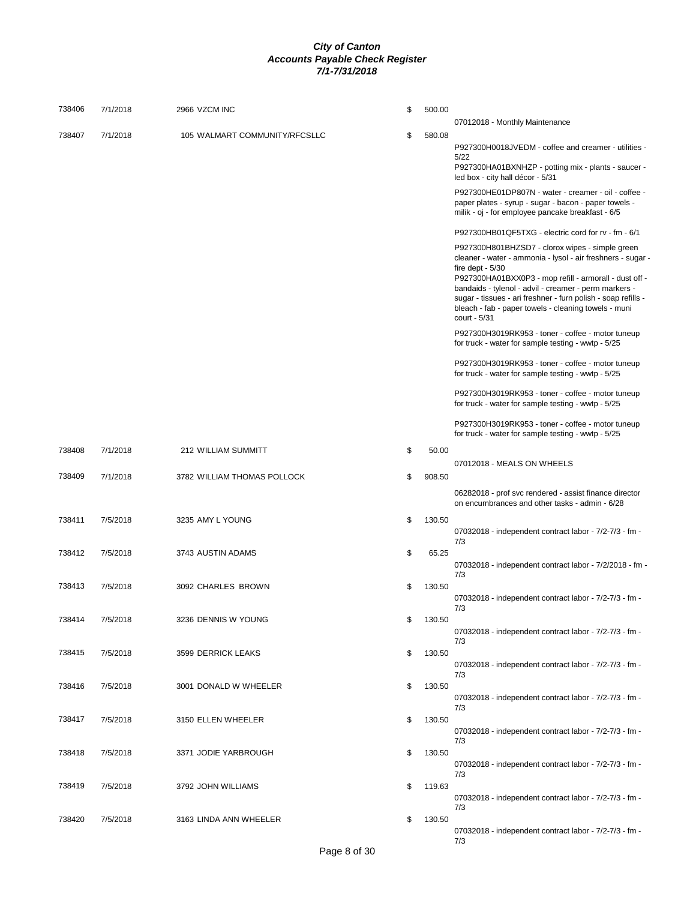| 738406 | 7/1/2018 | 2966 VZCM INC                 | \$<br>500.00 |                                                                                                                                                                                                                                                                                                                                                                                                 |
|--------|----------|-------------------------------|--------------|-------------------------------------------------------------------------------------------------------------------------------------------------------------------------------------------------------------------------------------------------------------------------------------------------------------------------------------------------------------------------------------------------|
|        |          |                               |              | 07012018 - Monthly Maintenance                                                                                                                                                                                                                                                                                                                                                                  |
| 738407 | 7/1/2018 | 105 WALMART COMMUNITY/RFCSLLC | \$<br>580.08 | P927300H0018JVEDM - coffee and creamer - utilities -<br>5/22<br>P927300HA01BXNHZP - potting mix - plants - saucer -<br>led box - city hall décor - 5/31                                                                                                                                                                                                                                         |
|        |          |                               |              | P927300HE01DP807N - water - creamer - oil - coffee -<br>paper plates - syrup - sugar - bacon - paper towels -<br>milik - oj - for employee pancake breakfast - 6/5                                                                                                                                                                                                                              |
|        |          |                               |              | P927300HB01QF5TXG - electric cord for rv - fm - 6/1                                                                                                                                                                                                                                                                                                                                             |
|        |          |                               |              | P927300H801BHZSD7 - clorox wipes - simple green<br>cleaner - water - ammonia - lysol - air freshners - sugar -<br>fire dept $-5/30$<br>P927300HA01BXX0P3 - mop refill - armorall - dust off -<br>bandaids - tylenol - advil - creamer - perm markers -<br>sugar - tissues - ari freshner - furn polish - soap refills -<br>bleach - fab - paper towels - cleaning towels - muni<br>court - 5/31 |
|        |          |                               |              | P927300H3019RK953 - toner - coffee - motor tuneup<br>for truck - water for sample testing - wwtp - 5/25                                                                                                                                                                                                                                                                                         |
|        |          |                               |              | P927300H3019RK953 - toner - coffee - motor tuneup<br>for truck - water for sample testing - wwtp - 5/25                                                                                                                                                                                                                                                                                         |
|        |          |                               |              | P927300H3019RK953 - toner - coffee - motor tuneup<br>for truck - water for sample testing - wwtp - 5/25                                                                                                                                                                                                                                                                                         |
|        |          |                               |              | P927300H3019RK953 - toner - coffee - motor tuneup<br>for truck - water for sample testing - wwtp - 5/25                                                                                                                                                                                                                                                                                         |
| 738408 | 7/1/2018 | 212 WILLIAM SUMMITT           | \$<br>50.00  | 07012018 - MEALS ON WHEELS                                                                                                                                                                                                                                                                                                                                                                      |
| 738409 | 7/1/2018 | 3782 WILLIAM THOMAS POLLOCK   | \$<br>908.50 | 06282018 - prof svc rendered - assist finance director                                                                                                                                                                                                                                                                                                                                          |
|        |          |                               |              | on encumbrances and other tasks - admin - 6/28                                                                                                                                                                                                                                                                                                                                                  |
| 738411 | 7/5/2018 | 3235 AMY L YOUNG              | \$<br>130.50 | 07032018 - independent contract labor - 7/2-7/3 - fm -<br>7/3                                                                                                                                                                                                                                                                                                                                   |
| 738412 | 7/5/2018 | 3743 AUSTIN ADAMS             | \$<br>65.25  | 07032018 - independent contract labor - 7/2/2018 - fm -<br>7/3                                                                                                                                                                                                                                                                                                                                  |
| 738413 | 7/5/2018 | 3092 CHARLES BROWN            | \$<br>130.50 | 07032018 - independent contract labor - 7/2-7/3 - fm -                                                                                                                                                                                                                                                                                                                                          |
| 738414 | 7/5/2018 | 3236 DENNIS W YOUNG           | \$<br>130.50 | 7/3<br>07032018 - independent contract labor - 7/2-7/3 - fm -                                                                                                                                                                                                                                                                                                                                   |
|        |          |                               |              | 7/3                                                                                                                                                                                                                                                                                                                                                                                             |
| 738415 | 7/5/2018 | 3599 DERRICK LEAKS            | \$<br>130.50 | 07032018 - independent contract labor - 7/2-7/3 - fm -<br>7/3                                                                                                                                                                                                                                                                                                                                   |
| 738416 | 7/5/2018 | 3001 DONALD W WHEELER         | \$<br>130.50 | 07032018 - independent contract labor - 7/2-7/3 - fm -<br>7/3                                                                                                                                                                                                                                                                                                                                   |
| 738417 | 7/5/2018 | 3150 ELLEN WHEELER            | \$<br>130.50 | 07032018 - independent contract labor - 7/2-7/3 - fm -                                                                                                                                                                                                                                                                                                                                          |
| 738418 | 7/5/2018 | 3371 JODIE YARBROUGH          | \$<br>130.50 | 7/3                                                                                                                                                                                                                                                                                                                                                                                             |
| 738419 |          |                               | \$           | 07032018 - independent contract labor - 7/2-7/3 - fm -<br>7/3                                                                                                                                                                                                                                                                                                                                   |
|        | 7/5/2018 | 3792 JOHN WILLIAMS            | 119.63       | 07032018 - independent contract labor - 7/2-7/3 - fm -<br>7/3                                                                                                                                                                                                                                                                                                                                   |
| 738420 | 7/5/2018 | 3163 LINDA ANN WHEELER        | \$<br>130.50 | 07032018 - independent contract labor - 7/2-7/3 - fm -<br>7/3                                                                                                                                                                                                                                                                                                                                   |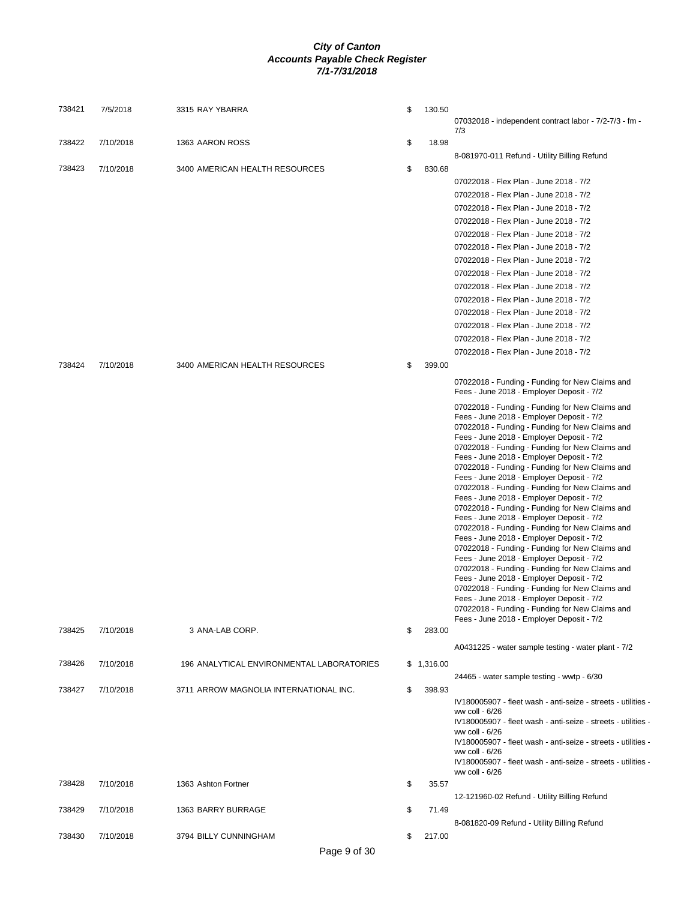| 738421 | 7/5/2018  | 3315 RAY YBARRA                           | \$<br>130.50 | 07032018 - independent contract labor - 7/2-7/3 - fm -                                                                                                                                                                                                                                                                                                                                                                                                                                                                                                                                                                                                                                                                                                                                                                                                                                                                                                                                                                                                                                       |
|--------|-----------|-------------------------------------------|--------------|----------------------------------------------------------------------------------------------------------------------------------------------------------------------------------------------------------------------------------------------------------------------------------------------------------------------------------------------------------------------------------------------------------------------------------------------------------------------------------------------------------------------------------------------------------------------------------------------------------------------------------------------------------------------------------------------------------------------------------------------------------------------------------------------------------------------------------------------------------------------------------------------------------------------------------------------------------------------------------------------------------------------------------------------------------------------------------------------|
| 738422 | 7/10/2018 | 1363 AARON ROSS                           | \$<br>18.98  | 7/3                                                                                                                                                                                                                                                                                                                                                                                                                                                                                                                                                                                                                                                                                                                                                                                                                                                                                                                                                                                                                                                                                          |
| 738423 | 7/10/2018 | 3400 AMERICAN HEALTH RESOURCES            | \$<br>830.68 | 8-081970-011 Refund - Utility Billing Refund                                                                                                                                                                                                                                                                                                                                                                                                                                                                                                                                                                                                                                                                                                                                                                                                                                                                                                                                                                                                                                                 |
|        |           |                                           |              | 07022018 - Flex Plan - June 2018 - 7/2                                                                                                                                                                                                                                                                                                                                                                                                                                                                                                                                                                                                                                                                                                                                                                                                                                                                                                                                                                                                                                                       |
|        |           |                                           |              | 07022018 - Flex Plan - June 2018 - 7/2                                                                                                                                                                                                                                                                                                                                                                                                                                                                                                                                                                                                                                                                                                                                                                                                                                                                                                                                                                                                                                                       |
|        |           |                                           |              | 07022018 - Flex Plan - June 2018 - 7/2                                                                                                                                                                                                                                                                                                                                                                                                                                                                                                                                                                                                                                                                                                                                                                                                                                                                                                                                                                                                                                                       |
|        |           |                                           |              | 07022018 - Flex Plan - June 2018 - 7/2                                                                                                                                                                                                                                                                                                                                                                                                                                                                                                                                                                                                                                                                                                                                                                                                                                                                                                                                                                                                                                                       |
|        |           |                                           |              | 07022018 - Flex Plan - June 2018 - 7/2                                                                                                                                                                                                                                                                                                                                                                                                                                                                                                                                                                                                                                                                                                                                                                                                                                                                                                                                                                                                                                                       |
|        |           |                                           |              | 07022018 - Flex Plan - June 2018 - 7/2                                                                                                                                                                                                                                                                                                                                                                                                                                                                                                                                                                                                                                                                                                                                                                                                                                                                                                                                                                                                                                                       |
|        |           |                                           |              | 07022018 - Flex Plan - June 2018 - 7/2                                                                                                                                                                                                                                                                                                                                                                                                                                                                                                                                                                                                                                                                                                                                                                                                                                                                                                                                                                                                                                                       |
|        |           |                                           |              | 07022018 - Flex Plan - June 2018 - 7/2                                                                                                                                                                                                                                                                                                                                                                                                                                                                                                                                                                                                                                                                                                                                                                                                                                                                                                                                                                                                                                                       |
|        |           |                                           |              | 07022018 - Flex Plan - June 2018 - 7/2                                                                                                                                                                                                                                                                                                                                                                                                                                                                                                                                                                                                                                                                                                                                                                                                                                                                                                                                                                                                                                                       |
|        |           |                                           |              | 07022018 - Flex Plan - June 2018 - 7/2                                                                                                                                                                                                                                                                                                                                                                                                                                                                                                                                                                                                                                                                                                                                                                                                                                                                                                                                                                                                                                                       |
|        |           |                                           |              | 07022018 - Flex Plan - June 2018 - 7/2                                                                                                                                                                                                                                                                                                                                                                                                                                                                                                                                                                                                                                                                                                                                                                                                                                                                                                                                                                                                                                                       |
|        |           |                                           |              | 07022018 - Flex Plan - June 2018 - 7/2                                                                                                                                                                                                                                                                                                                                                                                                                                                                                                                                                                                                                                                                                                                                                                                                                                                                                                                                                                                                                                                       |
|        |           |                                           |              | 07022018 - Flex Plan - June 2018 - 7/2                                                                                                                                                                                                                                                                                                                                                                                                                                                                                                                                                                                                                                                                                                                                                                                                                                                                                                                                                                                                                                                       |
|        |           |                                           |              | 07022018 - Flex Plan - June 2018 - 7/2                                                                                                                                                                                                                                                                                                                                                                                                                                                                                                                                                                                                                                                                                                                                                                                                                                                                                                                                                                                                                                                       |
| 738424 | 7/10/2018 | 3400 AMERICAN HEALTH RESOURCES            | \$<br>399.00 |                                                                                                                                                                                                                                                                                                                                                                                                                                                                                                                                                                                                                                                                                                                                                                                                                                                                                                                                                                                                                                                                                              |
|        |           |                                           |              | 07022018 - Funding - Funding for New Claims and<br>Fees - June 2018 - Employer Deposit - 7/2                                                                                                                                                                                                                                                                                                                                                                                                                                                                                                                                                                                                                                                                                                                                                                                                                                                                                                                                                                                                 |
| 738425 | 7/10/2018 | 3 ANA-LAB CORP.                           | \$<br>283.00 | 07022018 - Funding - Funding for New Claims and<br>Fees - June 2018 - Employer Deposit - 7/2<br>07022018 - Funding - Funding for New Claims and<br>Fees - June 2018 - Employer Deposit - 7/2<br>07022018 - Funding - Funding for New Claims and<br>Fees - June 2018 - Employer Deposit - 7/2<br>07022018 - Funding - Funding for New Claims and<br>Fees - June 2018 - Employer Deposit - 7/2<br>07022018 - Funding - Funding for New Claims and<br>Fees - June 2018 - Employer Deposit - 7/2<br>07022018 - Funding - Funding for New Claims and<br>Fees - June 2018 - Employer Deposit - 7/2<br>07022018 - Funding - Funding for New Claims and<br>Fees - June 2018 - Employer Deposit - 7/2<br>07022018 - Funding - Funding for New Claims and<br>Fees - June 2018 - Employer Deposit - 7/2<br>07022018 - Funding - Funding for New Claims and<br>Fees - June 2018 - Employer Deposit - 7/2<br>07022018 - Funding - Funding for New Claims and<br>Fees - June 2018 - Employer Deposit - 7/2<br>07022018 - Funding - Funding for New Claims and<br>Fees - June 2018 - Employer Deposit - 7/2 |
|        |           |                                           |              |                                                                                                                                                                                                                                                                                                                                                                                                                                                                                                                                                                                                                                                                                                                                                                                                                                                                                                                                                                                                                                                                                              |
| 738426 | 7/10/2018 | 196 ANALYTICAL ENVIRONMENTAL LABORATORIES | \$1,316.00   | A0431225 - water sample testing - water plant - 7/2                                                                                                                                                                                                                                                                                                                                                                                                                                                                                                                                                                                                                                                                                                                                                                                                                                                                                                                                                                                                                                          |
|        |           |                                           |              | 24465 - water sample testing - wwtp - 6/30                                                                                                                                                                                                                                                                                                                                                                                                                                                                                                                                                                                                                                                                                                                                                                                                                                                                                                                                                                                                                                                   |
| 738427 | 7/10/2018 | 3711 ARROW MAGNOLIA INTERNATIONAL INC.    | \$<br>398.93 | IV180005907 - fleet wash - anti-seize - streets - utilities -<br>ww coll - 6/26<br>IV180005907 - fleet wash - anti-seize - streets - utilities -<br>ww coll - 6/26<br>IV180005907 - fleet wash - anti-seize - streets - utilities -<br>ww coll - 6/26<br>IV180005907 - fleet wash - anti-seize - streets - utilities<br>ww coll - 6/26                                                                                                                                                                                                                                                                                                                                                                                                                                                                                                                                                                                                                                                                                                                                                       |
| 738428 | 7/10/2018 | 1363 Ashton Fortner                       | \$<br>35.57  |                                                                                                                                                                                                                                                                                                                                                                                                                                                                                                                                                                                                                                                                                                                                                                                                                                                                                                                                                                                                                                                                                              |
|        |           |                                           |              | 12-121960-02 Refund - Utility Billing Refund                                                                                                                                                                                                                                                                                                                                                                                                                                                                                                                                                                                                                                                                                                                                                                                                                                                                                                                                                                                                                                                 |
| 738429 | 7/10/2018 | 1363 BARRY BURRAGE                        | \$<br>71.49  | 8-081820-09 Refund - Utility Billing Refund                                                                                                                                                                                                                                                                                                                                                                                                                                                                                                                                                                                                                                                                                                                                                                                                                                                                                                                                                                                                                                                  |
| 738430 | 7/10/2018 | 3794 BILLY CUNNINGHAM                     | \$<br>217.00 |                                                                                                                                                                                                                                                                                                                                                                                                                                                                                                                                                                                                                                                                                                                                                                                                                                                                                                                                                                                                                                                                                              |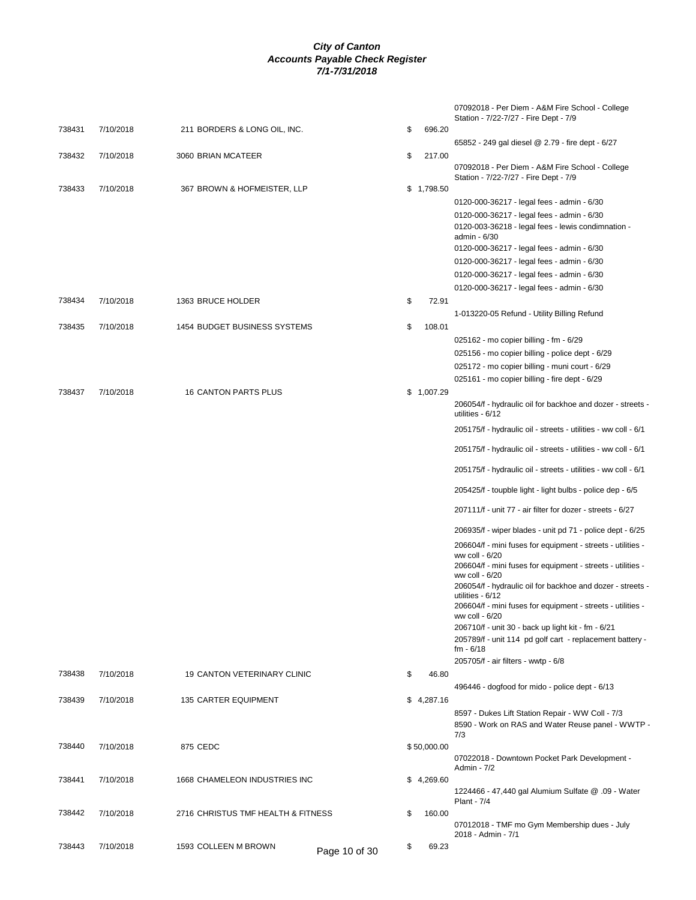|        |           |                                    |               |              | 07092018 - Per Diem - A&M Fire School - College<br>Station - 7/22-7/27 - Fire Dept - 7/9 |
|--------|-----------|------------------------------------|---------------|--------------|------------------------------------------------------------------------------------------|
| 738431 | 7/10/2018 | 211 BORDERS & LONG OIL, INC.       |               | \$<br>696.20 |                                                                                          |
|        |           |                                    |               |              | 65852 - 249 gal diesel @ 2.79 - fire dept - 6/27                                         |
| 738432 | 7/10/2018 | 3060 BRIAN MCATEER                 |               | \$<br>217.00 | 07092018 - Per Diem - A&M Fire School - College<br>Station - 7/22-7/27 - Fire Dept - 7/9 |
| 738433 | 7/10/2018 | 367 BROWN & HOFMEISTER, LLP        |               | \$1,798.50   |                                                                                          |
|        |           |                                    |               |              | 0120-000-36217 - legal fees - admin - 6/30<br>0120-000-36217 - legal fees - admin - 6/30 |
|        |           |                                    |               |              | 0120-003-36218 - legal fees - lewis condimnation -<br>admin - 6/30                       |
|        |           |                                    |               |              | 0120-000-36217 - legal fees - admin - 6/30                                               |
|        |           |                                    |               |              | 0120-000-36217 - legal fees - admin - 6/30                                               |
|        |           |                                    |               |              | 0120-000-36217 - legal fees - admin - 6/30                                               |
|        |           |                                    |               |              | 0120-000-36217 - legal fees - admin - 6/30                                               |
| 738434 | 7/10/2018 | 1363 BRUCE HOLDER                  |               | \$<br>72.91  |                                                                                          |
|        |           |                                    |               |              | 1-013220-05 Refund - Utility Billing Refund                                              |
| 738435 | 7/10/2018 | 1454 BUDGET BUSINESS SYSTEMS       |               | \$<br>108.01 |                                                                                          |
|        |           |                                    |               |              | 025162 - mo copier billing - fm - 6/29                                                   |
|        |           |                                    |               |              | 025156 - mo copier billing - police dept - 6/29                                          |
|        |           |                                    |               |              | 025172 - mo copier billing - muni court - 6/29                                           |
|        |           |                                    |               |              | 025161 - mo copier billing - fire dept - 6/29                                            |
| 738437 | 7/10/2018 | 16 CANTON PARTS PLUS               |               | \$1,007.29   | 206054/f - hydraulic oil for backhoe and dozer - streets -<br>utilities - 6/12           |
|        |           |                                    |               |              | 205175/f - hydraulic oil - streets - utilities - ww coll - 6/1                           |
|        |           |                                    |               |              | 205175/f - hydraulic oil - streets - utilities - ww coll - 6/1                           |
|        |           |                                    |               |              | 205175/f - hydraulic oil - streets - utilities - ww coll - 6/1                           |
|        |           |                                    |               |              | 205425/f - toupble light - light bulbs - police dep - 6/5                                |
|        |           |                                    |               |              | 207111/f - unit 77 - air filter for dozer - streets - 6/27                               |
|        |           |                                    |               |              | 206935/f - wiper blades - unit pd 71 - police dept - 6/25                                |
|        |           |                                    |               |              | 206604/f - mini fuses for equipment - streets - utilities -<br>ww coll - 6/20            |
|        |           |                                    |               |              | 206604/f - mini fuses for equipment - streets - utilities -<br>ww coll - 6/20            |
|        |           |                                    |               |              | 206054/f - hydraulic oil for backhoe and dozer - streets -<br>utilities - 6/12           |
|        |           |                                    |               |              | 206604/f - mini fuses for equipment - streets - utilities -<br>ww coll - 6/20            |
|        |           |                                    |               |              | 206710/f - unit 30 - back up light kit - fm - 6/21                                       |
|        |           |                                    |               |              | 205789/f - unit 114 pd golf cart - replacement battery -<br>$fm - 6/18$                  |
|        |           |                                    |               | \$           | 205705/f - air filters - wwtp - 6/8                                                      |
| 738438 | 7/10/2018 | 19 CANTON VETERINARY CLINIC        |               | 46.80        |                                                                                          |
| 738439 | 7/10/2018 | 135 CARTER EQUIPMENT               |               | \$4,287.16   | 496446 - dogfood for mido - police dept - 6/13                                           |
|        |           |                                    |               |              | 8597 - Dukes Lift Station Repair - WW Coll - 7/3                                         |
|        |           |                                    |               |              | 8590 - Work on RAS and Water Reuse panel - WWTP -<br>7/3                                 |
| 738440 | 7/10/2018 | 875 CEDC                           |               | \$50,000.00  |                                                                                          |
|        |           |                                    |               |              | 07022018 - Downtown Pocket Park Development -                                            |
| 738441 | 7/10/2018 | 1668 CHAMELEON INDUSTRIES INC      |               | \$4,269.60   | Admin - 7/2                                                                              |
|        |           |                                    |               |              | 1224466 - 47,440 gal Alumium Sulfate @ .09 - Water                                       |
|        |           |                                    |               |              | <b>Plant - 7/4</b>                                                                       |
| 738442 | 7/10/2018 | 2716 CHRISTUS TMF HEALTH & FITNESS |               | \$<br>160.00 | 07012018 - TMF mo Gym Membership dues - July                                             |
| 738443 | 7/10/2018 | 1593 COLLEEN M BROWN               |               | \$<br>69.23  | 2018 - Admin - 7/1                                                                       |
|        |           |                                    | Page 10 of 30 |              |                                                                                          |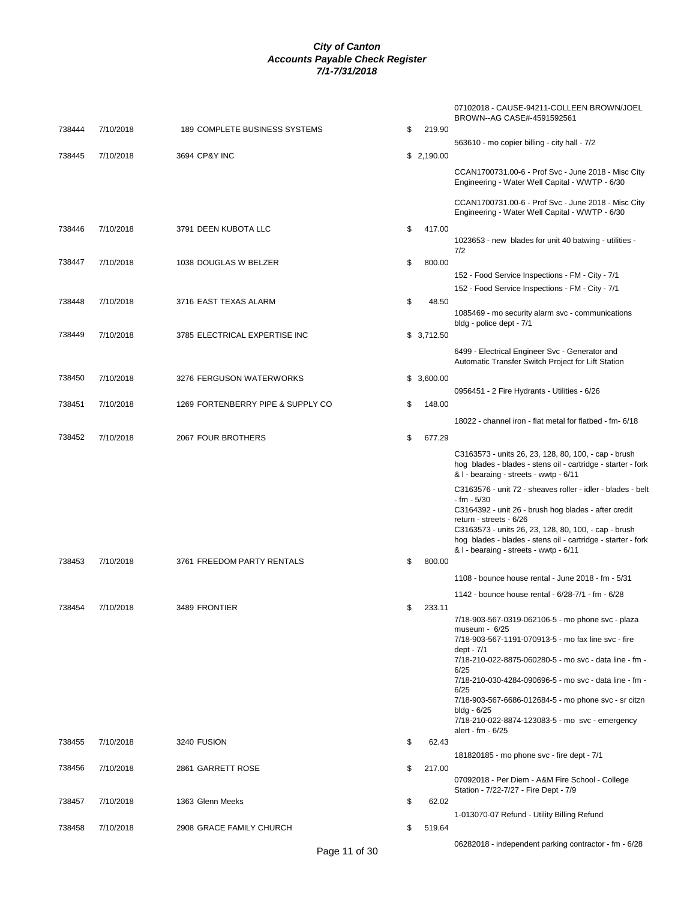|        |           |                                   |              | 07102018 - CAUSE-94211-COLLEEN BROWN/JOEL<br>BROWN--AG CASE#-4591592561                                                                                        |
|--------|-----------|-----------------------------------|--------------|----------------------------------------------------------------------------------------------------------------------------------------------------------------|
| 738444 | 7/10/2018 | 189 COMPLETE BUSINESS SYSTEMS     | \$<br>219.90 | 563610 - mo copier billing - city hall - 7/2                                                                                                                   |
| 738445 | 7/10/2018 | 3694 CP&Y INC                     | \$2,190.00   |                                                                                                                                                                |
|        |           |                                   |              | CCAN1700731.00-6 - Prof Svc - June 2018 - Misc City<br>Engineering - Water Well Capital - WWTP - 6/30                                                          |
|        |           |                                   |              | CCAN1700731.00-6 - Prof Svc - June 2018 - Misc City<br>Engineering - Water Well Capital - WWTP - 6/30                                                          |
| 738446 | 7/10/2018 | 3791 DEEN KUBOTA LLC              | \$<br>417.00 | 1023653 - new blades for unit 40 batwing - utilities -<br>7/2                                                                                                  |
| 738447 | 7/10/2018 | 1038 DOUGLAS W BELZER             | \$<br>800.00 |                                                                                                                                                                |
|        |           |                                   |              | 152 - Food Service Inspections - FM - City - 7/1<br>152 - Food Service Inspections - FM - City - 7/1                                                           |
| 738448 | 7/10/2018 | 3716 EAST TEXAS ALARM             | \$<br>48.50  |                                                                                                                                                                |
|        |           |                                   |              | 1085469 - mo security alarm svc - communications<br>bldg - police dept - 7/1                                                                                   |
| 738449 | 7/10/2018 | 3785 ELECTRICAL EXPERTISE INC     | \$3,712.50   |                                                                                                                                                                |
|        |           |                                   |              | 6499 - Electrical Engineer Svc - Generator and<br>Automatic Transfer Switch Project for Lift Station                                                           |
| 738450 | 7/10/2018 | 3276 FERGUSON WATERWORKS          | \$3,600.00   |                                                                                                                                                                |
|        |           |                                   |              | 0956451 - 2 Fire Hydrants - Utilities - 6/26                                                                                                                   |
| 738451 | 7/10/2018 | 1269 FORTENBERRY PIPE & SUPPLY CO | \$<br>148.00 |                                                                                                                                                                |
|        |           |                                   |              | 18022 - channel iron - flat metal for flatbed - fm- 6/18                                                                                                       |
| 738452 | 7/10/2018 | 2067 FOUR BROTHERS                | \$<br>677.29 |                                                                                                                                                                |
|        |           |                                   |              | C3163573 - units 26, 23, 128, 80, 100, - cap - brush<br>hog blades - blades - stens oil - cartridge - starter - fork<br>& I - bearaing - streets - wwtp - 6/11 |
|        |           |                                   |              | C3163576 - unit 72 - sheaves roller - idler - blades - belt                                                                                                    |
|        |           |                                   |              | - fm - 5/30<br>C3164392 - unit 26 - brush hog blades - after credit<br>return - streets - 6/26                                                                 |
|        |           |                                   |              | C3163573 - units 26, 23, 128, 80, 100, - cap - brush<br>hog blades - blades - stens oil - cartridge - starter - fork                                           |
| 738453 | 7/10/2018 | 3761 FREEDOM PARTY RENTALS        | \$<br>800.00 | & I - bearaing - streets - wwtp - 6/11                                                                                                                         |
|        |           |                                   |              | 1108 - bounce house rental - June 2018 - fm - 5/31                                                                                                             |
|        |           |                                   |              | 1142 - bounce house rental - 6/28-7/1 - fm - 6/28                                                                                                              |
| 738454 | 7/10/2018 | 3489 FRONTIER                     | \$<br>233.11 |                                                                                                                                                                |
|        |           |                                   |              | 7/18-903-567-0319-062106-5 - mo phone svc - plaza<br>museum - $6/25$                                                                                           |
|        |           |                                   |              | 7/18-903-567-1191-070913-5 - mo fax line svc - fire                                                                                                            |
|        |           |                                   |              | dept - $7/1$<br>7/18-210-022-8875-060280-5 - mo svc - data line - fm -<br>6/25                                                                                 |
|        |           |                                   |              | 7/18-210-030-4284-090696-5 - mo svc - data line - fm -<br>6/25                                                                                                 |
|        |           |                                   |              | 7/18-903-567-6686-012684-5 - mo phone svc - sr citzn                                                                                                           |
|        |           |                                   |              | $b$ ldg - $6/25$<br>7/18-210-022-8874-123083-5 - mo svc - emergency<br>alert - fm - 6/25                                                                       |
| 738455 | 7/10/2018 | 3240 FUSION                       | \$<br>62.43  |                                                                                                                                                                |
|        |           |                                   |              | 181820185 - mo phone svc - fire dept - 7/1                                                                                                                     |
| 738456 | 7/10/2018 | 2861 GARRETT ROSE                 | \$<br>217.00 | 07092018 - Per Diem - A&M Fire School - College                                                                                                                |
|        |           |                                   |              | Station - 7/22-7/27 - Fire Dept - 7/9                                                                                                                          |
| 738457 | 7/10/2018 | 1363 Glenn Meeks                  | \$<br>62.02  | 1-013070-07 Refund - Utility Billing Refund                                                                                                                    |
| 738458 | 7/10/2018 | 2908 GRACE FAMILY CHURCH          | \$<br>519.64 |                                                                                                                                                                |
|        |           |                                   |              | 06282018 - independent parking contractor - fm - 6/28                                                                                                          |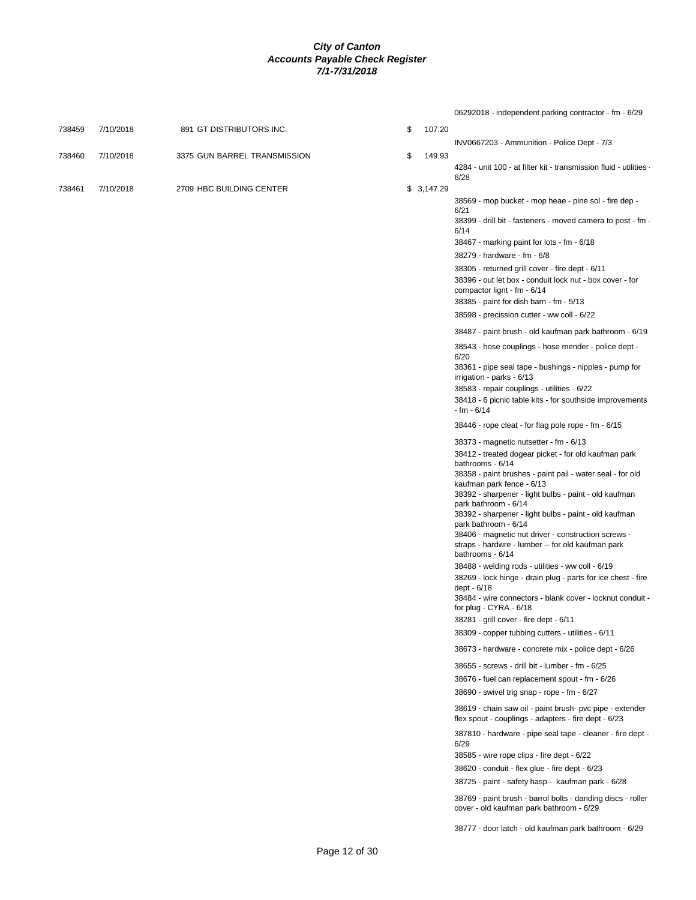|        |           |                              |    |            | 06292018 - independent parking contractor - fm - 6/29                                                                        |
|--------|-----------|------------------------------|----|------------|------------------------------------------------------------------------------------------------------------------------------|
| 738459 | 7/10/2018 | 891 GT DISTRIBUTORS INC.     | \$ | 107.20     |                                                                                                                              |
|        |           |                              |    |            | INV0667203 - Ammunition - Police Dept - 7/3                                                                                  |
| 738460 | 7/10/2018 | 3375 GUN BARREL TRANSMISSION | \$ | 149.93     |                                                                                                                              |
|        |           |                              |    |            | 4284 - unit 100 - at filter kit - transmission fluid - utilities ·<br>6/28                                                   |
| 738461 | 7/10/2018 | 2709 HBC BUILDING CENTER     |    | \$3,147.29 |                                                                                                                              |
|        |           |                              |    |            | 38569 - mop bucket - mop heae - pine sol - fire dep -                                                                        |
|        |           |                              |    |            | 6/21                                                                                                                         |
|        |           |                              |    |            | 38399 - drill bit - fasteners - moved camera to post - fm -<br>6/14                                                          |
|        |           |                              |    |            | 38467 - marking paint for lots - fm - 6/18                                                                                   |
|        |           |                              |    |            | 38279 - hardware - fm - 6/8                                                                                                  |
|        |           |                              |    |            | 38305 - returned grill cover - fire dept - 6/11                                                                              |
|        |           |                              |    |            | 38396 - out let box - conduit lock nut - box cover - for                                                                     |
|        |           |                              |    |            | compactor lignt - fm - 6/14<br>38385 - paint for dish barn - fm - 5/13                                                       |
|        |           |                              |    |            | 38598 - precission cutter - ww coll - 6/22                                                                                   |
|        |           |                              |    |            |                                                                                                                              |
|        |           |                              |    |            | 38487 - paint brush - old kaufman park bathroom - 6/19                                                                       |
|        |           |                              |    |            | 38543 - hose couplings - hose mender - police dept -<br>6/20                                                                 |
|        |           |                              |    |            | 38361 - pipe seal tape - bushings - nipples - pump for<br>irrigation - parks - 6/13                                          |
|        |           |                              |    |            | 38583 - repair couplings - utilities - 6/22                                                                                  |
|        |           |                              |    |            | 38418 - 6 picnic table kits - for southside improvements<br>- fm - 6/14                                                      |
|        |           |                              |    |            | 38446 - rope cleat - for flag pole rope - fm - 6/15                                                                          |
|        |           |                              |    |            | 38373 - magnetic nutsetter - fm - 6/13                                                                                       |
|        |           |                              |    |            | 38412 - treated dogear picket - for old kaufman park                                                                         |
|        |           |                              |    |            | bathrooms - 6/14<br>38358 - paint brushes - paint pail - water seal - for old                                                |
|        |           |                              |    |            | kaufman park fence - 6/13                                                                                                    |
|        |           |                              |    |            | 38392 - sharpener - light bulbs - paint - old kaufman<br>park bathroom - 6/14                                                |
|        |           |                              |    |            | 38392 - sharpener - light bulbs - paint - old kaufman                                                                        |
|        |           |                              |    |            | park bathroom - 6/14                                                                                                         |
|        |           |                              |    |            | 38406 - magnetic nut driver - construction screws -<br>straps - hardwre - lumber -- for old kaufman park<br>bathrooms - 6/14 |
|        |           |                              |    |            | 38488 - welding rods - utilities - ww coll - 6/19                                                                            |
|        |           |                              |    |            | 38269 - lock hinge - drain plug - parts for ice chest - fire                                                                 |
|        |           |                              |    |            | dept - 6/18                                                                                                                  |
|        |           |                              |    |            | 38484 - wire connectors - blank cover - locknut conduit -<br>for plug - CYRA - 6/18                                          |
|        |           |                              |    |            | 38281 - grill cover - fire dept - 6/11                                                                                       |
|        |           |                              |    |            | 38309 - copper tubbing cutters - utilities - 6/11                                                                            |
|        |           |                              |    |            | 38673 - hardware - concrete mix - police dept - 6/26                                                                         |
|        |           |                              |    |            | 38655 - screws - drill bit - lumber - fm - 6/25                                                                              |
|        |           |                              |    |            | 38676 - fuel can replacement spout - fm - 6/26                                                                               |
|        |           |                              |    |            | 38690 - swivel trig snap - rope - fm - 6/27                                                                                  |
|        |           |                              |    |            | 38619 - chain saw oil - paint brush- pvc pipe - extender<br>flex spout - couplings - adapters - fire dept - 6/23             |
|        |           |                              |    |            | 387810 - hardware - pipe seal tape - cleaner - fire dept -                                                                   |
|        |           |                              |    |            | 6/29<br>38585 - wire rope clips - fire dept - 6/22                                                                           |
|        |           |                              |    |            | 38620 - conduit - flex glue - fire dept - 6/23                                                                               |
|        |           |                              |    |            | 38725 - paint - safety hasp - kaufman park - 6/28                                                                            |
|        |           |                              |    |            | 38769 - paint brush - barrol bolts - danding discs - roller<br>cover - old kaufman park bathroom - 6/29                      |
|        |           |                              |    |            | 38777 - door latch - old kaufman park bathroom - 6/29                                                                        |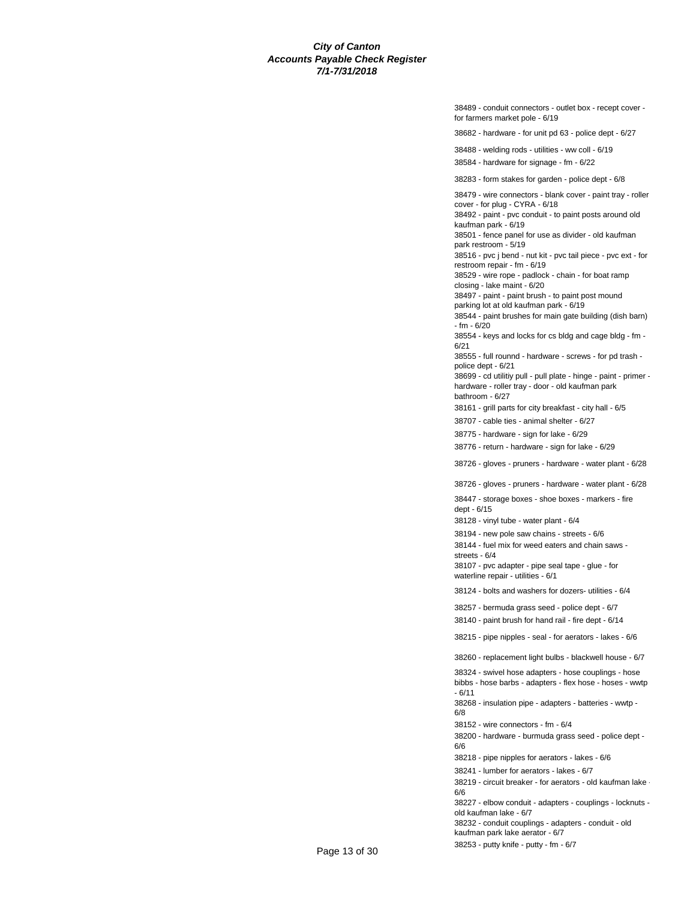38489 - conduit connectors - outlet box - recept cover for farmers market pole - 6/19

38682 - hardware - for unit pd 63 - police dept - 6/27

38488 - welding rods - utilities - ww coll - 6/19

38584 - hardware for signage - fm - 6/22

38283 - form stakes for garden - police dept - 6/8

38479 - wire connectors - blank cover - paint tray - roller cover - for plug - CYRA - 6/18

38492 - paint - pvc conduit - to paint posts around old kaufman park - 6/19

38501 - fence panel for use as divider - old kaufman park restroom - 5/19

38516 - pvc j bend - nut kit - pvc tail piece - pvc ext - for restroom repair - fm - 6/19

38529 - wire rope - padlock - chain - for boat ramp closing - lake maint - 6/20

38497 - paint - paint brush - to paint post mound

parking lot at old kaufman park - 6/19

38544 - paint brushes for main gate building (dish barn) - fm - 6/20

38554 - keys and locks for cs bldg and cage bldg - fm - 6/21

38555 - full rounnd - hardware - screws - for pd trash police dept - 6/21

38699 - cd utilitiy pull - pull plate - hinge - paint - primer hardware - roller tray - door - old kaufman park

bathroom - 6/27 38161 - grill parts for city breakfast - city hall - 6/5

38707 - cable ties - animal shelter - 6/27

38775 - hardware - sign for lake - 6/29

38776 - return - hardware - sign for lake - 6/29

38726 - gloves - pruners - hardware - water plant - 6/28

38726 - gloves - pruners - hardware - water plant - 6/28

38447 - storage boxes - shoe boxes - markers - fire dept - 6/15

38128 - vinyl tube - water plant - 6/4

38194 - new pole saw chains - streets - 6/6

38144 - fuel mix for weed eaters and chain saws streets - 6/4

38107 - pvc adapter - pipe seal tape - glue - for waterline repair - utilities - 6/1

38124 - bolts and washers for dozers- utilities - 6/4

38257 - bermuda grass seed - police dept - 6/7

38140 - paint brush for hand rail - fire dept - 6/14

38215 - pipe nipples - seal - for aerators - lakes - 6/6

38260 - replacement light bulbs - blackwell house - 6/7

38324 - swivel hose adapters - hose couplings - hose bibbs - hose barbs - adapters - flex hose - hoses - wwtp - 6/11

38268 - insulation pipe - adapters - batteries - wwtp -

6/8

38152 - wire connectors - fm - 6/4

38200 - hardware - burmuda grass seed - police dept - 6/6

38218 - pipe nipples for aerators - lakes - 6/6

38241 - lumber for aerators - lakes - 6/7

38219 - circuit breaker - for aerators - old kaufman lake - 6/6

38227 - elbow conduit - adapters - couplings - locknuts old kaufman lake - 6/7

38232 - conduit couplings - adapters - conduit - old kaufman park lake aerator - 6/7

38253 - putty knife - putty - fm - 6/7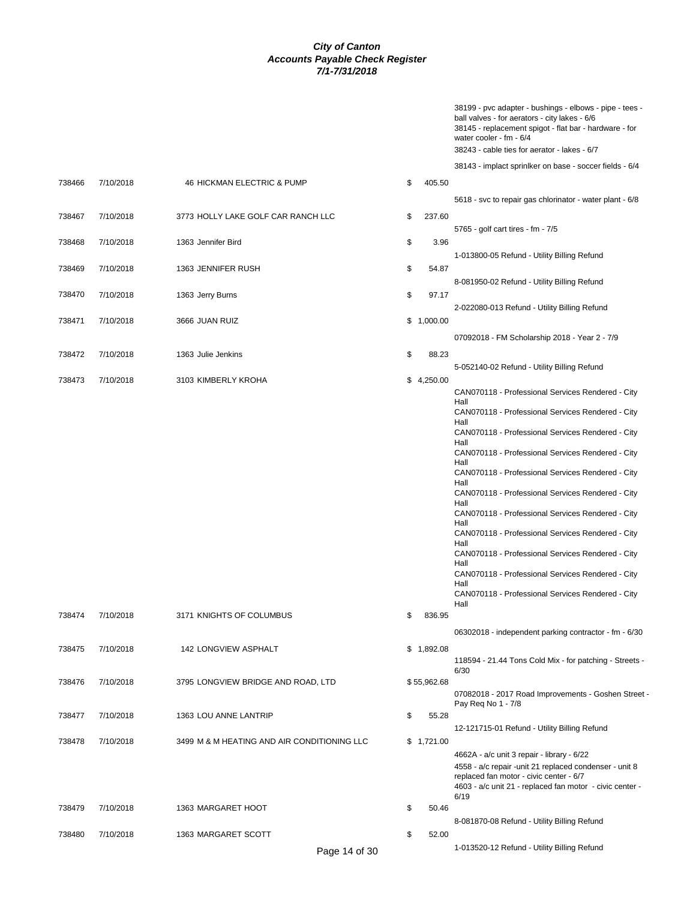|        |           |                                    |              | 38199 - pvc adapter - bushings - elbows - pipe - tees -<br>ball valves - for aerators - city lakes - 6/6<br>38145 - replacement spigot - flat bar - hardware - for<br>water cooler - $fm - 6/4$<br>38243 - cable ties for aerator - lakes - 6/7 |
|--------|-----------|------------------------------------|--------------|-------------------------------------------------------------------------------------------------------------------------------------------------------------------------------------------------------------------------------------------------|
|        |           |                                    |              | 38143 - implact sprinlker on base - soccer fields - 6/4                                                                                                                                                                                         |
| 738466 | 7/10/2018 | 46 HICKMAN ELECTRIC & PUMP         | \$<br>405.50 |                                                                                                                                                                                                                                                 |
|        |           |                                    |              | 5618 - svc to repair gas chlorinator - water plant - 6/8                                                                                                                                                                                        |
| 738467 | 7/10/2018 | 3773 HOLLY LAKE GOLF CAR RANCH LLC | \$<br>237.60 |                                                                                                                                                                                                                                                 |
|        |           |                                    |              | 5765 - golf cart tires - fm - 7/5                                                                                                                                                                                                               |
| 738468 | 7/10/2018 | 1363 Jennifer Bird                 | \$<br>3.96   |                                                                                                                                                                                                                                                 |
|        |           |                                    |              | 1-013800-05 Refund - Utility Billing Refund                                                                                                                                                                                                     |
| 738469 | 7/10/2018 | 1363 JENNIFER RUSH                 | \$<br>54.87  |                                                                                                                                                                                                                                                 |
|        |           |                                    |              | 8-081950-02 Refund - Utility Billing Refund                                                                                                                                                                                                     |

 738469 7/10/2018 1363 JENNIFER RUSH \$ 54.87 738470 7/10/2018 1363 Jerry Burns \$ 97.17 2-022080-013 Refund - Utility Billing Refund 738471 7/10/2018 3666 JUAN RUIZ \$ 1,000.00 07092018 - FM Scholarship 2018 - Year 2 - 7/9 738472 7/10/2018 1363 Julie Jenkins \$ 88.23 5-052140-02 Refund - Utility Billing Refund 738473 7/10/2018 3103 KIMBERLY KROHA \$ 4,250.00 CAN070118 - Professional Services Rendered - City Hall CAN070118 - Professional Services Rendered - City Hall CAN070118 - Professional Services Rendered - City Hall CAN070118 - Professional Services Rendered - City Hall CAN070118 - Professional Services Rendered - City Hall CAN070118 - Professional Services Rendered - City Hall CAN070118 - Professional Services Rendered - City Hall CAN070118 - Professional Services Rendered - City Hall CAN070118 - Professional Services Rendered - City Hall CAN070118 - Professional Services Rendered - City Hall CAN070118 - Professional Services Rendered - City Hall 738474 7/10/2018 3171 KNIGHTS OF COLUMBUS \$ 836.95 06302018 - independent parking contractor - fm - 6/30 738475 7/10/2018 142 LONGVIEW ASPHALT \$ 1,892.08 118594 - 21.44 Tons Cold Mix - for patching - Streets - 6/30 738476 7/10/2018 3795 LONGVIEW BRIDGE AND ROAD, LTD \$ 55,962.68 07082018 - 2017 Road Improvements - Goshen Street - Pay Req No 1 - 7/8 738477 7/10/2018 1363 LOU ANNE LANTRIP \$ 55.28 12-121715-01 Refund - Utility Billing Refund 738478 7/10/2018 3499 M & M HEATING AND AIR CONDITIONING LLC \$ 1,721.00 4662A - a/c unit 3 repair - library - 6/22 4558 - a/c repair -unit 21 replaced condenser - unit 8 replaced fan motor - civic center - 6/7 4603 - a/c unit 21 - replaced fan motor - civic center - 6/19 738479 7/10/2018 1363 MARGARET HOOT \$ 50.46 8-081870-08 Refund - Utility Billing Refund 738480 7/10/2018 1363 MARGARET SCOTT \$ 52.00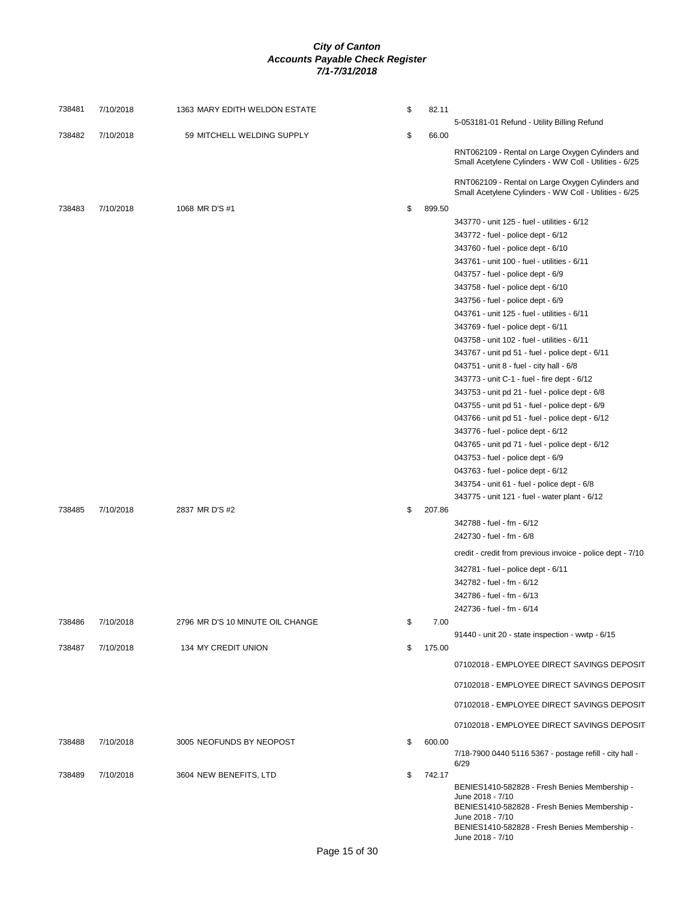| 738481 | 7/10/2018 | 1363 MARY EDITH WELDON ESTATE    | \$<br>82.11  |                                                                                                                                                                                         |
|--------|-----------|----------------------------------|--------------|-----------------------------------------------------------------------------------------------------------------------------------------------------------------------------------------|
|        |           |                                  |              | 5-053181-01 Refund - Utility Billing Refund                                                                                                                                             |
| 738482 | 7/10/2018 | 59 MITCHELL WELDING SUPPLY       | \$<br>66.00  |                                                                                                                                                                                         |
|        |           |                                  |              | RNT062109 - Rental on Large Oxygen Cylinders and<br>Small Acetylene Cylinders - WW Coll - Utilities - 6/25                                                                              |
|        |           |                                  |              | RNT062109 - Rental on Large Oxygen Cylinders and<br>Small Acetylene Cylinders - WW Coll - Utilities - 6/25                                                                              |
| 738483 | 7/10/2018 | 1068 MR D'S #1                   | \$<br>899.50 |                                                                                                                                                                                         |
|        |           |                                  |              | 343770 - unit 125 - fuel - utilities - 6/12                                                                                                                                             |
|        |           |                                  |              | 343772 - fuel - police dept - 6/12                                                                                                                                                      |
|        |           |                                  |              | 343760 - fuel - police dept - 6/10                                                                                                                                                      |
|        |           |                                  |              | 343761 - unit 100 - fuel - utilities - 6/11                                                                                                                                             |
|        |           |                                  |              | 043757 - fuel - police dept - 6/9                                                                                                                                                       |
|        |           |                                  |              | 343758 - fuel - police dept - 6/10                                                                                                                                                      |
|        |           |                                  |              | 343756 - fuel - police dept - 6/9                                                                                                                                                       |
|        |           |                                  |              | 043761 - unit 125 - fuel - utilities - 6/11                                                                                                                                             |
|        |           |                                  |              | 343769 - fuel - police dept - 6/11                                                                                                                                                      |
|        |           |                                  |              | 043758 - unit 102 - fuel - utilities - 6/11                                                                                                                                             |
|        |           |                                  |              | 343767 - unit pd 51 - fuel - police dept - 6/11                                                                                                                                         |
|        |           |                                  |              | 043751 - unit 8 - fuel - city hall - 6/8                                                                                                                                                |
|        |           |                                  |              | 343773 - unit C-1 - fuel - fire dept - 6/12                                                                                                                                             |
|        |           |                                  |              | 343753 - unit pd 21 - fuel - police dept - 6/8                                                                                                                                          |
|        |           |                                  |              | 043755 - unit pd 51 - fuel - police dept - 6/9                                                                                                                                          |
|        |           |                                  |              | 043766 - unit pd 51 - fuel - police dept - 6/12                                                                                                                                         |
|        |           |                                  |              | 343776 - fuel - police dept - 6/12                                                                                                                                                      |
|        |           |                                  |              | 043765 - unit pd 71 - fuel - police dept - 6/12                                                                                                                                         |
|        |           |                                  |              | 043753 - fuel - police dept - 6/9                                                                                                                                                       |
|        |           |                                  |              | 043763 - fuel - police dept - 6/12                                                                                                                                                      |
|        |           |                                  |              | 343754 - unit 61 - fuel - police dept - 6/8                                                                                                                                             |
|        |           |                                  |              | 343775 - unit 121 - fuel - water plant - 6/12                                                                                                                                           |
| 738485 | 7/10/2018 | 2837 MR D'S #2                   | \$<br>207.86 |                                                                                                                                                                                         |
|        |           |                                  |              | 342788 - fuel - fm - 6/12                                                                                                                                                               |
|        |           |                                  |              | 242730 - fuel - fm - 6/8                                                                                                                                                                |
|        |           |                                  |              | credit - credit from previous invoice - police dept - 7/10                                                                                                                              |
|        |           |                                  |              | 342781 - fuel - police dept - 6/11                                                                                                                                                      |
|        |           |                                  |              | 342782 - fuel - fm - 6/12                                                                                                                                                               |
|        |           |                                  |              | 342786 - fuel - fm - 6/13                                                                                                                                                               |
|        | 7/10/2018 | 2796 MR D'S 10 MINUTE OIL CHANGE | \$<br>7.00   | 242736 - fuel - fm - 6/14                                                                                                                                                               |
| 738486 |           |                                  |              | 91440 - unit 20 - state inspection - wwtp - 6/15                                                                                                                                        |
| 738487 | 7/10/2018 | 134 MY CREDIT UNION              | \$<br>175.00 |                                                                                                                                                                                         |
|        |           |                                  |              | 07102018 - EMPLOYEE DIRECT SAVINGS DEPOSIT                                                                                                                                              |
|        |           |                                  |              | 07102018 - EMPLOYEE DIRECT SAVINGS DEPOSIT                                                                                                                                              |
|        |           |                                  |              | 07102018 - EMPLOYEE DIRECT SAVINGS DEPOSIT                                                                                                                                              |
|        |           |                                  |              | 07102018 - EMPLOYEE DIRECT SAVINGS DEPOSIT                                                                                                                                              |
| 738488 | 7/10/2018 | 3005 NEOFUNDS BY NEOPOST         | \$<br>600.00 | 7/18-7900 0440 5116 5367 - postage refill - city hall -<br>6/29                                                                                                                         |
| 738489 | 7/10/2018 | 3604 NEW BENEFITS, LTD           | \$<br>742.17 |                                                                                                                                                                                         |
|        |           |                                  |              | BENIES1410-582828 - Fresh Benies Membership -<br>June 2018 - 7/10<br>BENIES1410-582828 - Fresh Benies Membership -<br>June 2018 - 7/10<br>BENIES1410-582828 - Fresh Benies Membership - |
|        |           |                                  |              | June 2018 - 7/10                                                                                                                                                                        |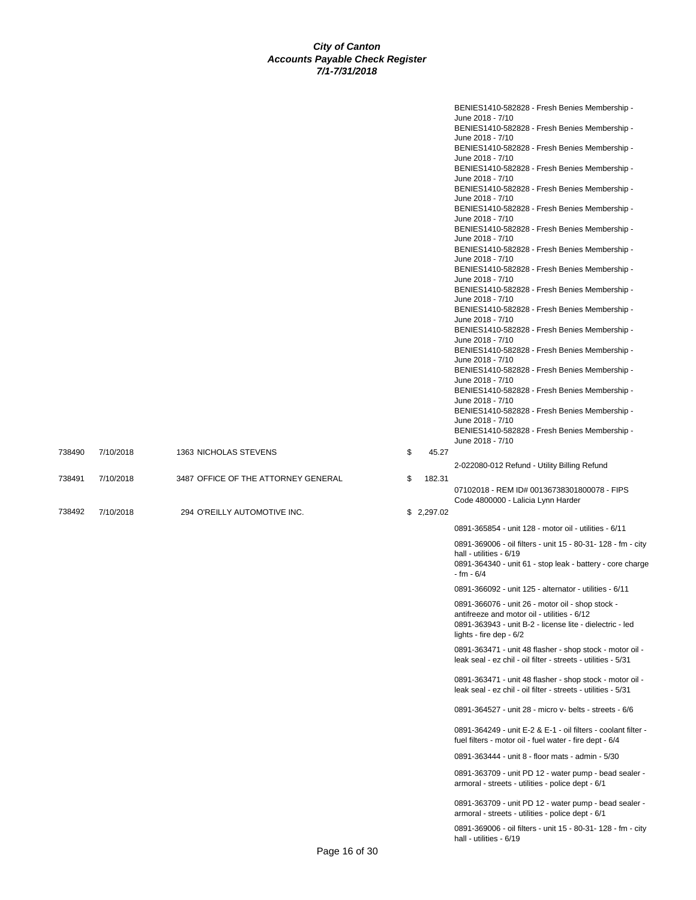|        |           |                                     |    |            | BENIES1410-582828 - Fresh Benies Membership -<br>June 2018 - 7/10                                                         |
|--------|-----------|-------------------------------------|----|------------|---------------------------------------------------------------------------------------------------------------------------|
|        |           |                                     |    |            | BENIES1410-582828 - Fresh Benies Membership -                                                                             |
|        |           |                                     |    |            | June 2018 - 7/10                                                                                                          |
|        |           |                                     |    |            | BENIES1410-582828 - Fresh Benies Membership -                                                                             |
|        |           |                                     |    |            | June 2018 - 7/10                                                                                                          |
|        |           |                                     |    |            | BENIES1410-582828 - Fresh Benies Membership -<br>June 2018 - 7/10                                                         |
|        |           |                                     |    |            | BENIES1410-582828 - Fresh Benies Membership -                                                                             |
|        |           |                                     |    |            | June 2018 - 7/10                                                                                                          |
|        |           |                                     |    |            | BENIES1410-582828 - Fresh Benies Membership -                                                                             |
|        |           |                                     |    |            | June 2018 - 7/10<br>BENIES1410-582828 - Fresh Benies Membership -                                                         |
|        |           |                                     |    |            | June 2018 - 7/10                                                                                                          |
|        |           |                                     |    |            | BENIES1410-582828 - Fresh Benies Membership -                                                                             |
|        |           |                                     |    |            | June 2018 - 7/10                                                                                                          |
|        |           |                                     |    |            | BENIES1410-582828 - Fresh Benies Membership -<br>June 2018 - 7/10                                                         |
|        |           |                                     |    |            | BENIES1410-582828 - Fresh Benies Membership -                                                                             |
|        |           |                                     |    |            | June 2018 - 7/10                                                                                                          |
|        |           |                                     |    |            | BENIES1410-582828 - Fresh Benies Membership -                                                                             |
|        |           |                                     |    |            | June 2018 - 7/10                                                                                                          |
|        |           |                                     |    |            | BENIES1410-582828 - Fresh Benies Membership -<br>June 2018 - 7/10                                                         |
|        |           |                                     |    |            | BENIES1410-582828 - Fresh Benies Membership -                                                                             |
|        |           |                                     |    |            | June 2018 - 7/10                                                                                                          |
|        |           |                                     |    |            | BENIES1410-582828 - Fresh Benies Membership -                                                                             |
|        |           |                                     |    |            | June 2018 - 7/10<br>BENIES1410-582828 - Fresh Benies Membership -                                                         |
|        |           |                                     |    |            | June 2018 - 7/10                                                                                                          |
|        |           |                                     |    |            | BENIES1410-582828 - Fresh Benies Membership -                                                                             |
|        |           |                                     |    |            | June 2018 - 7/10                                                                                                          |
|        |           |                                     |    |            | BENIES1410-582828 - Fresh Benies Membership -<br>June 2018 - 7/10                                                         |
| 738490 | 7/10/2018 | 1363 NICHOLAS STEVENS               | \$ | 45.27      |                                                                                                                           |
|        |           |                                     |    |            | 2-022080-012 Refund - Utility Billing Refund                                                                              |
| 738491 | 7/10/2018 | 3487 OFFICE OF THE ATTORNEY GENERAL | \$ | 182.31     |                                                                                                                           |
|        |           |                                     |    |            | 07102018 - REM ID# 00136738301800078 - FIPS                                                                               |
|        |           |                                     |    |            | Code 4800000 - Lalicia Lynn Harder                                                                                        |
| 738492 | 7/10/2018 | 294 O'REILLY AUTOMOTIVE INC.        |    | \$2,297.02 |                                                                                                                           |
|        |           |                                     |    |            | 0891-365854 - unit 128 - motor oil - utilities - 6/11                                                                     |
|        |           |                                     |    |            | 0891-369006 - oil filters - unit 15 - 80-31- 128 - fm - city                                                              |
|        |           |                                     |    |            | hall - utilities - 6/19                                                                                                   |
|        |           |                                     |    |            | 0891-364340 - unit 61 - stop leak - battery - core charge                                                                 |
|        |           |                                     |    |            | - fm - 6/4                                                                                                                |
|        |           |                                     |    |            | 0891-366092 - unit 125 - alternator - utilities - 6/11                                                                    |
|        |           |                                     |    |            | 0891-366076 - unit 26 - motor oil - shop stock -                                                                          |
|        |           |                                     |    |            | antifreeze and motor oil - utilities - 6/12                                                                               |
|        |           |                                     |    |            | 0891-363943 - unit B-2 - license lite - dielectric - led<br>lights - fire dep - 6/2                                       |
|        |           |                                     |    |            |                                                                                                                           |
|        |           |                                     |    |            | 0891-363471 - unit 48 flasher - shop stock - motor oil -<br>leak seal - ez chil - oil filter - streets - utilities - 5/31 |
|        |           |                                     |    |            |                                                                                                                           |
|        |           |                                     |    |            | 0891-363471 - unit 48 flasher - shop stock - motor oil -                                                                  |
|        |           |                                     |    |            | leak seal - ez chil - oil filter - streets - utilities - 5/31                                                             |
|        |           |                                     |    |            | 0891-364527 - unit 28 - micro v- belts - streets - 6/6                                                                    |
|        |           |                                     |    |            |                                                                                                                           |
|        |           |                                     |    |            | 0891-364249 - unit E-2 & E-1 - oil filters - coolant filter -                                                             |
|        |           |                                     |    |            | fuel filters - motor oil - fuel water - fire dept - 6/4                                                                   |
|        |           |                                     |    |            | 0891-363444 - unit 8 - floor mats - admin - 5/30                                                                          |
|        |           |                                     |    |            | 0891-363709 - unit PD 12 - water pump - bead sealer -                                                                     |
|        |           |                                     |    |            | armoral - streets - utilities - police dept - 6/1                                                                         |
|        |           |                                     |    |            | 0891-363709 - unit PD 12 - water pump - bead sealer -                                                                     |
|        |           |                                     |    |            | armoral - streets - utilities - police dept - 6/1                                                                         |
|        |           |                                     |    |            |                                                                                                                           |
|        |           |                                     |    |            | 0891-369006 - oil filters - unit 15 - 80-31- 128 - fm - city                                                              |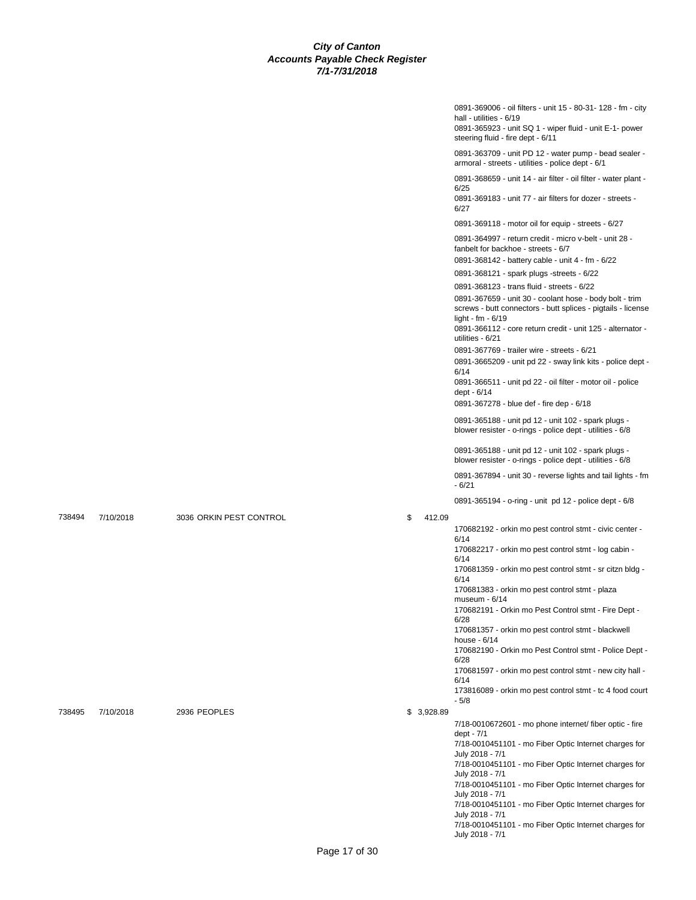|        |           |                         |              | 0891-369006 - oil filters - unit 15 - 80-31- 128 - fm - city<br>hall - utilities - 6/19<br>0891-365923 - unit SQ 1 - wiper fluid - unit E-1- power<br>steering fluid - fire dept - 6/11 |
|--------|-----------|-------------------------|--------------|-----------------------------------------------------------------------------------------------------------------------------------------------------------------------------------------|
|        |           |                         |              | 0891-363709 - unit PD 12 - water pump - bead sealer -<br>armoral - streets - utilities - police dept - 6/1                                                                              |
|        |           |                         |              | 0891-368659 - unit 14 - air filter - oil filter - water plant -<br>6/25<br>0891-369183 - unit 77 - air filters for dozer - streets -                                                    |
|        |           |                         |              | 6/27                                                                                                                                                                                    |
|        |           |                         |              | 0891-369118 - motor oil for equip - streets - 6/27                                                                                                                                      |
|        |           |                         |              | 0891-364997 - return credit - micro v-belt - unit 28 -<br>fanbelt for backhoe - streets - 6/7<br>0891-368142 - battery cable - unit 4 - fm - 6/22                                       |
|        |           |                         |              | 0891-368121 - spark plugs -streets - 6/22                                                                                                                                               |
|        |           |                         |              | 0891-368123 - trans fluid - streets - 6/22                                                                                                                                              |
|        |           |                         |              | 0891-367659 - unit 30 - coolant hose - body bolt - trim<br>screws - butt connectors - butt splices - pigtails - license<br>light - fm - $6/19$                                          |
|        |           |                         |              | 0891-366112 - core return credit - unit 125 - alternator -<br>utilities - 6/21                                                                                                          |
|        |           |                         |              | 0891-367769 - trailer wire - streets - 6/21<br>0891-3665209 - unit pd 22 - sway link kits - police dept -                                                                               |
|        |           |                         |              | 6/14<br>0891-366511 - unit pd 22 - oil filter - motor oil - police<br>dept - 6/14                                                                                                       |
|        |           |                         |              | 0891-367278 - blue def - fire dep - 6/18                                                                                                                                                |
|        |           |                         |              | 0891-365188 - unit pd 12 - unit 102 - spark plugs -<br>blower resister - o-rings - police dept - utilities - 6/8                                                                        |
|        |           |                         |              | 0891-365188 - unit pd 12 - unit 102 - spark plugs -<br>blower resister - o-rings - police dept - utilities - 6/8                                                                        |
|        |           |                         |              | 0891-367894 - unit 30 - reverse lights and tail lights - fm<br>$-6/21$                                                                                                                  |
|        |           |                         |              | 0891-365194 - o-ring - unit pd 12 - police dept - 6/8                                                                                                                                   |
| 738494 | 7/10/2018 | 3036 ORKIN PEST CONTROL | \$<br>412.09 |                                                                                                                                                                                         |
|        |           |                         |              | 170682192 - orkin mo pest control stmt - civic center -<br>6/14                                                                                                                         |
|        |           |                         |              | 170682217 - orkin mo pest control stmt - log cabin -<br>6/14                                                                                                                            |
|        |           |                         |              | 170681359 - orkin mo pest control stmt - sr citzn bldg -<br>6/14                                                                                                                        |
|        |           |                         |              | 170681383 - orkin mo pest control stmt - plaza<br>museum - 6/14                                                                                                                         |
|        |           |                         |              | 170682191 - Orkin mo Pest Control stmt - Fire Dept -<br>6/28                                                                                                                            |
|        |           |                         |              | 170681357 - orkin mo pest control stmt - blackwell<br>house - 6/14                                                                                                                      |
|        |           |                         |              | 170682190 - Orkin mo Pest Control stmt - Police Dept -<br>6/28                                                                                                                          |
|        |           |                         |              | 170681597 - orkin mo pest control stmt - new city hall -<br>6/14                                                                                                                        |
|        |           |                         |              | 173816089 - orkin mo pest control stmt - tc 4 food court<br>$-5/8$                                                                                                                      |
| 738495 | 7/10/2018 | 2936 PEOPLES            | \$3,928.89   |                                                                                                                                                                                         |
|        |           |                         |              | 7/18-0010672601 - mo phone internet/ fiber optic - fire<br>dept - 7/1                                                                                                                   |
|        |           |                         |              | 7/18-0010451101 - mo Fiber Optic Internet charges for<br>July 2018 - 7/1                                                                                                                |
|        |           |                         |              | 7/18-0010451101 - mo Fiber Optic Internet charges for<br>July 2018 - 7/1                                                                                                                |
|        |           |                         |              | 7/18-0010451101 - mo Fiber Optic Internet charges for<br>July 2018 - 7/1                                                                                                                |
|        |           |                         |              | 7/18-0010451101 - mo Fiber Optic Internet charges for<br>July 2018 - 7/1                                                                                                                |
|        |           |                         |              | 7/18-0010451101 - mo Fiber Optic Internet charges for<br>July 2018 - 7/1                                                                                                                |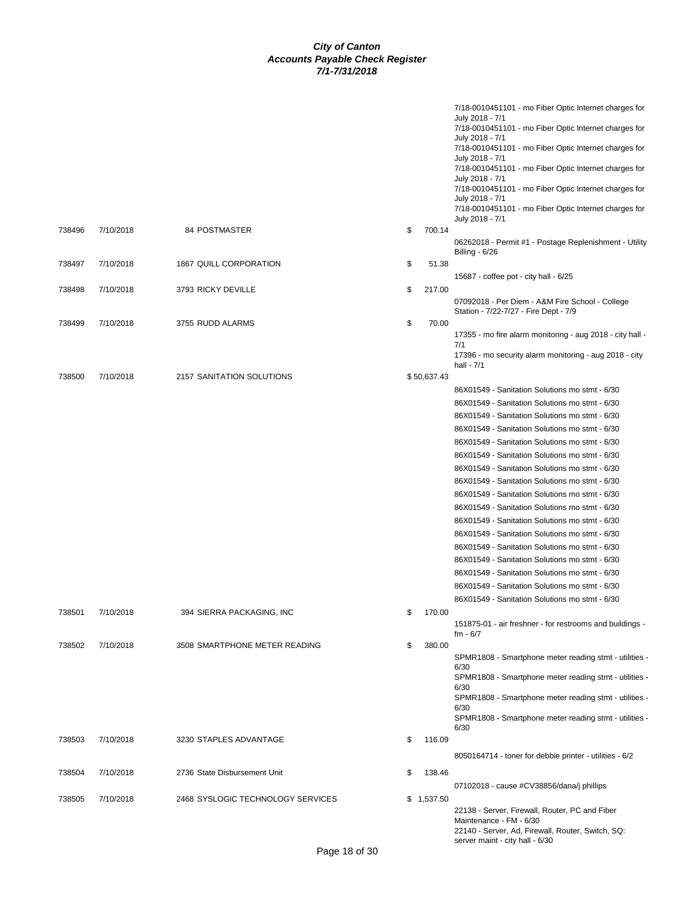|        |           |                                   |     |             | 7/18-0010451101 - mo Fiber Optic Internet charges for<br>July 2018 - 7/1<br>7/18-0010451101 - mo Fiber Optic Internet charges for<br>July 2018 - 7/1<br>7/18-0010451101 - mo Fiber Optic Internet charges for<br>July 2018 - 7/1<br>7/18-0010451101 - mo Fiber Optic Internet charges for<br>July 2018 - 7/1<br>7/18-0010451101 - mo Fiber Optic Internet charges for<br>July 2018 - 7/1<br>7/18-0010451101 - mo Fiber Optic Internet charges for |
|--------|-----------|-----------------------------------|-----|-------------|---------------------------------------------------------------------------------------------------------------------------------------------------------------------------------------------------------------------------------------------------------------------------------------------------------------------------------------------------------------------------------------------------------------------------------------------------|
| 738496 | 7/10/2018 | <b>84 POSTMASTER</b>              | \$  | 700.14      | July 2018 - 7/1<br>06262018 - Permit #1 - Postage Replenishment - Utility                                                                                                                                                                                                                                                                                                                                                                         |
|        |           |                                   |     |             | Billing - 6/26                                                                                                                                                                                                                                                                                                                                                                                                                                    |
| 738497 | 7/10/2018 | 1867 QUILL CORPORATION            | \$  | 51.38       |                                                                                                                                                                                                                                                                                                                                                                                                                                                   |
|        |           |                                   |     |             | 15687 - coffee pot - city hall - 6/25                                                                                                                                                                                                                                                                                                                                                                                                             |
| 738498 | 7/10/2018 | 3793 RICKY DEVILLE                | \$  | 217.00      |                                                                                                                                                                                                                                                                                                                                                                                                                                                   |
|        |           |                                   |     |             | 07092018 - Per Diem - A&M Fire School - College<br>Station - 7/22-7/27 - Fire Dept - 7/9                                                                                                                                                                                                                                                                                                                                                          |
| 738499 | 7/10/2018 | 3755 RUDD ALARMS                  | \$  | 70.00       | 17355 - mo fire alarm monitoring - aug 2018 - city hall -<br>7/1                                                                                                                                                                                                                                                                                                                                                                                  |
|        |           |                                   |     |             | 17396 - mo security alarm monitoring - aug 2018 - city<br>hall - 7/1                                                                                                                                                                                                                                                                                                                                                                              |
| 738500 | 7/10/2018 | 2157 SANITATION SOLUTIONS         |     | \$50,637.43 |                                                                                                                                                                                                                                                                                                                                                                                                                                                   |
|        |           |                                   |     |             | 86X01549 - Sanitation Solutions mo stmt - 6/30                                                                                                                                                                                                                                                                                                                                                                                                    |
|        |           |                                   |     |             | 86X01549 - Sanitation Solutions mo stmt - 6/30                                                                                                                                                                                                                                                                                                                                                                                                    |
|        |           |                                   |     |             | 86X01549 - Sanitation Solutions mo stmt - 6/30                                                                                                                                                                                                                                                                                                                                                                                                    |
|        |           |                                   |     |             | 86X01549 - Sanitation Solutions mo stmt - 6/30                                                                                                                                                                                                                                                                                                                                                                                                    |
|        |           |                                   |     |             | 86X01549 - Sanitation Solutions mo stmt - 6/30                                                                                                                                                                                                                                                                                                                                                                                                    |
|        |           |                                   |     |             | 86X01549 - Sanitation Solutions mo stmt - 6/30                                                                                                                                                                                                                                                                                                                                                                                                    |
|        |           |                                   |     |             | 86X01549 - Sanitation Solutions mo stmt - 6/30                                                                                                                                                                                                                                                                                                                                                                                                    |
|        |           |                                   |     |             | 86X01549 - Sanitation Solutions mo stmt - 6/30                                                                                                                                                                                                                                                                                                                                                                                                    |
|        |           |                                   |     |             | 86X01549 - Sanitation Solutions mo stmt - 6/30                                                                                                                                                                                                                                                                                                                                                                                                    |
|        |           |                                   |     |             | 86X01549 - Sanitation Solutions mo stmt - 6/30                                                                                                                                                                                                                                                                                                                                                                                                    |
|        |           |                                   |     |             | 86X01549 - Sanitation Solutions mo stmt - 6/30                                                                                                                                                                                                                                                                                                                                                                                                    |
|        |           |                                   |     |             | 86X01549 - Sanitation Solutions mo stmt - 6/30                                                                                                                                                                                                                                                                                                                                                                                                    |
|        |           |                                   |     |             | 86X01549 - Sanitation Solutions mo stmt - 6/30                                                                                                                                                                                                                                                                                                                                                                                                    |
|        |           |                                   |     |             | 86X01549 - Sanitation Solutions mo stmt - 6/30                                                                                                                                                                                                                                                                                                                                                                                                    |
|        |           |                                   |     |             | 86X01549 - Sanitation Solutions mo stmt - 6/30                                                                                                                                                                                                                                                                                                                                                                                                    |
|        |           |                                   |     |             | 86X01549 - Sanitation Solutions mo stmt - 6/30                                                                                                                                                                                                                                                                                                                                                                                                    |
|        |           |                                   |     |             | 86X01549 - Sanitation Solutions mo stmt - 6/30                                                                                                                                                                                                                                                                                                                                                                                                    |
| 738501 | 7/10/2018 | 394 SIERRA PACKAGING, INC         | \$. | 170.00      | 151875-01 - air freshner - for restrooms and buildings -                                                                                                                                                                                                                                                                                                                                                                                          |
| 738502 | 7/10/2018 | 3508 SMARTPHONE METER READING     | \$  | 380.00      | fm - 6/7                                                                                                                                                                                                                                                                                                                                                                                                                                          |
|        |           |                                   |     |             | SPMR1808 - Smartphone meter reading stmt - utilities -<br>6/30                                                                                                                                                                                                                                                                                                                                                                                    |
|        |           |                                   |     |             | SPMR1808 - Smartphone meter reading stmt - utilities<br>6/30                                                                                                                                                                                                                                                                                                                                                                                      |
|        |           |                                   |     |             | SPMR1808 - Smartphone meter reading stmt - utilities<br>6/30                                                                                                                                                                                                                                                                                                                                                                                      |
|        |           |                                   |     |             | SPMR1808 - Smartphone meter reading stmt - utilities -<br>6/30                                                                                                                                                                                                                                                                                                                                                                                    |
| 738503 | 7/10/2018 | 3230 STAPLES ADVANTAGE            | \$  | 116.09      |                                                                                                                                                                                                                                                                                                                                                                                                                                                   |
|        |           |                                   |     |             | 8050164714 - toner for debbie printer - utilities - 6/2                                                                                                                                                                                                                                                                                                                                                                                           |
| 738504 | 7/10/2018 | 2736 State Disbursement Unit      | \$  | 138.46      |                                                                                                                                                                                                                                                                                                                                                                                                                                                   |
| 738505 |           |                                   |     |             | 07102018 - cause #CV38856/dana/j phillips                                                                                                                                                                                                                                                                                                                                                                                                         |
|        | 7/10/2018 | 2468 SYSLOGIC TECHNOLOGY SERVICES |     | \$1,537.50  | 22138 - Server, Firewall, Router, PC and Fiber<br>Maintenance - FM - 6/30<br>22140 - Server, Ad, Firewall, Router, Switch, SQ:                                                                                                                                                                                                                                                                                                                    |

server maint - city hall - 6/30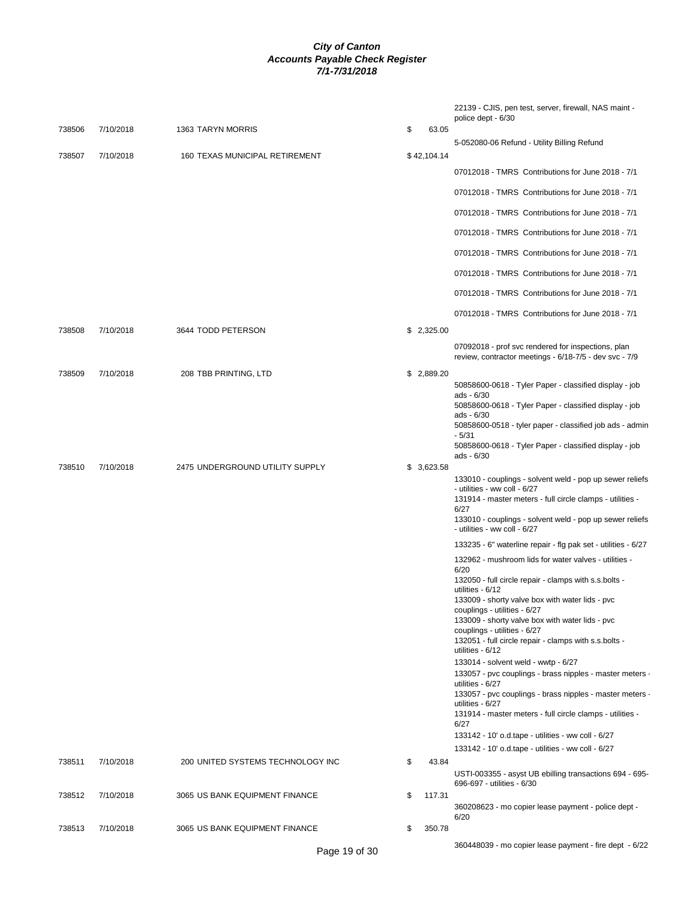|        |           |                                   |              | 22139 - CJIS, pen test, server, firewall, NAS maint -<br>police dept - 6/30                                                    |
|--------|-----------|-----------------------------------|--------------|--------------------------------------------------------------------------------------------------------------------------------|
| 738506 | 7/10/2018 | 1363 TARYN MORRIS                 | \$<br>63.05  | 5-052080-06 Refund - Utility Billing Refund                                                                                    |
| 738507 | 7/10/2018 | 160 TEXAS MUNICIPAL RETIREMENT    | \$42,104.14  | 07012018 - TMRS Contributions for June 2018 - 7/1                                                                              |
|        |           |                                   |              | 07012018 - TMRS Contributions for June 2018 - 7/1                                                                              |
|        |           |                                   |              | 07012018 - TMRS Contributions for June 2018 - 7/1                                                                              |
|        |           |                                   |              | 07012018 - TMRS Contributions for June 2018 - 7/1                                                                              |
|        |           |                                   |              |                                                                                                                                |
|        |           |                                   |              | 07012018 - TMRS Contributions for June 2018 - 7/1                                                                              |
|        |           |                                   |              | 07012018 - TMRS Contributions for June 2018 - 7/1                                                                              |
|        |           |                                   |              | 07012018 - TMRS Contributions for June 2018 - 7/1                                                                              |
|        |           |                                   |              | 07012018 - TMRS Contributions for June 2018 - 7/1                                                                              |
| 738508 | 7/10/2018 | 3644 TODD PETERSON                | \$2,325.00   |                                                                                                                                |
|        |           |                                   |              | 07092018 - prof svc rendered for inspections, plan<br>review, contractor meetings - 6/18-7/5 - dev svc - 7/9                   |
| 738509 | 7/10/2018 | 208 TBB PRINTING, LTD             | \$ 2,889.20  |                                                                                                                                |
|        |           |                                   |              | 50858600-0618 - Tyler Paper - classified display - job<br>ads - 6/30<br>50858600-0618 - Tyler Paper - classified display - job |
|        |           |                                   |              | ads - 6/30<br>50858600-0518 - tyler paper - classified job ads - admin                                                         |
|        |           |                                   |              | $-5/31$<br>50858600-0618 - Tyler Paper - classified display - job<br>ads - 6/30                                                |
| 738510 | 7/10/2018 | 2475 UNDERGROUND UTILITY SUPPLY   | \$3,623.58   | 133010 - couplings - solvent weld - pop up sewer reliefs                                                                       |
|        |           |                                   |              | - utilities - ww coll - 6/27<br>131914 - master meters - full circle clamps - utilities -                                      |
|        |           |                                   |              | 6/27<br>133010 - couplings - solvent weld - pop up sewer reliefs<br>- utilities - ww coll - 6/27                               |
|        |           |                                   |              | 133235 - 6" waterline repair - flg pak set - utilities - 6/27                                                                  |
|        |           |                                   |              | 132962 - mushroom lids for water valves - utilities -<br>6/20                                                                  |
|        |           |                                   |              | 132050 - full circle repair - clamps with s.s.bolts -<br>utilities - 6/12                                                      |
|        |           |                                   |              | 133009 - shorty valve box with water lids - pvc<br>couplings - utilities - 6/27                                                |
|        |           |                                   |              | 133009 - shorty valve box with water lids - pvc                                                                                |
|        |           |                                   |              | couplings - utilities - 6/27<br>132051 - full circle repair - clamps with s.s.bolts -<br>utilities - 6/12                      |
|        |           |                                   |              | 133014 - solvent weld - wwtp - 6/27<br>133057 - pvc couplings - brass nipples - master meters -                                |
|        |           |                                   |              | utilities - 6/27                                                                                                               |
|        |           |                                   |              | 133057 - pvc couplings - brass nipples - master meters -<br>utilities - 6/27                                                   |
|        |           |                                   |              | 131914 - master meters - full circle clamps - utilities -<br>6/27                                                              |
|        |           |                                   |              | 133142 - 10' o.d.tape - utilities - ww coll - 6/27                                                                             |
| 738511 | 7/10/2018 | 200 UNITED SYSTEMS TECHNOLOGY INC | \$<br>43.84  | 133142 - 10' o.d.tape - utilities - ww coll - 6/27                                                                             |
|        |           |                                   |              | USTI-003355 - asyst UB ebilling transactions 694 - 695-<br>696-697 - utilities - 6/30                                          |
| 738512 | 7/10/2018 | 3065 US BANK EQUIPMENT FINANCE    | \$<br>117.31 | 360208623 - mo copier lease payment - police dept -<br>6/20                                                                    |
| 738513 | 7/10/2018 | 3065 US BANK EQUIPMENT FINANCE    | \$<br>350.78 |                                                                                                                                |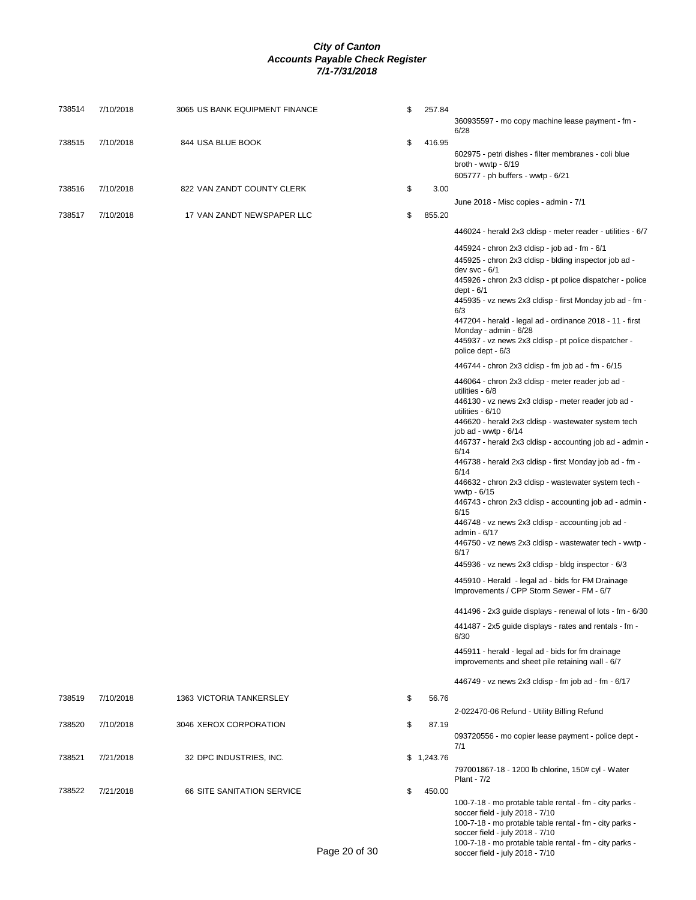| 738514 | 7/10/2018 | 3065 US BANK EQUIPMENT FINANCE    |               | \$<br>257.84 | 360935597 - mo copy machine lease payment - fm -                                                                                                                                                                                                                                                                                                                                                                                                                                                                                                                                                                                                                                                                                                                                                                                                                                                                                                                                                                                                         |
|--------|-----------|-----------------------------------|---------------|--------------|----------------------------------------------------------------------------------------------------------------------------------------------------------------------------------------------------------------------------------------------------------------------------------------------------------------------------------------------------------------------------------------------------------------------------------------------------------------------------------------------------------------------------------------------------------------------------------------------------------------------------------------------------------------------------------------------------------------------------------------------------------------------------------------------------------------------------------------------------------------------------------------------------------------------------------------------------------------------------------------------------------------------------------------------------------|
| 738515 | 7/10/2018 | 844 USA BLUE BOOK                 |               | \$<br>416.95 | 6/28<br>602975 - petri dishes - filter membranes - coli blue<br>broth - wwtp - $6/19$                                                                                                                                                                                                                                                                                                                                                                                                                                                                                                                                                                                                                                                                                                                                                                                                                                                                                                                                                                    |
|        |           |                                   |               |              | 605777 - ph buffers - wwtp - 6/21                                                                                                                                                                                                                                                                                                                                                                                                                                                                                                                                                                                                                                                                                                                                                                                                                                                                                                                                                                                                                        |
| 738516 | 7/10/2018 | 822 VAN ZANDT COUNTY CLERK        |               | \$<br>3.00   | June 2018 - Misc copies - admin - 7/1                                                                                                                                                                                                                                                                                                                                                                                                                                                                                                                                                                                                                                                                                                                                                                                                                                                                                                                                                                                                                    |
| 738517 | 7/10/2018 | 17 VAN ZANDT NEWSPAPER LLC        |               | \$<br>855.20 |                                                                                                                                                                                                                                                                                                                                                                                                                                                                                                                                                                                                                                                                                                                                                                                                                                                                                                                                                                                                                                                          |
|        |           |                                   |               |              | 446024 - herald 2x3 cldisp - meter reader - utilities - 6/7                                                                                                                                                                                                                                                                                                                                                                                                                                                                                                                                                                                                                                                                                                                                                                                                                                                                                                                                                                                              |
|        |           |                                   |               |              | 445924 - chron 2x3 cldisp - job ad - fm - 6/1<br>445925 - chron 2x3 cldisp - blding inspector job ad -<br>dev svc - $6/1$<br>445926 - chron 2x3 cldisp - pt police dispatcher - police<br>dept - $6/1$<br>445935 - vz news 2x3 cldisp - first Monday job ad - fm -<br>6/3<br>447204 - herald - legal ad - ordinance 2018 - 11 - first<br>Monday - admin - 6/28<br>445937 - vz news 2x3 cldisp - pt police dispatcher -<br>police dept - 6/3                                                                                                                                                                                                                                                                                                                                                                                                                                                                                                                                                                                                              |
|        |           |                                   |               |              | 446744 - chron 2x3 cldisp - fm job ad - fm - 6/15                                                                                                                                                                                                                                                                                                                                                                                                                                                                                                                                                                                                                                                                                                                                                                                                                                                                                                                                                                                                        |
|        |           |                                   |               |              | 446064 - chron 2x3 cldisp - meter reader job ad -<br>utilities - 6/8<br>446130 - vz news 2x3 cldisp - meter reader job ad -<br>utilities - 6/10<br>446620 - herald 2x3 cldisp - wastewater system tech<br>job ad - wwtp - $6/14$<br>446737 - herald 2x3 cldisp - accounting job ad - admin -<br>6/14<br>446738 - herald 2x3 cldisp - first Monday job ad - fm -<br>6/14<br>446632 - chron 2x3 cldisp - wastewater system tech -<br>wwtp - 6/15<br>446743 - chron 2x3 cldisp - accounting job ad - admin -<br>6/15<br>446748 - vz news 2x3 cldisp - accounting job ad -<br>admin - 6/17<br>446750 - vz news 2x3 cldisp - wastewater tech - wwtp -<br>6/17<br>445936 - vz news 2x3 cldisp - bldg inspector - 6/3<br>445910 - Herald - legal ad - bids for FM Drainage<br>Improvements / CPP Storm Sewer - FM - 6/7<br>441496 - 2x3 guide displays - renewal of lots - fm - 6/30<br>441487 - 2x5 guide displays - rates and rentals - fm -<br>6/30<br>445911 - herald - legal ad - bids for fm drainage<br>improvements and sheet pile retaining wall - 6/7 |
|        |           |                                   |               |              | 446749 - vz news 2x3 cldisp - fm job ad - fm - 6/17                                                                                                                                                                                                                                                                                                                                                                                                                                                                                                                                                                                                                                                                                                                                                                                                                                                                                                                                                                                                      |
| 738519 | 7/10/2018 | 1363 VICTORIA TANKERSLEY          |               | \$<br>56.76  |                                                                                                                                                                                                                                                                                                                                                                                                                                                                                                                                                                                                                                                                                                                                                                                                                                                                                                                                                                                                                                                          |
|        |           |                                   |               |              | 2-022470-06 Refund - Utility Billing Refund                                                                                                                                                                                                                                                                                                                                                                                                                                                                                                                                                                                                                                                                                                                                                                                                                                                                                                                                                                                                              |
| 738520 | 7/10/2018 | 3046 XEROX CORPORATION            |               | \$<br>87.19  | 093720556 - mo copier lease payment - police dept -<br>7/1                                                                                                                                                                                                                                                                                                                                                                                                                                                                                                                                                                                                                                                                                                                                                                                                                                                                                                                                                                                               |
| 738521 | 7/21/2018 | 32 DPC INDUSTRIES, INC.           |               | \$1,243.76   | 797001867-18 - 1200 lb chlorine, 150# cyl - Water<br>Plant - 7/2                                                                                                                                                                                                                                                                                                                                                                                                                                                                                                                                                                                                                                                                                                                                                                                                                                                                                                                                                                                         |
| 738522 | 7/21/2018 | <b>66 SITE SANITATION SERVICE</b> | Page 20 of 30 | \$<br>450.00 | 100-7-18 - mo protable table rental - fm - city parks -<br>soccer field - july 2018 - 7/10<br>100-7-18 - mo protable table rental - fm - city parks -<br>soccer field - july 2018 - 7/10<br>100-7-18 - mo protable table rental - fm - city parks -<br>soccer field - july 2018 - 7/10                                                                                                                                                                                                                                                                                                                                                                                                                                                                                                                                                                                                                                                                                                                                                                   |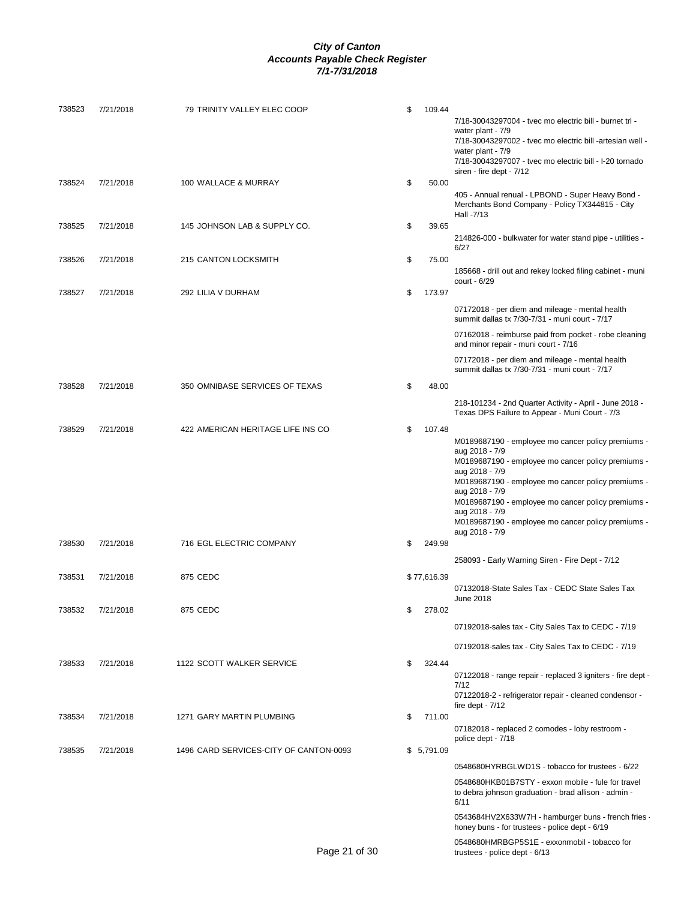| 738523 | 7/21/2018 | 79 TRINITY VALLEY ELEC COOP            | \$            |             | 109.44 | 7/18-30043297004 - tvec mo electric bill - burnet trl -<br>water plant - 7/9<br>7/18-30043297002 - tvec mo electric bill -artesian well -<br>water plant - 7/9 |
|--------|-----------|----------------------------------------|---------------|-------------|--------|----------------------------------------------------------------------------------------------------------------------------------------------------------------|
| 738524 | 7/21/2018 | 100 WALLACE & MURRAY                   | \$            |             | 50.00  | 7/18-30043297007 - tvec mo electric bill - I-20 tornado<br>siren - fire dept - 7/12                                                                            |
|        |           |                                        |               |             |        | 405 - Annual renual - LPBOND - Super Heavy Bond -<br>Merchants Bond Company - Policy TX344815 - City<br>Hall -7/13                                             |
| 738525 | 7/21/2018 | 145 JOHNSON LAB & SUPPLY CO.           | \$            |             | 39.65  | 214826-000 - bulkwater for water stand pipe - utilities -<br>6/27                                                                                              |
| 738526 | 7/21/2018 | 215 CANTON LOCKSMITH                   | \$            |             | 75.00  | 185668 - drill out and rekey locked filing cabinet - muni<br>court - 6/29                                                                                      |
| 738527 | 7/21/2018 | 292 LILIA V DURHAM                     | \$            |             | 173.97 |                                                                                                                                                                |
|        |           |                                        |               |             |        | 07172018 - per diem and mileage - mental health<br>summit dallas tx 7/30-7/31 - muni court - 7/17                                                              |
|        |           |                                        |               |             |        | 07162018 - reimburse paid from pocket - robe cleaning<br>and minor repair - muni court - 7/16                                                                  |
| 738528 | 7/21/2018 | 350 OMNIBASE SERVICES OF TEXAS         | \$            |             | 48.00  | 07172018 - per diem and mileage - mental health<br>summit dallas tx 7/30-7/31 - muni court - 7/17                                                              |
|        |           |                                        |               |             |        |                                                                                                                                                                |
|        |           | 422 AMERICAN HERITAGE LIFE INS CO      |               |             |        | 218-101234 - 2nd Quarter Activity - April - June 2018 -<br>Texas DPS Failure to Appear - Muni Court - 7/3                                                      |
| 738529 | 7/21/2018 |                                        | \$            |             | 107.48 | M0189687190 - employee mo cancer policy premiums -                                                                                                             |
|        |           |                                        |               |             |        | aug 2018 - 7/9<br>M0189687190 - employee mo cancer policy premiums -                                                                                           |
|        |           |                                        |               |             |        | aug 2018 - 7/9<br>M0189687190 - employee mo cancer policy premiums -                                                                                           |
|        |           |                                        |               |             |        | aug 2018 - 7/9                                                                                                                                                 |
|        |           |                                        |               |             |        | M0189687190 - employee mo cancer policy premiums -<br>aug 2018 - 7/9                                                                                           |
|        |           |                                        |               |             |        | M0189687190 - employee mo cancer policy premiums -<br>aug 2018 - 7/9                                                                                           |
| 738530 | 7/21/2018 | 716 EGL ELECTRIC COMPANY               | \$            | 249.98      |        |                                                                                                                                                                |
|        |           |                                        |               |             |        | 258093 - Early Warning Siren - Fire Dept - 7/12                                                                                                                |
| 738531 | 7/21/2018 | 875 CEDC                               |               | \$77,616.39 |        |                                                                                                                                                                |
| 738532 | 7/21/2018 | 875 CEDC                               | \$            |             | 278.02 | 07132018-State Sales Tax - CEDC State Sales Tax<br>June 2018                                                                                                   |
|        |           |                                        |               |             |        | 07192018-sales tax - City Sales Tax to CEDC - 7/19                                                                                                             |
|        |           |                                        |               |             |        | 07192018-sales tax - City Sales Tax to CEDC - 7/19                                                                                                             |
| 738533 | 7/21/2018 | 1122 SCOTT WALKER SERVICE              | \$            |             | 324.44 |                                                                                                                                                                |
|        |           |                                        |               |             |        | 07122018 - range repair - replaced 3 igniters - fire dept -                                                                                                    |
|        |           |                                        |               |             |        | 7/12<br>07122018-2 - refrigerator repair - cleaned condensor -<br>fire dept - $7/12$                                                                           |
| 738534 | 7/21/2018 | 1271 GARY MARTIN PLUMBING              | \$            |             | 711.00 |                                                                                                                                                                |
|        |           |                                        |               |             |        | 07182018 - replaced 2 comodes - loby restroom -<br>police dept - 7/18                                                                                          |
| 738535 | 7/21/2018 | 1496 CARD SERVICES-CITY OF CANTON-0093 |               | \$5,791.09  |        |                                                                                                                                                                |
|        |           |                                        |               |             |        | 0548680HYRBGLWD1S - tobacco for trustees - 6/22                                                                                                                |
|        |           |                                        |               |             |        | 0548680HKB01B7STY - exxon mobile - fule for travel<br>to debra johnson graduation - brad allison - admin -<br>6/11                                             |
|        |           |                                        |               |             |        | 0543684HV2X633W7H - hamburger buns - french fries -<br>honey buns - for trustees - police dept - 6/19                                                          |
|        |           |                                        | Page 21 of 30 |             |        | 0548680HMRBGP5S1E - exxonmobil - tobacco for<br>trustees - police dept - 6/13                                                                                  |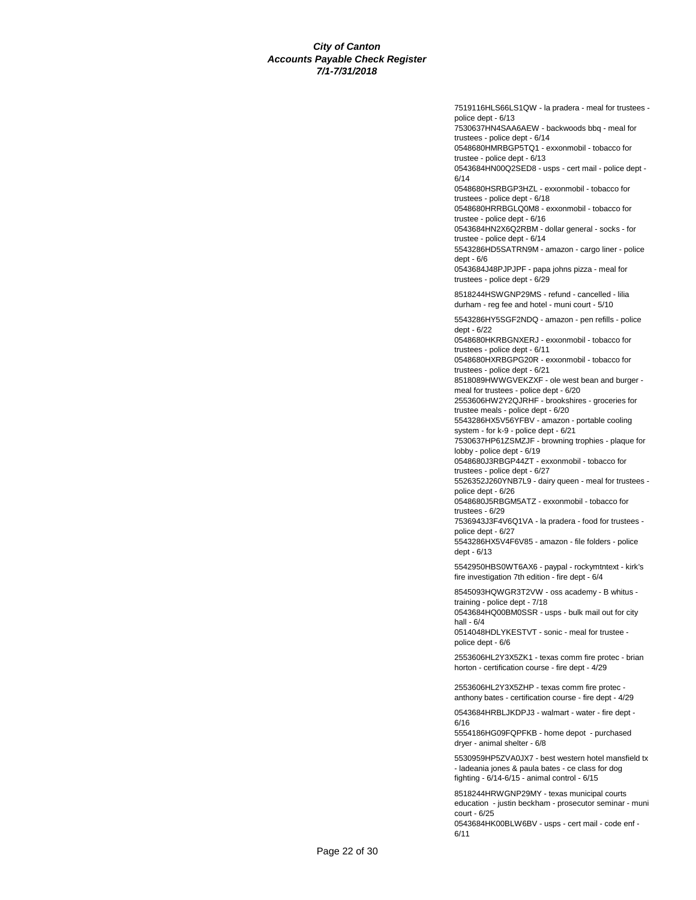7519116HLS66LS1QW - la pradera - meal for trustees police dept - 6/13 7530637HN4SAA6AEW - backwoods bbq - meal for trustees - police dept - 6/14 0548680HMRBGP5TQ1 - exxonmobil - tobacco for trustee - police dept - 6/13 0543684HN00Q2SED8 - usps - cert mail - police dept - 6/14 0548680HSRBGP3HZL - exxonmobil - tobacco for trustees - police dept - 6/18 0548680HRRBGLQ0M8 - exxonmobil - tobacco for trustee - police dept - 6/16

0543684HN2X6Q2RBM - dollar general - socks - for trustee - police dept - 6/14

5543286HD5SATRN9M - amazon - cargo liner - police dept - 6/6

0543684J48PJPJPF - papa johns pizza - meal for trustees - police dept - 6/29

8518244HSWGNP29MS - refund - cancelled - lilia durham - reg fee and hotel - muni court - 5/10

5543286HY5SGF2NDQ - amazon - pen refills - police dept - 6/22

0548680HKRBGNXERJ - exxonmobil - tobacco for trustees - police dept - 6/11

0548680HXRBGPG20R - exxonmobil - tobacco for trustees - police dept - 6/21

8518089HWWGVEKZXF - ole west bean and burger -

meal for trustees - police dept - 6/20

2553606HW2Y2QJRHF - brookshires - groceries for trustee meals - police dept - 6/20

5543286HX5V56YFBV - amazon - portable cooling

system - for k-9 - police dept - 6/21 7530637HP61ZSMZJF - browning trophies - plaque for lobby - police dept - 6/19

0548680J3RBGP44ZT - exxonmobil - tobacco for trustees - police dept - 6/27

5526352J260YNB7L9 - dairy queen - meal for trustees police dept - 6/26

0548680J5RBGM5ATZ - exxonmobil - tobacco for trustees - 6/29

7536943J3F4V6Q1VA - la pradera - food for trustees police dept - 6/27

5543286HX5V4F6V85 - amazon - file folders - police dept - 6/13

5542950HBS0WT6AX6 - paypal - rockymtntext - kirk's fire investigation 7th edition - fire dept - 6/4

8545093HQWGR3T2VW - oss academy - B whitus training - police dept - 7/18

0543684HQ00BM0SSR - usps - bulk mail out for city hall - 6/4

0514048HDLYKESTVT - sonic - meal for trustee police dept - 6/6

2553606HL2Y3X5ZK1 - texas comm fire protec - brian horton - certification course - fire dept - 4/29

2553606HL2Y3X5ZHP - texas comm fire protec anthony bates - certification course - fire dept - 4/29

0543684HRBLJKDPJ3 - walmart - water - fire dept - 6/16

5554186HG09FQPFKB - home depot - purchased dryer - animal shelter - 6/8

5530959HP5ZVA0JX7 - best western hotel mansfield tx - ladeania jones & paula bates - ce class for dog fighting - 6/14-6/15 - animal control - 6/15

8518244HRWGNP29MY - texas municipal courts education - justin beckham - prosecutor seminar - muni court - 6/25

0543684HK00BLW6BV - usps - cert mail - code enf - 6/11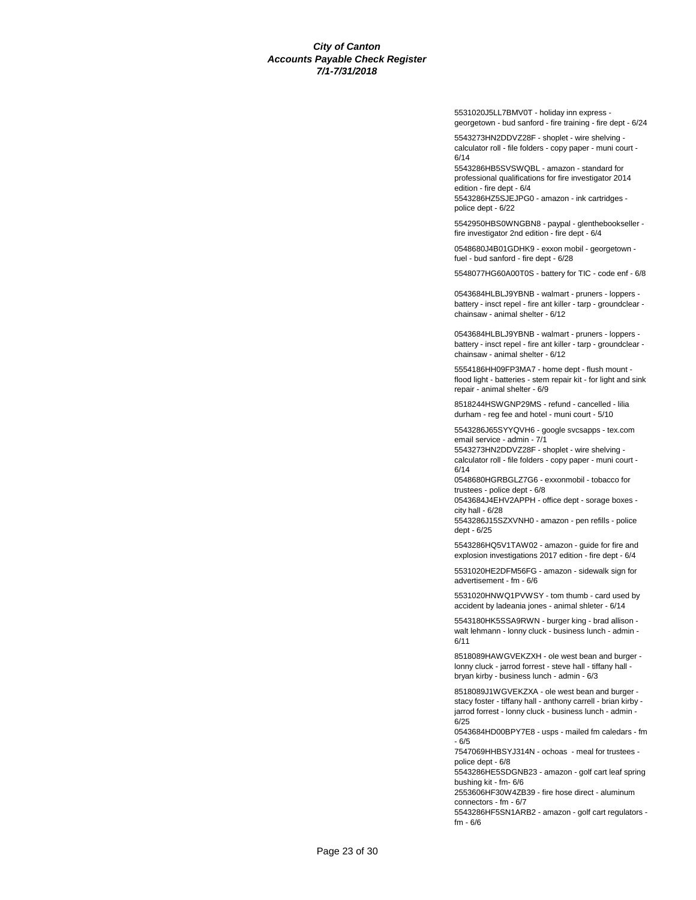5531020J5LL7BMV0T - holiday inn express georgetown - bud sanford - fire training - fire dept - 6/24

5543273HN2DDVZ28F - shoplet - wire shelving calculator roll - file folders - copy paper - muni court - 6/14

5543286HB5SVSWQBL - amazon - standard for professional qualifications for fire investigator 2014 edition - fire dept - 6/4

5543286HZ5SJEJPG0 - amazon - ink cartridges police dept - 6/22

5542950HBS0WNGBN8 - paypal - glenthebookseller fire investigator 2nd edition - fire dept - 6/4

0548680J4B01GDHK9 - exxon mobil - georgetown fuel - bud sanford - fire dept - 6/28

5548077HG60A00T0S - battery for TIC - code enf - 6/8

0543684HLBLJ9YBNB - walmart - pruners - loppers battery - insct repel - fire ant killer - tarp - groundclear chainsaw - animal shelter - 6/12

0543684HLBLJ9YBNB - walmart - pruners - loppers battery - insct repel - fire ant killer - tarp - groundclear chainsaw - animal shelter - 6/12

5554186HH09FP3MA7 - home dept - flush mount flood light - batteries - stem repair kit - for light and sink repair - animal shelter - 6/9

8518244HSWGNP29MS - refund - cancelled - lilia durham - reg fee and hotel - muni court - 5/10

5543286J65SYYQVH6 - google svcsapps - tex.com email service - admin - 7/1

5543273HN2DDVZ28F - shoplet - wire shelving calculator roll - file folders - copy paper - muni court - 6/14

0548680HGRBGLZ7G6 - exxonmobil - tobacco for trustees - police dept - 6/8

0543684J4EHV2APPH - office dept - sorage boxes city hall - 6/28

5543286J15SZXVNH0 - amazon - pen refills - police dept - 6/25

5543286HQ5V1TAW02 - amazon - guide for fire and explosion investigations 2017 edition - fire dept - 6/4

5531020HE2DFM56FG - amazon - sidewalk sign for advertisement - fm - 6/6

5531020HNWQ1PVWSY - tom thumb - card used by accident by ladeania jones - animal shleter - 6/14

5543180HK5SSA9RWN - burger king - brad allison walt lehmann - lonny cluck - business lunch - admin - 6/11

8518089HAWGVEKZXH - ole west bean and burger lonny cluck - jarrod forrest - steve hall - tiffany hall bryan kirby - business lunch - admin - 6/3

8518089J1WGVEKZXA - ole west bean and burger stacy foster - tiffany hall - anthony carrell - brian kirby jarrod forrest - lonny cluck - business lunch - admin - 6/25

0543684HD00BPY7E8 - usps - mailed fm caledars - fm - 6/5

7547069HHBSYJ314N - ochoas - meal for trustees police dept - 6/8

5543286HE5SDGNB23 - amazon - golf cart leaf spring bushing kit - fm- 6/6

2553606HF30W4ZB39 - fire hose direct - aluminum connectors - fm - 6/7

5543286HF5SN1ARB2 - amazon - golf cart regulators fm - 6/6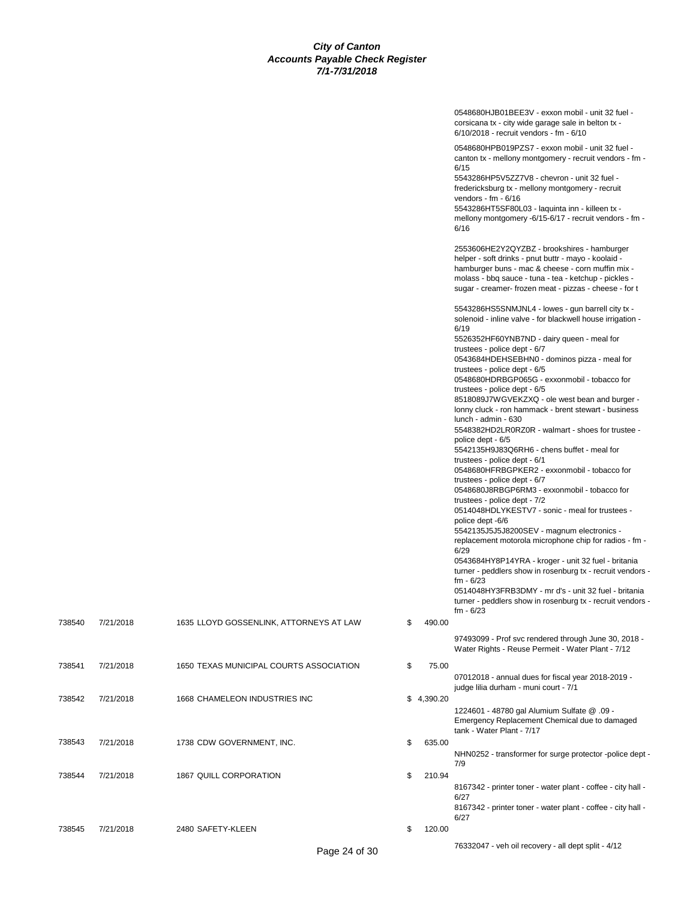|        |           |                                         |              | 0548680HJB01BEE3V - exxon mobil - unit 32 fuel -<br>corsicana tx - city wide garage sale in belton tx -<br>6/10/2018 - recruit vendors - fm - 6/10                                                                                                                                                                                                                                                                                                                                                                                                                                                                                                                                                                                                                                                                                                                                                                                                                                                                                                                                                                                                                                                                                                                                              |
|--------|-----------|-----------------------------------------|--------------|-------------------------------------------------------------------------------------------------------------------------------------------------------------------------------------------------------------------------------------------------------------------------------------------------------------------------------------------------------------------------------------------------------------------------------------------------------------------------------------------------------------------------------------------------------------------------------------------------------------------------------------------------------------------------------------------------------------------------------------------------------------------------------------------------------------------------------------------------------------------------------------------------------------------------------------------------------------------------------------------------------------------------------------------------------------------------------------------------------------------------------------------------------------------------------------------------------------------------------------------------------------------------------------------------|
|        |           |                                         |              | 0548680HPB019PZS7 - exxon mobil - unit 32 fuel -<br>canton tx - mellony montgomery - recruit vendors - fm -<br>6/15<br>5543286HP5V5ZZ7V8 - chevron - unit 32 fuel -<br>fredericksburg tx - mellony montgomery - recruit<br>vendors - fm - $6/16$<br>5543286HT5SF80L03 - laquinta inn - killeen tx -<br>mellony montgomery -6/15-6/17 - recruit vendors - fm -<br>6/16                                                                                                                                                                                                                                                                                                                                                                                                                                                                                                                                                                                                                                                                                                                                                                                                                                                                                                                           |
|        |           |                                         |              | 2553606HE2Y2QYZBZ - brookshires - hamburger<br>helper - soft drinks - pnut buttr - mayo - koolaid -<br>hamburger buns - mac & cheese - corn muffin mix -<br>molass - bbq sauce - tuna - tea - ketchup - pickles -<br>sugar - creamer- frozen meat - pizzas - cheese - for t                                                                                                                                                                                                                                                                                                                                                                                                                                                                                                                                                                                                                                                                                                                                                                                                                                                                                                                                                                                                                     |
|        |           |                                         |              | 5543286HS5SNMJNL4 - lowes - gun barrell city tx -<br>solenoid - inline valve - for blackwell house irrigation -<br>6/19<br>5526352HF60YNB7ND - dairy queen - meal for<br>trustees - police dept - 6/7<br>0543684HDEHSEBHN0 - dominos pizza - meal for<br>trustees - police dept - 6/5<br>0548680HDRBGP065G - exxonmobil - tobacco for<br>trustees - police dept - 6/5<br>8518089J7WGVEKZXQ - ole west bean and burger -<br>lonny cluck - ron hammack - brent stewart - business<br>lunch - admin - 630<br>5548382HD2LR0RZ0R - walmart - shoes for trustee -<br>police dept - 6/5<br>5542135H9J83Q6RH6 - chens buffet - meal for<br>trustees - police dept - 6/1<br>0548680HFRBGPKER2 - exxonmobil - tobacco for<br>trustees - police dept - 6/7<br>0548680J8RBGP6RM3 - exxonmobil - tobacco for<br>trustees - police dept - 7/2<br>0514048HDLYKESTV7 - sonic - meal for trustees -<br>police dept -6/6<br>5542135J5J5J8200SEV - magnum electronics -<br>replacement motorola microphone chip for radios - fm -<br>6/29<br>0543684HY8P14YRA - kroger - unit 32 fuel - britania<br>turner - peddlers show in rosenburg tx - recruit vendors -<br>$fm - 6/23$<br>0514048HY3FRB3DMY - mr d's - unit 32 fuel - britania<br>turner - peddlers show in rosenburg tx - recruit vendors -<br>$fm - 6/23$ |
| 738540 | 7/21/2018 | 1635 LLOYD GOSSENLINK, ATTORNEYS AT LAW | \$<br>490.00 | 97493099 - Prof svc rendered through June 30, 2018 -<br>Water Rights - Reuse Permeit - Water Plant - 7/12                                                                                                                                                                                                                                                                                                                                                                                                                                                                                                                                                                                                                                                                                                                                                                                                                                                                                                                                                                                                                                                                                                                                                                                       |
| 738541 | 7/21/2018 | 1650 TEXAS MUNICIPAL COURTS ASSOCIATION | \$<br>75.00  | 07012018 - annual dues for fiscal year 2018-2019 -<br>judge lilia durham - muni court - 7/1                                                                                                                                                                                                                                                                                                                                                                                                                                                                                                                                                                                                                                                                                                                                                                                                                                                                                                                                                                                                                                                                                                                                                                                                     |
| 738542 | 7/21/2018 | 1668 CHAMELEON INDUSTRIES INC           | \$4,390.20   | 1224601 - 48780 gal Alumium Sulfate @ .09 -<br>Emergency Replacement Chemical due to damaged                                                                                                                                                                                                                                                                                                                                                                                                                                                                                                                                                                                                                                                                                                                                                                                                                                                                                                                                                                                                                                                                                                                                                                                                    |
| 738543 | 7/21/2018 | 1738 CDW GOVERNMENT, INC.               | 635.00<br>\$ | tank - Water Plant - 7/17<br>NHN0252 - transformer for surge protector -police dept -                                                                                                                                                                                                                                                                                                                                                                                                                                                                                                                                                                                                                                                                                                                                                                                                                                                                                                                                                                                                                                                                                                                                                                                                           |
| 738544 | 7/21/2018 | 1867 QUILL CORPORATION                  | 210.94<br>\$ | 7/9<br>8167342 - printer toner - water plant - coffee - city hall -<br>6/27<br>8167342 - printer toner - water plant - coffee - city hall -                                                                                                                                                                                                                                                                                                                                                                                                                                                                                                                                                                                                                                                                                                                                                                                                                                                                                                                                                                                                                                                                                                                                                     |
| 738545 | 7/21/2018 | 2480 SAFETY-KLEEN                       | \$<br>120.00 | 6/27                                                                                                                                                                                                                                                                                                                                                                                                                                                                                                                                                                                                                                                                                                                                                                                                                                                                                                                                                                                                                                                                                                                                                                                                                                                                                            |
|        |           | Page 24 of 30                           |              | 76332047 - veh oil recovery - all dept split - 4/12                                                                                                                                                                                                                                                                                                                                                                                                                                                                                                                                                                                                                                                                                                                                                                                                                                                                                                                                                                                                                                                                                                                                                                                                                                             |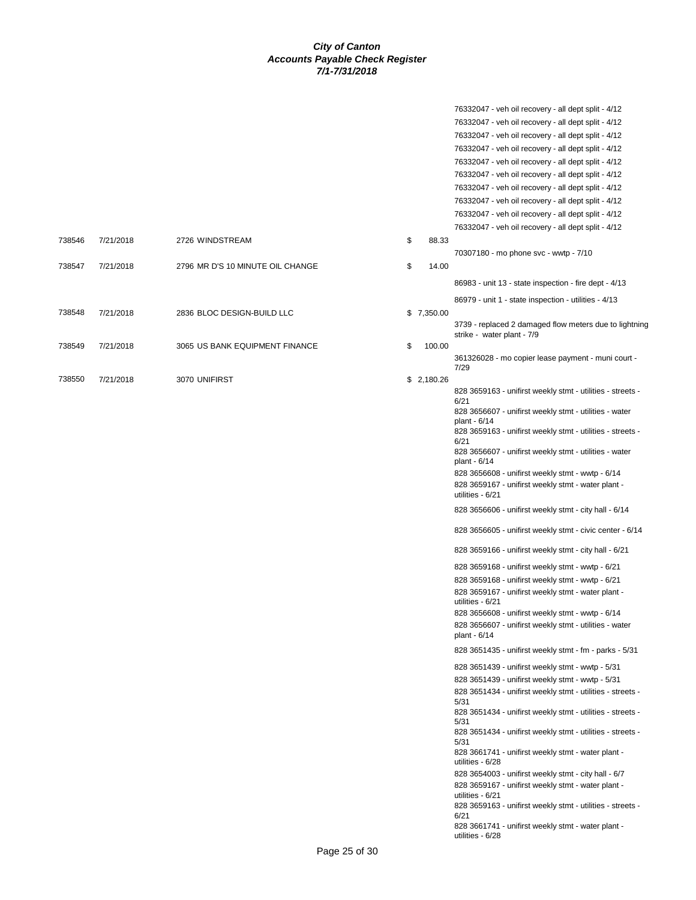|        |           |                                  |              | 76332047 - veh oil recovery - all dept split - 4/12<br>76332047 - veh oil recovery - all dept split - 4/12<br>76332047 - veh oil recovery - all dept split - 4/12<br>76332047 - veh oil recovery - all dept split - 4/12<br>76332047 - veh oil recovery - all dept split - 4/12<br>76332047 - veh oil recovery - all dept split - 4/12<br>76332047 - veh oil recovery - all dept split - 4/12<br>76332047 - veh oil recovery - all dept split - 4/12<br>76332047 - veh oil recovery - all dept split - 4/12<br>76332047 - veh oil recovery - all dept split - 4/12                                                                                                                                                                                                                                                                                                                                                                                                                                                                     |
|--------|-----------|----------------------------------|--------------|----------------------------------------------------------------------------------------------------------------------------------------------------------------------------------------------------------------------------------------------------------------------------------------------------------------------------------------------------------------------------------------------------------------------------------------------------------------------------------------------------------------------------------------------------------------------------------------------------------------------------------------------------------------------------------------------------------------------------------------------------------------------------------------------------------------------------------------------------------------------------------------------------------------------------------------------------------------------------------------------------------------------------------------|
| 738546 | 7/21/2018 | 2726 WINDSTREAM                  | \$<br>88.33  | 70307180 - mo phone svc - wwtp - 7/10                                                                                                                                                                                                                                                                                                                                                                                                                                                                                                                                                                                                                                                                                                                                                                                                                                                                                                                                                                                                  |
| 738547 | 7/21/2018 | 2796 MR D'S 10 MINUTE OIL CHANGE | \$<br>14.00  | 86983 - unit 13 - state inspection - fire dept - 4/13                                                                                                                                                                                                                                                                                                                                                                                                                                                                                                                                                                                                                                                                                                                                                                                                                                                                                                                                                                                  |
|        |           |                                  |              | 86979 - unit 1 - state inspection - utilities - 4/13                                                                                                                                                                                                                                                                                                                                                                                                                                                                                                                                                                                                                                                                                                                                                                                                                                                                                                                                                                                   |
| 738548 | 7/21/2018 | 2836 BLOC DESIGN-BUILD LLC       | \$7,350.00   | 3739 - replaced 2 damaged flow meters due to lightning                                                                                                                                                                                                                                                                                                                                                                                                                                                                                                                                                                                                                                                                                                                                                                                                                                                                                                                                                                                 |
| 738549 | 7/21/2018 | 3065 US BANK EQUIPMENT FINANCE   | \$<br>100.00 | strike - water plant - 7/9                                                                                                                                                                                                                                                                                                                                                                                                                                                                                                                                                                                                                                                                                                                                                                                                                                                                                                                                                                                                             |
|        |           |                                  |              | 361326028 - mo copier lease payment - muni court -<br>7/29                                                                                                                                                                                                                                                                                                                                                                                                                                                                                                                                                                                                                                                                                                                                                                                                                                                                                                                                                                             |
| 738550 | 7/21/2018 | 3070 UNIFIRST                    | \$2,180.26   | 828 3659163 - unifirst weekly stmt - utilities - streets -<br>6/21<br>828 3656607 - unifirst weekly stmt - utilities - water<br>plant - 6/14<br>828 3659163 - unifirst weekly stmt - utilities - streets -<br>6/21<br>828 3656607 - unifirst weekly stmt - utilities - water<br>plant - 6/14<br>828 3656608 - unifirst weekly stmt - wwtp - 6/14<br>828 3659167 - unifirst weekly stmt - water plant -<br>utilities - 6/21<br>828 3656606 - unifirst weekly stmt - city hall - 6/14<br>828 3656605 - unifirst weekly stmt - civic center - 6/14<br>828 3659166 - unifirst weekly stmt - city hall - 6/21<br>828 3659168 - unifirst weekly stmt - wwtp - 6/21<br>828 3659168 - unifirst weekly stmt - wwtp - 6/21<br>828 3659167 - unifirst weekly stmt - water plant -<br>utilities - 6/21<br>828 3656608 - unifirst weekly stmt - wwtp - 6/14<br>828 3656607 - unifirst weekly stmt - utilities - water<br>plant - 6/14<br>828 3651435 - unifirst weekly stmt - fm - parks - 5/31<br>828 3651439 - unifirst weekly stmt - wwtp - 5/31 |
|        |           |                                  |              | 828 3651439 - unifirst weekly stmt - wwtp - 5/31<br>828 3651434 - unifirst weekly stmt - utilities - streets -<br>5/31<br>828 3651434 - unifirst weekly stmt - utilities - streets -<br>5/31<br>828 3651434 - unifirst weekly stmt - utilities - streets -<br>5/31<br>828 3661741 - unifirst weekly stmt - water plant -<br>utilities - 6/28<br>828 3654003 - unifirst weekly stmt - city hall - 6/7<br>828 3659167 - unifirst weekly stmt - water plant -<br>utilities - 6/21<br>828 3659163 - unifirst weekly stmt - utilities - streets -<br>6/21<br>828 3661741 - unifirst weekly stmt - water plant -<br>utilities - 6/28                                                                                                                                                                                                                                                                                                                                                                                                         |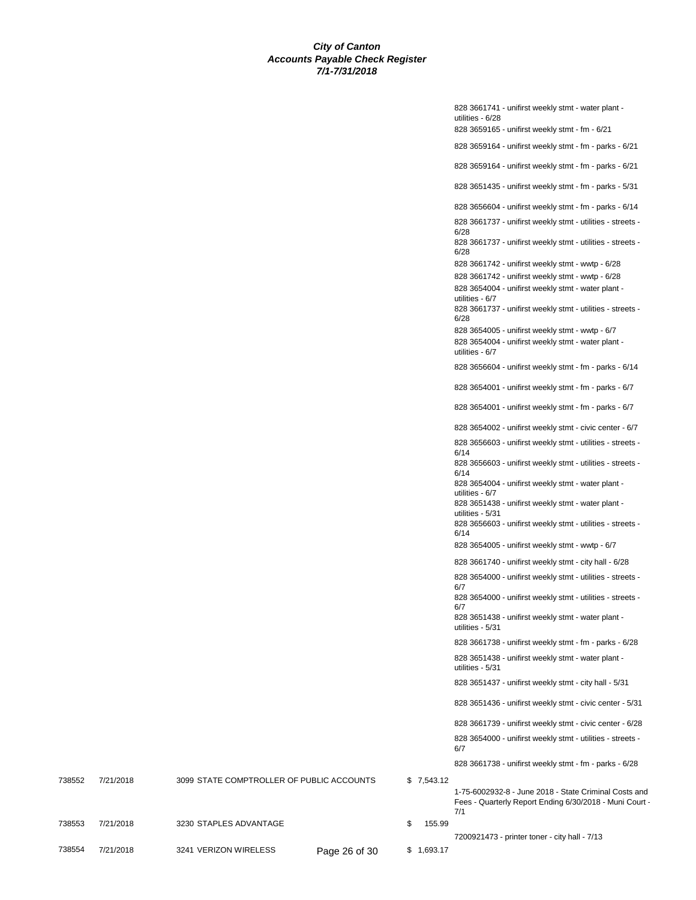828 3661741 - unifirst weekly stmt - water plant utilities - 6/28 828 3659165 - unifirst weekly stmt - fm - 6/21 828 3659164 - unifirst weekly stmt - fm - parks - 6/21 828 3659164 - unifirst weekly stmt - fm - parks - 6/21 828 3651435 - unifirst weekly stmt - fm - parks - 5/31 828 3656604 - unifirst weekly stmt - fm - parks - 6/14 828 3661737 - unifirst weekly stmt - utilities - streets - 6/28 828 3661737 - unifirst weekly stmt - utilities - streets - 6/28 828 3661742 - unifirst weekly stmt - wwtp - 6/28 828 3661742 - unifirst weekly stmt - wwtp - 6/28 828 3654004 - unifirst weekly stmt - water plant utilities - 6/7 828 3661737 - unifirst weekly stmt - utilities - streets - 6/28 828 3654005 - unifirst weekly stmt - wwtp - 6/7 828 3654004 - unifirst weekly stmt - water plant utilities - 6/7 828 3656604 - unifirst weekly stmt - fm - parks - 6/14 828 3654001 - unifirst weekly stmt - fm - parks - 6/7 828 3654001 - unifirst weekly stmt - fm - parks - 6/7 828 3654002 - unifirst weekly stmt - civic center - 6/7 828 3656603 - unifirst weekly stmt - utilities - streets - 6/14 828 3656603 - unifirst weekly stmt - utilities - streets - 6/14 828 3654004 - unifirst weekly stmt - water plant utilities - 6/7 828 3651438 - unifirst weekly stmt - water plant utilities - 5/31 828 3656603 - unifirst weekly stmt - utilities - streets - 6/14 828 3654005 - unifirst weekly stmt - wwtp - 6/7 828 3661740 - unifirst weekly stmt - city hall - 6/28 828 3654000 - unifirst weekly stmt - utilities - streets - 6/7 828 3654000 - unifirst weekly stmt - utilities - streets - 6/7 828 3651438 - unifirst weekly stmt - water plant utilities - 5/31 828 3661738 - unifirst weekly stmt - fm - parks - 6/28 828 3651438 - unifirst weekly stmt - water plant utilities - 5/31 828 3651437 - unifirst weekly stmt - city hall - 5/31 828 3651436 - unifirst weekly stmt - civic center - 5/31 828 3661739 - unifirst weekly stmt - civic center - 6/28 828 3654000 - unifirst weekly stmt - utilities - streets - 6/7 828 3661738 - unifirst weekly stmt - fm - parks - 6/28 7/1 7200921473 - printer toner - city hall - 7/13

|        |           |                                           |               |            | $020$ $00011$ $00 - 01$ $0010$ $0001$ $000$ $0001$ $000$ $000$ $000$ $000$ $000$ |
|--------|-----------|-------------------------------------------|---------------|------------|----------------------------------------------------------------------------------|
| 738552 | 7/21/2018 | 3099 STATE COMPTROLLER OF PUBLIC ACCOUNTS |               | \$7.543.12 |                                                                                  |
|        |           |                                           |               |            | 1-75-6002932-8 - June 2018 - State Criminal Costs and                            |
|        |           |                                           |               |            | Fees - Quarterly Report Ending 6/30/2018 - Muni Court -<br>7/1                   |
| 738553 | 7/21/2018 | 3230 STAPLES ADVANTAGE                    |               | 155.99     |                                                                                  |
|        |           |                                           |               |            | 7200921473 - printer toner - city hall - 7/13                                    |
| 738554 | 7/21/2018 | 3241 VERIZON WIRELESS                     | Page 26 of 30 | \$1.693.17 |                                                                                  |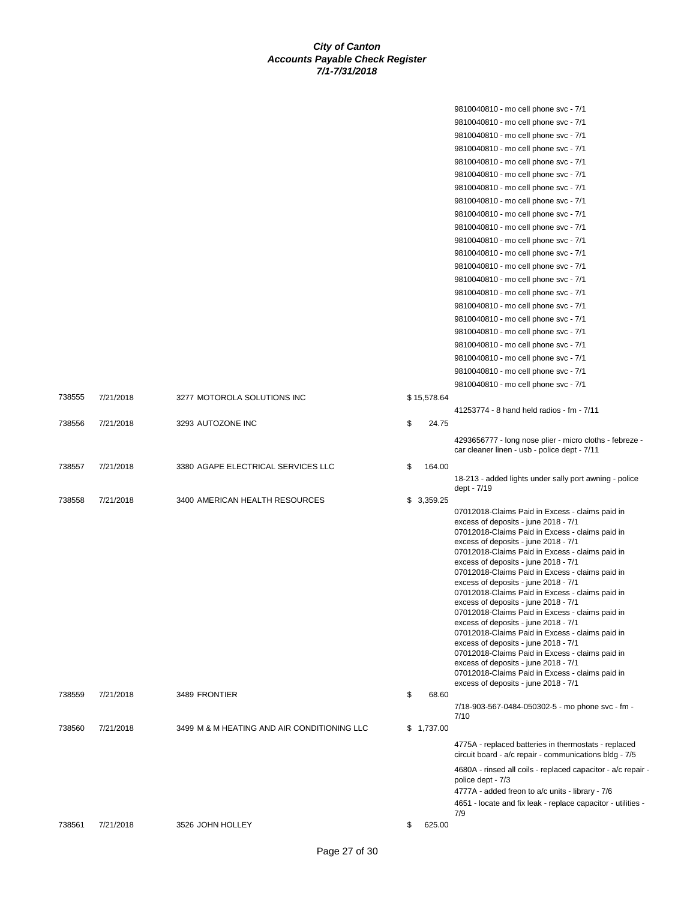|        |           |                                             |    |             | 9810040810 - mo cell phone svc - 7/1                                                                                                                                                                                                                                                                                                                                                                                                                                                                                                                                                                                                                                                                                                                                                                                                            |
|--------|-----------|---------------------------------------------|----|-------------|-------------------------------------------------------------------------------------------------------------------------------------------------------------------------------------------------------------------------------------------------------------------------------------------------------------------------------------------------------------------------------------------------------------------------------------------------------------------------------------------------------------------------------------------------------------------------------------------------------------------------------------------------------------------------------------------------------------------------------------------------------------------------------------------------------------------------------------------------|
|        |           |                                             |    |             | 9810040810 - mo cell phone svc - 7/1                                                                                                                                                                                                                                                                                                                                                                                                                                                                                                                                                                                                                                                                                                                                                                                                            |
|        |           |                                             |    |             | 9810040810 - mo cell phone svc - 7/1                                                                                                                                                                                                                                                                                                                                                                                                                                                                                                                                                                                                                                                                                                                                                                                                            |
|        |           |                                             |    |             | 9810040810 - mo cell phone svc - 7/1                                                                                                                                                                                                                                                                                                                                                                                                                                                                                                                                                                                                                                                                                                                                                                                                            |
|        |           |                                             |    |             | 9810040810 - mo cell phone svc - 7/1                                                                                                                                                                                                                                                                                                                                                                                                                                                                                                                                                                                                                                                                                                                                                                                                            |
|        |           |                                             |    |             | 9810040810 - mo cell phone svc - 7/1                                                                                                                                                                                                                                                                                                                                                                                                                                                                                                                                                                                                                                                                                                                                                                                                            |
|        |           |                                             |    |             | 9810040810 - mo cell phone svc - 7/1                                                                                                                                                                                                                                                                                                                                                                                                                                                                                                                                                                                                                                                                                                                                                                                                            |
|        |           |                                             |    |             | 9810040810 - mo cell phone svc - 7/1                                                                                                                                                                                                                                                                                                                                                                                                                                                                                                                                                                                                                                                                                                                                                                                                            |
|        |           |                                             |    |             | 9810040810 - mo cell phone svc - 7/1                                                                                                                                                                                                                                                                                                                                                                                                                                                                                                                                                                                                                                                                                                                                                                                                            |
|        |           |                                             |    |             | 9810040810 - mo cell phone svc - 7/1                                                                                                                                                                                                                                                                                                                                                                                                                                                                                                                                                                                                                                                                                                                                                                                                            |
|        |           |                                             |    |             | 9810040810 - mo cell phone svc - 7/1                                                                                                                                                                                                                                                                                                                                                                                                                                                                                                                                                                                                                                                                                                                                                                                                            |
|        |           |                                             |    |             | 9810040810 - mo cell phone svc - 7/1                                                                                                                                                                                                                                                                                                                                                                                                                                                                                                                                                                                                                                                                                                                                                                                                            |
|        |           |                                             |    |             | 9810040810 - mo cell phone svc - 7/1                                                                                                                                                                                                                                                                                                                                                                                                                                                                                                                                                                                                                                                                                                                                                                                                            |
|        |           |                                             |    |             | 9810040810 - mo cell phone svc - 7/1                                                                                                                                                                                                                                                                                                                                                                                                                                                                                                                                                                                                                                                                                                                                                                                                            |
|        |           |                                             |    |             | 9810040810 - mo cell phone svc - 7/1                                                                                                                                                                                                                                                                                                                                                                                                                                                                                                                                                                                                                                                                                                                                                                                                            |
|        |           |                                             |    |             | 9810040810 - mo cell phone svc - 7/1                                                                                                                                                                                                                                                                                                                                                                                                                                                                                                                                                                                                                                                                                                                                                                                                            |
|        |           |                                             |    |             | 9810040810 - mo cell phone svc - 7/1                                                                                                                                                                                                                                                                                                                                                                                                                                                                                                                                                                                                                                                                                                                                                                                                            |
|        |           |                                             |    |             | 9810040810 - mo cell phone svc - 7/1                                                                                                                                                                                                                                                                                                                                                                                                                                                                                                                                                                                                                                                                                                                                                                                                            |
|        |           |                                             |    |             | 9810040810 - mo cell phone svc - 7/1                                                                                                                                                                                                                                                                                                                                                                                                                                                                                                                                                                                                                                                                                                                                                                                                            |
|        |           |                                             |    |             | 9810040810 - mo cell phone svc - 7/1                                                                                                                                                                                                                                                                                                                                                                                                                                                                                                                                                                                                                                                                                                                                                                                                            |
|        |           |                                             |    |             | 9810040810 - mo cell phone svc - 7/1                                                                                                                                                                                                                                                                                                                                                                                                                                                                                                                                                                                                                                                                                                                                                                                                            |
|        |           |                                             |    |             | 9810040810 - mo cell phone svc - 7/1                                                                                                                                                                                                                                                                                                                                                                                                                                                                                                                                                                                                                                                                                                                                                                                                            |
| 738555 | 7/21/2018 | 3277 MOTOROLA SOLUTIONS INC                 |    | \$15,578.64 |                                                                                                                                                                                                                                                                                                                                                                                                                                                                                                                                                                                                                                                                                                                                                                                                                                                 |
|        |           |                                             |    |             | 41253774 - 8 hand held radios - fm - 7/11                                                                                                                                                                                                                                                                                                                                                                                                                                                                                                                                                                                                                                                                                                                                                                                                       |
| 738556 | 7/21/2018 | 3293 AUTOZONE INC                           | \$ | 24.75       |                                                                                                                                                                                                                                                                                                                                                                                                                                                                                                                                                                                                                                                                                                                                                                                                                                                 |
|        |           |                                             |    |             | 4293656777 - long nose plier - micro cloths - febreze -<br>car cleaner linen - usb - police dept - 7/11                                                                                                                                                                                                                                                                                                                                                                                                                                                                                                                                                                                                                                                                                                                                         |
| 738557 | 7/21/2018 | 3380 AGAPE ELECTRICAL SERVICES LLC          | \$ | 164.00      |                                                                                                                                                                                                                                                                                                                                                                                                                                                                                                                                                                                                                                                                                                                                                                                                                                                 |
|        |           |                                             |    |             | 18-213 - added lights under sally port awning - police<br>dept - 7/19                                                                                                                                                                                                                                                                                                                                                                                                                                                                                                                                                                                                                                                                                                                                                                           |
| 738558 | 7/21/2018 | 3400 AMERICAN HEALTH RESOURCES              |    | \$3,359.25  |                                                                                                                                                                                                                                                                                                                                                                                                                                                                                                                                                                                                                                                                                                                                                                                                                                                 |
|        |           |                                             |    |             | 07012018-Claims Paid in Excess - claims paid in<br>excess of deposits - june 2018 - 7/1<br>07012018-Claims Paid in Excess - claims paid in<br>excess of deposits - june 2018 - 7/1<br>07012018-Claims Paid in Excess - claims paid in<br>excess of deposits - june 2018 - 7/1<br>07012018-Claims Paid in Excess - claims paid in<br>excess of deposits - june 2018 - 7/1<br>07012018-Claims Paid in Excess - claims paid in<br>excess of deposits - june 2018 - 7/1<br>07012018-Claims Paid in Excess - claims paid in<br>excess of deposits - june 2018 - 7/1<br>07012018-Claims Paid in Excess - claims paid in<br>excess of deposits - june 2018 - 7/1<br>07012018-Claims Paid in Excess - claims paid in<br>excess of deposits - june 2018 - 7/1<br>07012018-Claims Paid in Excess - claims paid in<br>excess of deposits - june 2018 - 7/1 |
| 738559 | 7/21/2018 | 3489 FRONTIER                               | \$ | 68.60       |                                                                                                                                                                                                                                                                                                                                                                                                                                                                                                                                                                                                                                                                                                                                                                                                                                                 |
|        |           |                                             |    |             | 7/18-903-567-0484-050302-5 - mo phone svc - fm -<br>7/10                                                                                                                                                                                                                                                                                                                                                                                                                                                                                                                                                                                                                                                                                                                                                                                        |
| 738560 | 7/21/2018 | 3499 M & M HEATING AND AIR CONDITIONING LLC |    | \$1,737.00  |                                                                                                                                                                                                                                                                                                                                                                                                                                                                                                                                                                                                                                                                                                                                                                                                                                                 |
|        |           |                                             |    |             | 4775A - replaced batteries in thermostats - replaced<br>circuit board - a/c repair - communications bldg - 7/5                                                                                                                                                                                                                                                                                                                                                                                                                                                                                                                                                                                                                                                                                                                                  |
|        |           |                                             |    |             | 4680A - rinsed all coils - replaced capacitor - a/c repair -<br>police dept - 7/3<br>4777A - added freon to a/c units - library - 7/6<br>4651 - locate and fix leak - replace capacitor - utilities -<br>7/9                                                                                                                                                                                                                                                                                                                                                                                                                                                                                                                                                                                                                                    |
| 738561 | 7/21/2018 | 3526 JOHN HOLLEY                            | \$ | 625.00      |                                                                                                                                                                                                                                                                                                                                                                                                                                                                                                                                                                                                                                                                                                                                                                                                                                                 |
|        |           |                                             |    |             |                                                                                                                                                                                                                                                                                                                                                                                                                                                                                                                                                                                                                                                                                                                                                                                                                                                 |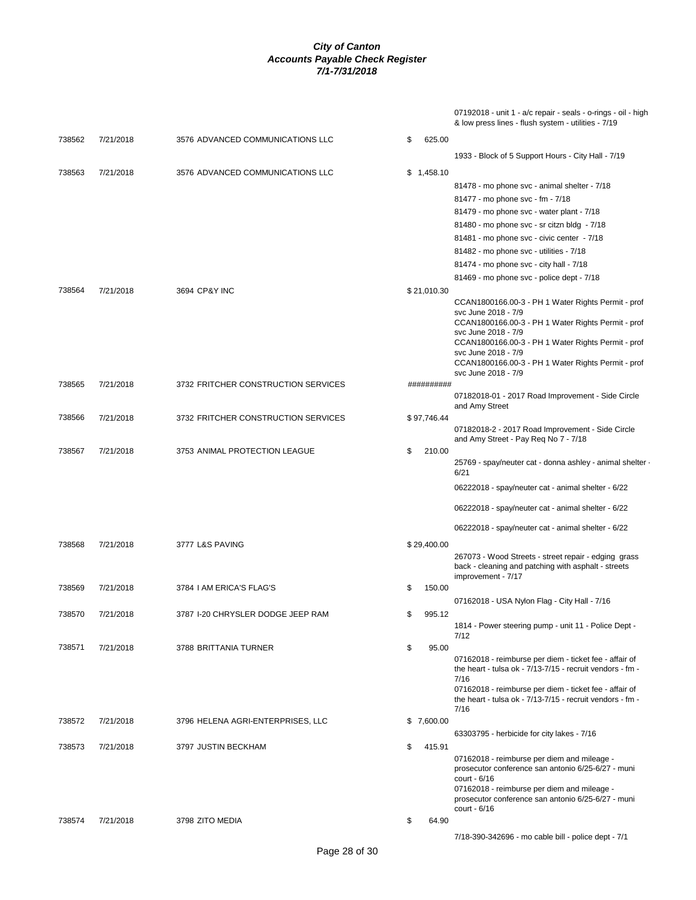07192018 - unit 1 - a/c repair - seals - o-rings - oil - high & low press lines - flush system - utilities - 7/19

| 738562 | 7/21/2018 | 3576 ADVANCED COMMUNICATIONS LLC    | \$<br>625.00 |                                                                                                                     |
|--------|-----------|-------------------------------------|--------------|---------------------------------------------------------------------------------------------------------------------|
|        |           |                                     |              | 1933 - Block of 5 Support Hours - City Hall - 7/19                                                                  |
| 738563 | 7/21/2018 | 3576 ADVANCED COMMUNICATIONS LLC    | \$1,458.10   |                                                                                                                     |
|        |           |                                     |              | 81478 - mo phone svc - animal shelter - 7/18                                                                        |
|        |           |                                     |              | 81477 - mo phone svc - fm - 7/18                                                                                    |
|        |           |                                     |              | 81479 - mo phone svc - water plant - 7/18                                                                           |
|        |           |                                     |              | 81480 - mo phone svc - sr citzn bldg - 7/18                                                                         |
|        |           |                                     |              | 81481 - mo phone svc - civic center - 7/18                                                                          |
|        |           |                                     |              | 81482 - mo phone svc - utilities - 7/18                                                                             |
|        |           |                                     |              | 81474 - mo phone svc - city hall - 7/18                                                                             |
|        |           |                                     |              | 81469 - mo phone svc - police dept - 7/18                                                                           |
| 738564 | 7/21/2018 | 3694 CP&Y INC                       | \$21,010.30  |                                                                                                                     |
|        |           |                                     |              | CCAN1800166.00-3 - PH 1 Water Rights Permit - prof                                                                  |
|        |           |                                     |              | svc June 2018 - 7/9<br>CCAN1800166.00-3 - PH 1 Water Rights Permit - prof                                           |
|        |           |                                     |              | svc June 2018 - 7/9                                                                                                 |
|        |           |                                     |              | CCAN1800166.00-3 - PH 1 Water Rights Permit - prof<br>svc June 2018 - 7/9                                           |
|        |           |                                     |              | CCAN1800166.00-3 - PH 1 Water Rights Permit - prof                                                                  |
|        |           |                                     |              | svc June 2018 - 7/9                                                                                                 |
| 738565 | 7/21/2018 | 3732 FRITCHER CONSTRUCTION SERVICES | ##########   | 07182018-01 - 2017 Road Improvement - Side Circle                                                                   |
|        |           |                                     |              | and Amy Street                                                                                                      |
| 738566 | 7/21/2018 | 3732 FRITCHER CONSTRUCTION SERVICES | \$97,746.44  |                                                                                                                     |
|        |           |                                     |              | 07182018-2 - 2017 Road Improvement - Side Circle<br>and Amy Street - Pay Req No 7 - 7/18                            |
| 738567 | 7/21/2018 | 3753 ANIMAL PROTECTION LEAGUE       | \$<br>210.00 |                                                                                                                     |
|        |           |                                     |              | 25769 - spay/neuter cat - donna ashley - animal shelter -<br>6/21                                                   |
|        |           |                                     |              | 06222018 - spay/neuter cat - animal shelter - 6/22                                                                  |
|        |           |                                     |              | 06222018 - spay/neuter cat - animal shelter - 6/22                                                                  |
|        |           |                                     |              | 06222018 - spay/neuter cat - animal shelter - 6/22                                                                  |
| 738568 | 7/21/2018 | 3777 L&S PAVING                     | \$29,400.00  |                                                                                                                     |
|        |           |                                     |              | 267073 - Wood Streets - street repair - edging grass                                                                |
|        |           |                                     |              | back - cleaning and patching with asphalt - streets                                                                 |
| 738569 | 7/21/2018 | 3784 I AM ERICA'S FLAG'S            | \$<br>150.00 | improvement - 7/17                                                                                                  |
|        |           |                                     |              | 07162018 - USA Nylon Flag - City Hall - 7/16                                                                        |
| 738570 | 7/21/2018 | 3787 I-20 CHRYSLER DODGE JEEP RAM   | \$<br>995.12 |                                                                                                                     |
|        |           |                                     |              | 1814 - Power steering pump - unit 11 - Police Dept -                                                                |
|        |           |                                     |              | 7/12                                                                                                                |
| 738571 | 7/21/2018 | 3788 BRITTANIA TURNER               | \$<br>95.00  |                                                                                                                     |
|        |           |                                     |              | 07162018 - reimburse per diem - ticket fee - affair of<br>the heart - tulsa ok - 7/13-7/15 - recruit vendors - fm - |
|        |           |                                     |              | 7/16                                                                                                                |
|        |           |                                     |              | 07162018 - reimburse per diem - ticket fee - affair of                                                              |
|        |           |                                     |              | the heart - tulsa ok - $7/13-7/15$ - recruit vendors - fm -<br>7/16                                                 |
| 738572 | 7/21/2018 | 3796 HELENA AGRI-ENTERPRISES, LLC   | \$7,600.00   |                                                                                                                     |
|        |           |                                     |              | 63303795 - herbicide for city lakes - 7/16                                                                          |
| 738573 | 7/21/2018 | 3797 JUSTIN BECKHAM                 | \$<br>415.91 |                                                                                                                     |
|        |           |                                     |              | 07162018 - reimburse per diem and mileage -                                                                         |
|        |           |                                     |              | prosecutor conference san antonio 6/25-6/27 - muni<br>$court - 6/16$                                                |
|        |           |                                     |              | 07162018 - reimburse per diem and mileage -                                                                         |
|        |           |                                     |              | prosecutor conference san antonio 6/25-6/27 - muni                                                                  |
|        |           |                                     |              | court - 6/16                                                                                                        |
| 738574 | 7/21/2018 | 3798 ZITO MEDIA                     | \$<br>64.90  |                                                                                                                     |
|        |           |                                     |              | 7/18-390-342696 - mo cable bill - police dept - 7/1                                                                 |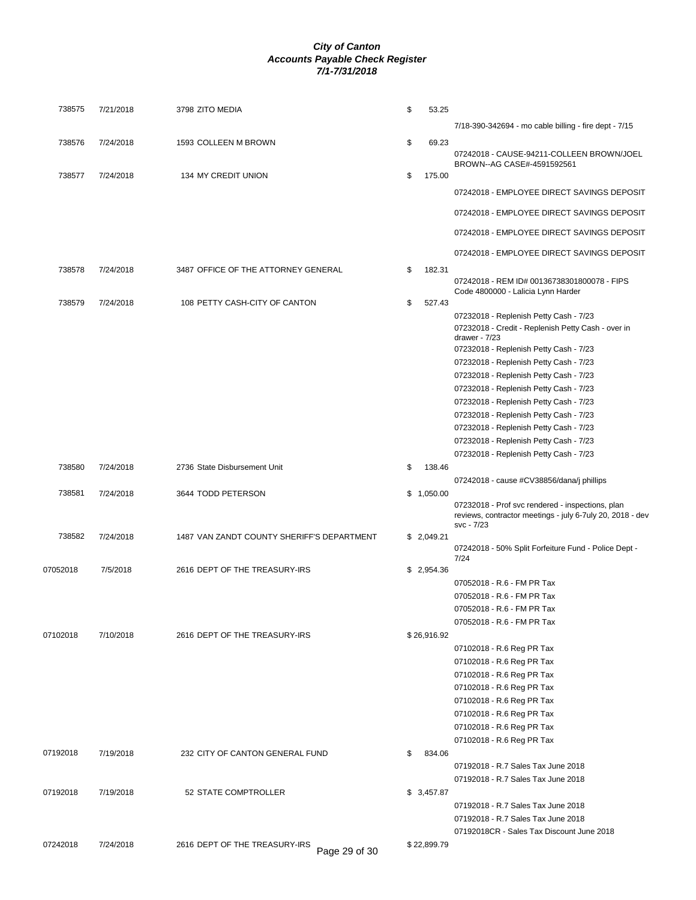| 738575   | 7/21/2018 | 3798 ZITO MEDIA                                | \$<br>53.25  |                                                                                                                             |
|----------|-----------|------------------------------------------------|--------------|-----------------------------------------------------------------------------------------------------------------------------|
|          |           |                                                |              | 7/18-390-342694 - mo cable billing - fire dept - 7/15                                                                       |
| 738576   | 7/24/2018 | 1593 COLLEEN M BROWN                           | \$<br>69.23  | 07242018 - CAUSE-94211-COLLEEN BROWN/JOEL                                                                                   |
|          |           |                                                |              | BROWN--AG CASE#-4591592561                                                                                                  |
| 738577   | 7/24/2018 | <b>134 MY CREDIT UNION</b>                     | \$<br>175.00 | 07242018 - EMPLOYEE DIRECT SAVINGS DEPOSIT                                                                                  |
|          |           |                                                |              | 07242018 - EMPLOYEE DIRECT SAVINGS DEPOSIT                                                                                  |
|          |           |                                                |              | 07242018 - EMPLOYEE DIRECT SAVINGS DEPOSIT                                                                                  |
|          |           |                                                |              | 07242018 - EMPLOYEE DIRECT SAVINGS DEPOSIT                                                                                  |
| 738578   | 7/24/2018 | 3487 OFFICE OF THE ATTORNEY GENERAL            | \$<br>182.31 |                                                                                                                             |
|          |           |                                                |              | 07242018 - REM ID# 00136738301800078 - FIPS<br>Code 4800000 - Lalicia Lynn Harder                                           |
| 738579   | 7/24/2018 | 108 PETTY CASH-CITY OF CANTON                  | \$<br>527.43 |                                                                                                                             |
|          |           |                                                |              | 07232018 - Replenish Petty Cash - 7/23<br>07232018 - Credit - Replenish Petty Cash - over in                                |
|          |           |                                                |              | drawer - $7/23$                                                                                                             |
|          |           |                                                |              | 07232018 - Replenish Petty Cash - 7/23                                                                                      |
|          |           |                                                |              | 07232018 - Replenish Petty Cash - 7/23                                                                                      |
|          |           |                                                |              | 07232018 - Replenish Petty Cash - 7/23                                                                                      |
|          |           |                                                |              | 07232018 - Replenish Petty Cash - 7/23                                                                                      |
|          |           |                                                |              | 07232018 - Replenish Petty Cash - 7/23                                                                                      |
|          |           |                                                |              | 07232018 - Replenish Petty Cash - 7/23                                                                                      |
|          |           |                                                |              | 07232018 - Replenish Petty Cash - 7/23                                                                                      |
|          |           |                                                |              | 07232018 - Replenish Petty Cash - 7/23                                                                                      |
|          |           |                                                |              | 07232018 - Replenish Petty Cash - 7/23                                                                                      |
| 738580   | 7/24/2018 | 2736 State Disbursement Unit                   | \$<br>138.46 | 07242018 - cause #CV38856/dana/j phillips                                                                                   |
| 738581   | 7/24/2018 | 3644 TODD PETERSON                             | \$1,050.00   |                                                                                                                             |
|          |           |                                                |              | 07232018 - Prof svc rendered - inspections, plan<br>reviews, contractor meetings - july 6-7uly 20, 2018 - dev<br>svc - 7/23 |
| 738582   | 7/24/2018 | 1487 VAN ZANDT COUNTY SHERIFF'S DEPARTMENT     | \$2,049.21   |                                                                                                                             |
|          |           |                                                |              | 07242018 - 50% Split Forfeiture Fund - Police Dept -<br>7/24                                                                |
| 07052018 | 7/5/2018  | 2616 DEPT OF THE TREASURY-IRS                  | \$2,954.36   |                                                                                                                             |
|          |           |                                                |              | 07052018 - R.6 - FM PR Tax                                                                                                  |
|          |           |                                                |              | 07052018 - R.6 - FM PR Tax                                                                                                  |
|          |           |                                                |              | 07052018 - R.6 - FM PR Tax                                                                                                  |
|          | 7/10/2018 |                                                | \$26,916.92  | 07052018 - R.6 - FM PR Tax                                                                                                  |
| 07102018 |           | 2616 DEPT OF THE TREASURY-IRS                  |              | 07102018 - R.6 Reg PR Tax                                                                                                   |
|          |           |                                                |              | 07102018 - R.6 Reg PR Tax                                                                                                   |
|          |           |                                                |              | 07102018 - R.6 Reg PR Tax                                                                                                   |
|          |           |                                                |              | 07102018 - R.6 Reg PR Tax                                                                                                   |
|          |           |                                                |              | 07102018 - R.6 Reg PR Tax                                                                                                   |
|          |           |                                                |              | 07102018 - R.6 Reg PR Tax                                                                                                   |
|          |           |                                                |              | 07102018 - R.6 Reg PR Tax                                                                                                   |
|          |           |                                                |              | 07102018 - R.6 Reg PR Tax                                                                                                   |
| 07192018 | 7/19/2018 | 232 CITY OF CANTON GENERAL FUND                | \$<br>834.06 |                                                                                                                             |
|          |           |                                                |              | 07192018 - R.7 Sales Tax June 2018                                                                                          |
|          |           |                                                |              | 07192018 - R.7 Sales Tax June 2018                                                                                          |
| 07192018 | 7/19/2018 | 52 STATE COMPTROLLER                           | \$3,457.87   |                                                                                                                             |
|          |           |                                                |              | 07192018 - R.7 Sales Tax June 2018                                                                                          |
|          |           |                                                |              | 07192018 - R.7 Sales Tax June 2018                                                                                          |
|          |           |                                                |              | 07192018CR - Sales Tax Discount June 2018                                                                                   |
| 07242018 | 7/24/2018 | 2616 DEPT OF THE TREASURY-IRS<br>Page 29 of 30 | \$22,899.79  |                                                                                                                             |
|          |           |                                                |              |                                                                                                                             |